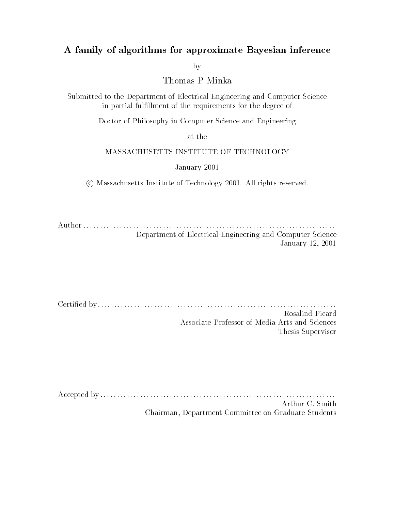### A family of algorithms for approximate Bayesian inference

by

Thomas P Minka

Submitted to the Department of Electrical Engineering and Computer Science in partial fulllment of the requirements for the degree of

Doctor of Philosophy in Computer Science and Engineering

at the

### MASSACHUSETTS INSTITUTE OF TECHNOLOGY

January -

c Massachusetts Institute of Technology - All rights reserved

Author Department of Electrical Engineering and Computer Science January - -

Certied by Rosalind Picard Associate Professor of Media Arts and Sciences Thesis Supervisor

Accepted by - Arthur C. Smith Chairman, Department Committee on Graduate Students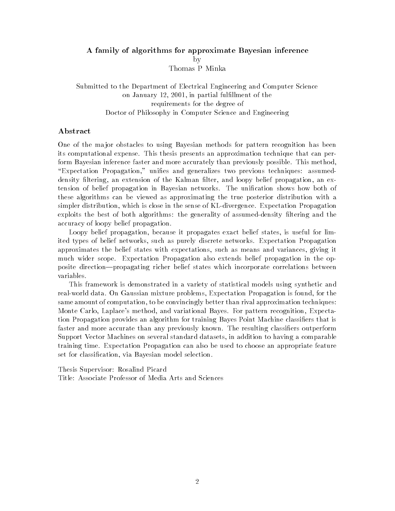#### A family of algorithms for approximate Bayesian inference  $\mathbf{b}$ v by the contract of the contract of the contract of the contract of the contract of the contract of the contract of the contract of the contract of the contract of the contract of the contract of the contract of the contrac Thomas P Minka

Submitted to the Department of Electrical Engineering and Computer Science on January - - in partial fulllment of the requirements for the degree of Doctor of Philosophy in Computer Science and Engineering

### Abstract

One of the ma jor obstacles to using Bayesian methods for pattern recognition has been its computational expense This thesis presents an approximation technique that can per form Bayesian inference faster and more accurately than previously possible. This method, Expectation Propagation unies and generalizes two previous techniques assumed density filtering, an extension of the Kalman filter, and loopy belief propagation, an extension of belief propagation in Bayesian networks The unication shows how both of these algorithms can be viewed as approximating the true posterior distribution with a simpler distribution, which is close in the sense of KL-divergence. Expectation Propagation exploits the best of both algorithms the generality of assumeddensity ltering and the accuracy of loopy belief propagation

Loopy belief propagation, because it propagates exact belief states, is useful for limited types of belief networks, such as purely discrete networks. Expectation Propagation approximates the belief states with expectations such as means and variances giving it much wider scope Expectation Propagation also extends belief propagation in the op posite direction—propagating richer belief states which incorporate correlations between variables

This framework is demonstrated in a variety of statistical models using synthetic and real-world data. On Gaussian mixture problems, Expectation Propagation is found, for the same amount of computation, to be convincingly better than rival approximation techniques: Monte Carlo, Laplace's method, and variational Bayes. For pattern recognition, Expectation Propagation provides an algorithm for training Bayes Point Machine classifiers that is faster and more accurate than any previously known. The resulting classifiers outperform Support Vector Machines on several standard datasets in addition to having a comparable training time Expectation Propagation can also be used to choose an appropriate feature set for classification, via Bayesian model selection.

These Supervisors Supervisors Supervisors Supervisors Supervisors Supervisors Supervisors Supervisors Supervisors Supervisors Supervisors Supervisors Supervisors Supervisors Supervisors Supervisors Supervisors Supervisors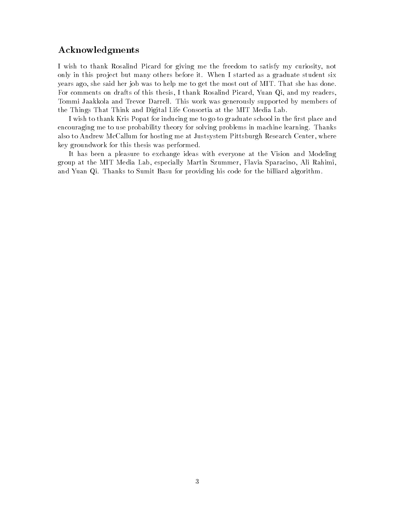### Acknowledgments

I wish to thank Rosalind Picard for giving me the freedom to satisfy my curiosity not only in this project but many others before it. When I started as a graduate student six years ago, she said her job was to help me to get the most out of MIT. That she has done. For comments on drafts of this thesis, I thank Rosalind Picard, Yuan Qi, and my readers, Tommi Jaakkola and Trevor Darrell. This work was generously supported by members of the Things That Think and Digital Life Consortia at the MIT Media Lab

I wish to thank Kris Popat for inducing me to go to graduate school in the first place and encouraging me to use probability theory for solving problems in machine learning. Thanks also to Andrew McCallum for hosting me at Justsystem Pittsburgh Research Center, where key groundwork for this thesis was performed

It has been a pleasure to exchange ideas with everyone at the Vision and Modeling group at the MIT Media Lab, especially Martin Szummer, Flavia Sparacino, Ali Rahimi, and Yuan Qi. Thanks to Sumit Basu for providing his code for the billiard algorithm.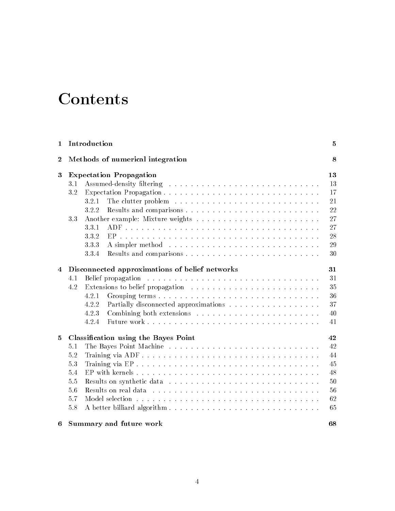## Contents

| 1                | Introduction                                   | 5  |
|------------------|------------------------------------------------|----|
| $\boldsymbol{2}$ | Methods of numerical integration               | 8  |
| 3                | <b>Expectation Propagation</b>                 | 13 |
|                  | 3.1                                            | 13 |
|                  | 3.2                                            | 17 |
|                  | 3.2.1                                          | 21 |
|                  | 3.2.2                                          | 22 |
|                  | 3.3                                            | 27 |
|                  | 3.3.1                                          | 27 |
|                  | 3.3.2                                          | 28 |
|                  | 3.3.3                                          | 29 |
|                  | 3.3.4                                          | 30 |
| 4                | Disconnected approximations of belief networks | 31 |
|                  | 4.1                                            | 31 |
|                  | 4.2                                            | 35 |
|                  | 4.2.1                                          | 36 |
|                  | 4.2.2<br>Partially disconnected approximations | 37 |
|                  | 4.2.3                                          | 40 |
|                  | 4.2.4                                          | 41 |
| 5                | Classification using the Bayes Point           | 42 |
|                  | 5.1                                            | 42 |
|                  | 5.2                                            | 44 |
|                  | 5.3                                            | 45 |
|                  | 5.4                                            | 48 |
|                  | 5.5                                            | 50 |
|                  | 5.6                                            | 56 |
|                  | 5.7                                            | 62 |
|                  | 5.8                                            | 65 |
| 6                | Summary and future work                        | 68 |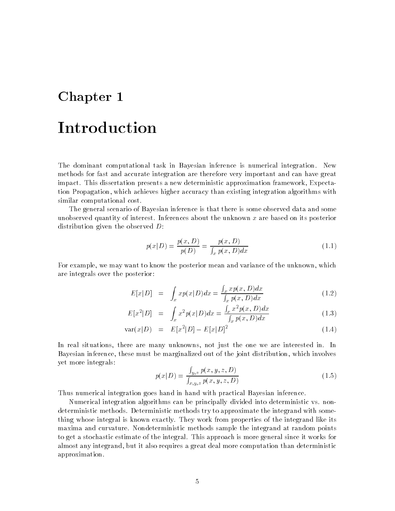# Chapter 1 Introduction

The dominant computational task in Bayesian inference is numerical integration New methods for fast and accurate integration are therefore very important and can have great impact This dissertation presents a new deterministic approximation framework Expecta tion Propagation which achieves higher accuracy than existing integration algorithms with similar computational cost

The general scenario of Bayesian inference is that there is some observed data and some unobserved quantity of interest Inferences about the unknown x are based on its posterior distribution given the observed  $D$ :

$$
p(x|D) = \frac{p(x,D)}{p(D)} = \frac{p(x,D)}{\int_{x} p(x,D)dx}
$$
\n(1.1)

For example, we may want to know the posterior mean and variance of the unknown, which are integrals over the posterior

$$
E[x|D] = \int_x x p(x|D) dx = \frac{\int_x x p(x,D) dx}{\int_x p(x,D) dx}
$$
\n(1.2)

$$
E[x^{2}|D] = \int_{x} x^{2} p(x|D) dx = \frac{\int_{x} x^{2} p(x,D) dx}{\int_{x} p(x,D) dx}
$$
 (1.3)

$$
var(x|D) = E[x^2|D] - E[x|D]^2
$$
\n(1.4)

In real situations, there are many unknowns, not just the one we are interested in. In Bayesian inference, these must be marginalized out of the joint distribution, which involves yet more integrals

$$
p(x|D) = \frac{\int_{y,z} p(x,y,z,D)}{\int_{x,y,z} p(x,y,z,D)}
$$
(1.5)

Thus numerical integration goes hand in hand with practical Bayesian inference

Numerical integration algorithms can be principally divided into deterministic vs non deterministic methods Deterministic methods try to approximate the integrand with some thing whose integral is known exactly. They work from properties of the integrand like its maxima and curvature Nondeterministic methods sample the integrand at random points to get a stochastic estimate of the integral This approach is more general since it works for almost any integrand, but it also requires a great deal more computation than deterministic approximation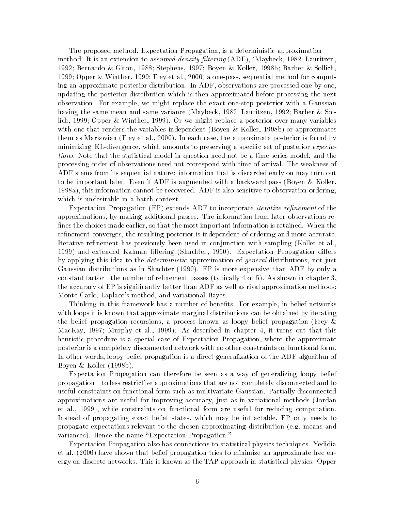The proposed method, Expectation Propagation, is a deterministic approximation method It is an extension to assumeddensity -ltering ADF Maybeck - Lauritzen - Bernardo Giron Stephens Boyen Koller b Barber Sollich Opper Winther Frey et al - a onepass sequential method for comput ing an approximate posterior distribution. In ADF, observations are processed one by one, updating the posterior distribution which is then approximated before processing the next observation. For example, we might replace the exact one-step posterior with a Gaussian having the same mean and same variance Maybeck - Lauritzen - Barber Sol lich, 1999; Opper & Winther, 1999). Or we might replace a posterior over many variables with one that renders the variables independent (Boyen & Koller, 1998b) or approximates the as Markovian Free, it also all - and the approximate posterior is found by the approximate  $\alpha$  , minimizing KL-divergence, which amounts to preserving a specific set of posterior *expecta*tions. Note that the statistical model in question need not be a time series model, and the processing order of observations need not correspond with time of arrival The weakness of ADF stems from its sequential nature information that is discarded early on may turn out to be important later. Even if ADF is augmented with a backward pass (Boyen & Koller,  $1998a$ , this information cannot be recovered. ADF is also sensitive to observation ordering. which is undesirable in a batch context

Expectation Propagation EP extends ADF to incorporate iterative re-nement of the approximations by making additional passes The information from later observations re fines the choices made earlier, so that the most important information is retained. When the refinement converges, the resulting posterior is independent of ordering and more accurate. Iterative refinement has previously been used in conjunction with sampling (Koller et al. 1999) and extended Kalman filtering (Shachter, 1990). Expectation Propagation differs by applying this idea to the *deterministic* approximation of *general* distributions, not just Gaussian distributions as in Shachter  $(1990)$ . EP is more expensive than ADF by only a constant factor—the number of refinement passes (typically  $4$  or  $5$ ). As shown in chapter 3, the accuracy of EP is significantly better than ADF as well as rival approximation methods: Monte Carlo, Laplace's method, and variational Bayes.

Thinking in this framework has a number of benefits. For example, in belief networks with loops it is known that approximate marginal distributions can be obtained by iterating the belief propagation recursions, a process known as loopy belief propagation (Frey  $\&$ MacKay, 1997; Murphy et al., 1999). As described in chapter 4, it turns out that this heuristic procedure is a special case of Expectation Propagation, where the approximate posterior is a completely disconnected network with no other constraints on functional form In other words, loopy belief propagation is a direct generalization of the ADF algorithm of Boyen  $&$  Koller (1998b).

Expectation Propagation can therefore be seen as a way of generalizing loopy belief propagation—to less restrictive approximations that are not completely disconnected and to useful constraints on functional form such as multivariate Gaussian Partially disconnected approximations are useful for improving accuracy just as in variational methods Jordan et al., 1999), while constraints on functional form are useful for reducing computation. Instead of propagating exact belief states, which may be intractable, EP only needs to propagate expectations relevant to the chosen approximating distribution (e.g. means and variances). Hence the name "Expectation Propagation."

Expectation Propagation also has connections to statistical physics techniques Yedidia et al - have shown that belief propagation tries to minimize an approximate free en ergy on discrete networks. This is known as the TAP approach in statistical physics. Opper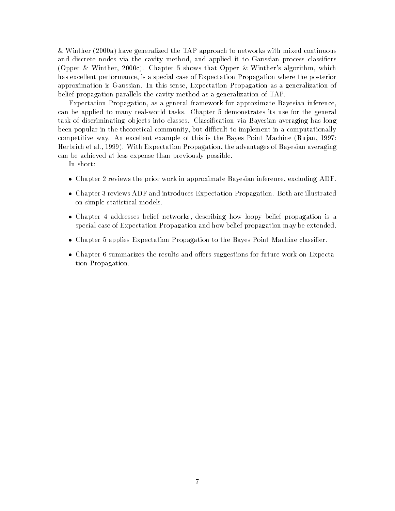winther (with  $\alpha$  ) and TAP approach to the TAP approach to the TAP approach to the TAP approach to the TAP approach to the TAP approach to the TAP approach to the TAP approach to the TAP approach to the TAP approach to t and discrete nodes via the cavity method, and applied it to Gaussian process classifiers is the continuous controlling algorithm which is the controlled algorithm which we construct the controlling of has excellent performance, is a special case of Expectation Propagation where the posterior approximation is Gaussian In this sense Expectation Propagation as a generalization of belief propagation parallels the cavity method as a generalization of TAP

Expectation Propagation, as a general framework for approximate Bayesian inference, can be applied to many real-world tasks. Chapter 5 demonstrates its use for the general task of discriminating ob jects into classes Classication via Bayesian averaging has long been popular in the theoretical community, but difficult to implement in a computationally competitive way. An excellent example of this is the Bayes Point Machine (Rujan, 1997; Herbrich et al., 1999). With Expectation Propagation, the advantages of Bayesian averaging can be achieved at less expense than previously possible

In short

- Chapter reviews the prior work in approximate Bayesian inference excluding ADF
- Chapter 
 reviews ADF and introduces Expectation Propagation Both are illustrated on simple statistical models
- Chapter addresses belief networks describing how loopy belief propagation is a special case of Expectation Propagation and how belief propagation may be extended
- Chapter applies Expectation Propagation to the Bayes Point Machine classier
- Chapter summarizes the results and oers suggestions for future work on Expecta tion Propagation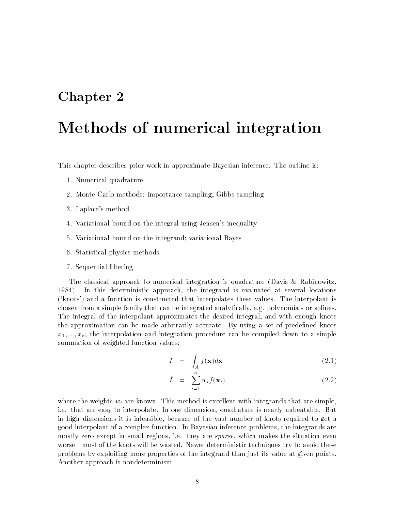## Chapter 2

## Methods of numerical integration

This chapter describes prior work in approximate Bayesian inference. The outline is:

- 1. Numerical quadrature
- is a finite contract that the contract sampling  $\mathcal{A}$  , which is a finite part of
- 3. Laplace's method
- 4. Variational bound on the integral using Jensen's inequality
- 5. Variational bound on the integrand; variational Bayes
- Statistical physics methods
- 7. Sequential filtering

The classical approach to numerical integration is quadrature (Davis & Rabinowitz, 1984). In this deterministic approach, the integrand is evaluated at several locations  $(knots)$  and a function is constructed that interpolates these values. The interpolant is chosen from a simple family that can be integrated analytically, e.g. polynomials or splines. The integral of the interpolant approximates the desired integral, and with enough knots the approximation can be made arbitrarily accurate. By using a set of predefined knots  $\Box$  interpretation and integration and integration procedure can be computed down to a simple down to a simple down to a simple down to a simple down to a simple down to a simple down to a simple down to a simple down to summation of weighted function values:

$$
I = \int_{A} f(\mathbf{x}) d\mathbf{x} \tag{2.1}
$$

$$
\hat{I} = \sum_{i=1}^{n} w_i f(\mathbf{x}_i) \tag{2.2}
$$

where the weights  $w_i$  are known. This method is excellent with integrands that are simple, i.e. that are easy to interpolate. In one dimension, quadrature is nearly unbeatable. But in high dimensions it is infeasible, because of the vast number of knots required to get a good interpolant of a complex function. In Bayesian inference problems, the integrands are mostly zero except in small regions, i.e. they are *sparse*, which makes the situation even worse—most of the knots will be wasted. Newer deterministic techniques try to avoid these problems by exploiting more properties of the integrand than just its value at given points Another approach is nondeterminism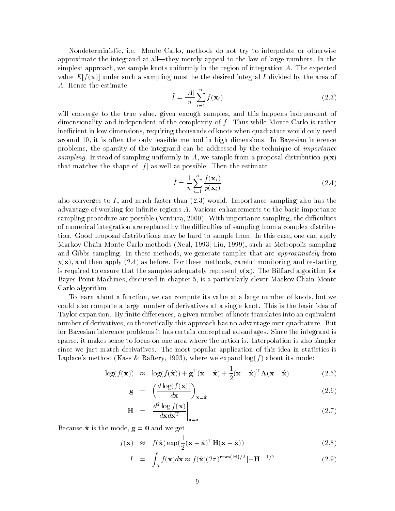Nondeterministic ie Monte Carlo methods do not try to interpolate or otherwise approximate the integrand at all—they merely appeal to the law of large numbers. In the simplest approach, we sample knots uniformly in the region of integration  $A$ . The expected value  $E[f(\mathbf{x})]$  under such a sampling must be the desired integral I divided by the area of A. Hence the estimate

$$
\hat{I} = \frac{|A|}{n} \sum_{i=1}^{n} f(\mathbf{x}_i)
$$
\n(2.3)

will converge to the true value, given enough samples, and this happens independent of dimensionality and independent of the complexity of  $f$ . Thus while Monte Carlo is rather inefficient in low dimensions, requiring thousands of knots when quadrature would only need around 10, it is often the only feasible method in high dimensions. In Bayesian inference problems, the sparsity of the integrand can be addressed by the technique of *importance* sampling. Instead of sampling uniformly in A, we sample from a proposal distribution  $p(\mathbf{x})$ that matches the shape of  $|f|$  as well as possible. Then the estimate

$$
\hat{I} = \frac{1}{n} \sum_{i=1}^{n} \frac{f(\mathbf{x}_i)}{p(\mathbf{x}_i)}\tag{2.4}
$$

also converges to I and much faster than - would Importance sampling also has the advantage of working for infinite regions  $A$ . Various enhancements to the basic importance sampling procedure are possible Ventura - With importance sampling the diculties of numerical integration are replaced by the difficulties of sampling from a complex distribution. Good proposal distributions may be hard to sample from. In this case, one can apply Markov Chain Monte Carlo methods (Neal, 1993; Liu, 1999), such as Metropolis sampling and Gibbs sampling. In these methods, we generate samples that are *approximately* from parameter the then apply and the careful monitoring and restarting and restarting and restarting and restarting is required to ensure that the samples adequately represent  $p(x)$ . The Billiard algorithm for Bayes Point Machines, discussed in chapter 5, is a particularly clever Markov Chain Monte Carlo algorithm

To learn about a function, we can compute its value at a large number of knots, but we could also compute a large number of derivatives at a single knot This is the basic idea of Taylor expansion. By finite differences, a given number of knots translates into an equivalent number of derivatives, so theoretically this approach has no advantage over quadrature. But for Bayesian inference problems it has certain conceptual advantages Since the integrand is sparse it makes sense to focus on one area where the action is Interpolation is also simpler since we just match derivatives The most popular application of this idea in statistics is Laplace's method (Kass & Raftery, 1993), where we expand  $log(f)$  about its mode:

$$
\log(f(\mathbf{x})) \approx \log(f(\hat{\mathbf{x}})) + \mathbf{g}^{T}(\mathbf{x} - \hat{\mathbf{x}}) + \frac{1}{2}(\mathbf{x} - \hat{\mathbf{x}})^{T} \mathbf{A}(\mathbf{x} - \hat{\mathbf{x}})
$$
(2.5)

$$
\mathbf{g} = \left(\frac{d \log(f(\mathbf{x}))}{d\mathbf{x}}\right)_{\mathbf{x} = \hat{\mathbf{x}}}
$$
(2.6)

$$
\mathbf{H} = \frac{d^2 \log f(\mathbf{x})}{d\mathbf{x}d\mathbf{x}^{\mathrm{T}}} \bigg|_{\mathbf{x} = \hat{\mathbf{x}}} \tag{2.7}
$$

Because  $\hat{\mathbf{x}}$  is the mode,  $\mathbf{g} = \mathbf{0}$  and we get

$$
f(\mathbf{x}) \approx f(\hat{\mathbf{x}}) \exp(\frac{1}{2}(\mathbf{x} - \hat{\mathbf{x}})^{\mathrm{T}} \mathbf{H}(\mathbf{x} - \hat{\mathbf{x}}))
$$
 (2.8)

$$
I = \int_{A} f(\mathbf{x})d\mathbf{x} \approx f(\hat{\mathbf{x}})(2\pi)^{\text{rows}(\mathbf{H})/2} |-\mathbf{H}|^{-1/2}
$$
(2.9)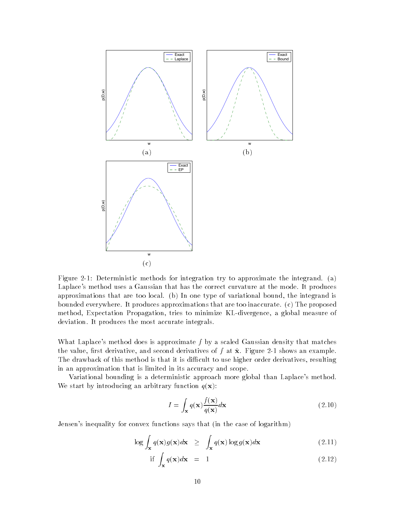

Figure - Deterministic methods for integration try to approximate the integrand a Laplace's method uses a Gaussian that has the correct curvature at the mode. It produces approximations that are too local. (b) In one type of variational bound, the integrand is bounded everywhere. It produces approximations that are too inaccurate.  $(c)$  The proposed method, Expectation Propagation, tries to minimize KL-divergence, a global measure of deviation. It produces the most accurate integrals.

What Laplace's method does is approximate  $f$  by a scaled Gaussian density that matches the value rst derivative and second derivatives of f at x Figure - shows an example The drawback of this method is that it is difficult to use higher order derivatives, resulting in an approximation that is limited in its accuracy and scope

Variational bounding is a deterministic approach more global than Laplace's method. We start by introducing an arbitrary function  $q(\mathbf{x})$ :

$$
I = \int_{\mathbf{x}} q(\mathbf{x}) \frac{f(\mathbf{x})}{q(\mathbf{x})} d\mathbf{x}
$$
 (2.10)

Jensen's inequality for convex functions says that (in the case of logarithm)

$$
\log \int_{\mathbf{x}} q(\mathbf{x}) g(\mathbf{x}) d\mathbf{x} \ge \int_{\mathbf{x}} q(\mathbf{x}) \log g(\mathbf{x}) d\mathbf{x} \tag{2.11}
$$

$$
\text{if } \int_{\mathbf{x}} q(\mathbf{x}) d\mathbf{x} = 1 \tag{2.12}
$$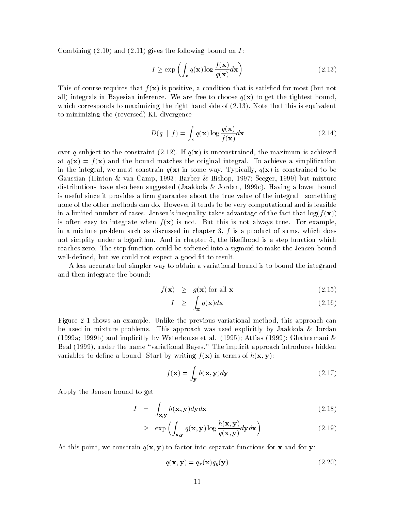commission of  $\alpha$  , and  $\alpha$  is the following on  $\alpha$  is the following bound on  $\alpha$ 

$$
I \ge \exp\left(\int_{\mathbf{x}} q(\mathbf{x}) \log \frac{f(\mathbf{x})}{q(\mathbf{x})} d\mathbf{x}\right)
$$
 (2.13)

This of course requires that  $f(\mathbf{x})$  is positive, a condition that is satisfied for most (but not all) integrals in Bayesian inference. We are free to choose  $q(\mathbf{x})$  to get the tightest bound, which corresponds to maximizing the right hand side of  $\{ \pm \tau x, \tau y \}$  , is easy that the right function to minimizing the (reversed) KL-divergence

$$
D(q \parallel f) = \int_{\mathbf{x}} q(\mathbf{x}) \log \frac{q(\mathbf{x})}{f(\mathbf{x})} d\mathbf{x}
$$
 (2.14)

over  $\mathbf{I}$  , we constraint  $\mathbf{I}$  and  $\mathbf{I}$  and  $\mathbf{I}$  and  $\mathbf{I}$  and  $\mathbf{I}$  and  $\mathbf{I}$  and  $\mathbf{I}$ at  $q(\mathbf{x}) = f(\mathbf{x})$  and the bound matches the original integral. To achieve a simplification in the integral, we must constrain  $q(x)$  in some way. Typically,  $q(x)$  is constrained to be Gaussian (Hinton & van Camp, 1993; Barber & Bishop, 1997; Seeger, 1999) but mixture distributions have also been suggested (Jaakkola & Jordan, 1999c). Having a lower bound is useful since it provides a firm guarantee about the true value of the integral—something none of the other methods can do. However it tends to be very computational and is feasible in a limited number of cases. Jensen's inequality takes advantage of the fact that  $log(f(\mathbf{x}))$ is often easy to integrate when  $f(\mathbf{x})$  is not. But this is not always true. For example, in a mixture problem such as discussed in chapter 3,  $f$  is a product of sums, which does not simplify under a logarithm. And in chapter 5, the likelihood is a step function which reaches zero. The step function could be softened into a sigmoid to make the Jensen bound well-defined, but we could not expect a good fit to result.

A less accurate but simpler way to obtain a variational bound is to bound the integrand and then integrate the bound

$$
f(\mathbf{x}) \geq g(\mathbf{x}) \text{ for all } \mathbf{x} \tag{2.15}
$$

$$
I \geq \int_{\mathbf{x}} g(\mathbf{x}) d\mathbf{x} \tag{2.16}
$$

Figure - shows an example Unlike the previous variational method this approach can be used in mixture problems. This approach was used explicitly by Jaakkola & Jordan (1999a; 1999b) and implicitly by Waterhouse et al. (1995); Attias (1999); Ghahramani  $\&$ Beal (1999), under the name "variational Bayes." The implicit approach introduces hidden variables to define a bound. Start by writing  $f(\mathbf{x})$  in terms of  $h(\mathbf{x}, \mathbf{y})$ :

$$
f(\mathbf{x}) = \int_{\mathbf{y}} h(\mathbf{x}, \mathbf{y}) d\mathbf{y}
$$
 (2.17)

Apply the Jensen bound to get

$$
I = \int_{\mathbf{x}, \mathbf{y}} h(\mathbf{x}, \mathbf{y}) d\mathbf{y} d\mathbf{x}
$$
 (2.18)

$$
\geq \exp\left(\int_{\mathbf{x},\mathbf{y}} q(\mathbf{x},\mathbf{y}) \log \frac{h(\mathbf{x},\mathbf{y})}{q(\mathbf{x},\mathbf{y})} d\mathbf{y} d\mathbf{x}\right) \tag{2.19}
$$

At this point, we constrain  $q(x, y)$  to factor into separate functions for x and for y:

$$
q(\mathbf{x}, \mathbf{y}) = q_x(\mathbf{x})q_y(\mathbf{y})
$$
\n(2.20)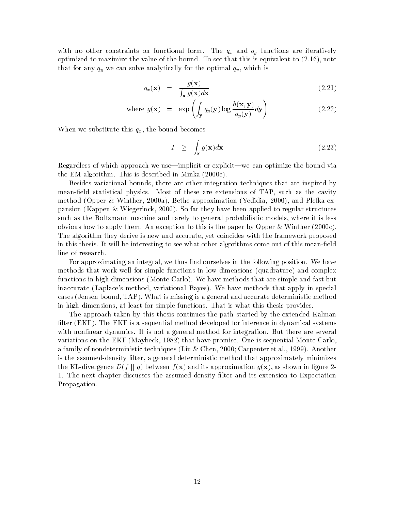with no other constraints on functional form. The  $q_x$  and  $q_y$  functions are iteratively optimized to maximized the value of the bound To see the bound To see the bound To see the this is equivalent that for any  $q_y$  we can solve analytically for the optimal  $q_x$ , which is

$$
q_x(\mathbf{x}) = \frac{g(\mathbf{x})}{\int_{\mathbf{x}} g(\mathbf{x}) d\mathbf{x}} \tag{2.21}
$$

where 
$$
g(\mathbf{x}) = \exp\left(\int_{\mathbf{y}} q_y(\mathbf{y}) \log \frac{h(\mathbf{x}, \mathbf{y})}{q_y(\mathbf{y})} d\mathbf{y}\right)
$$
 (2.22)

When we substitute this  $q_x$ , the bound becomes

$$
I \geq \int_{\mathbf{x}} g(\mathbf{x}) d\mathbf{x} \tag{2.23}
$$

Regardless of which approach we use—implicit or explicit—we can optimize the bound via the EM algorithm This is described in  $\mathbb{R}^n$  . This is described in Minka -  $\mathbb{R}^n$ 

Besides variational bounds, there are other integration techniques that are inspired by mean-field statistical physics. Most of these are extensions of TAP, such as the cavity method Operation - And Plefka experience and Plefka experience and Plefka experience and Plefka experience and pansion Kappen Wiegerinck - So far they have been applied to regular structures such as the Boltzmann machine and rarely to general probabilistic models, where it is less obvious how to apply the exception of the this is the paper by Opper Winthert (International) The algorithm they derive is new and accurate, yet coincides with the framework proposed in this thesis. It will be interesting to see what other algorithms come out of this mean-field line of research

For approximating an integral, we thus find ourselves in the following position. We have methods that work well for simple functions in low dimensions (quadrature) and complex functions in high dimensions (Monte Carlo). We have methods that are simple and fast but inaccurate (Laplace's method, variational Bayes). We have methods that apply in special cases (Jensen bound, TAP). What is missing is a general and accurate deterministic method in high dimensions at least for simple functions That is what this thesis provides

The approach taken by this thesis continues the path started by the extended Kalman filter  $(EKF)$ . The EKF is a sequential method developed for inference in dynamical systems with nonlinear dynamics. It is not a general method for integration. But there are several variations on the EKF Maybeck - that have promise One is sequential Monte Carlo a family of nondeterministic techniques (measures and another except and all another processes and another all is the assumed-density filter, a general deterministic method that approximately minimizes the KL-divergence  $D(f \mid q)$  between  $f(\mathbf{x})$  and its approximation  $q(\mathbf{x})$ , as shown in figure 2-1. The next chapter discusses the assumed-density filter and its extension to Expectation Propagation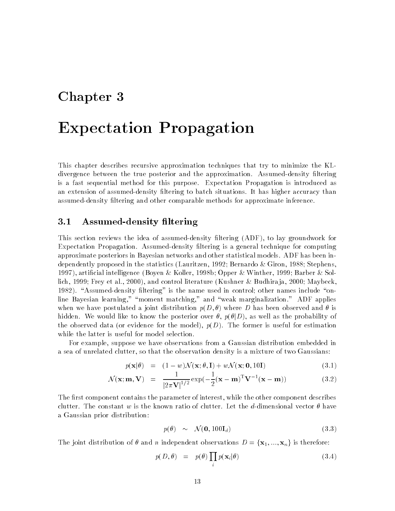## Chapter 3

## Expectation Propagation

This chapter describes recursive approximation techniques that try to minimize the KL divergence between the true posterior and the approximation. Assumed-density filtering is a fast sequential method for this purpose Expectation Propagation is introduced as an extension of assumed-density filtering to batch situations. It has higher accuracy than assumed-density filtering and other comparable methods for approximate inference.

#### $3.1$ Assumed-density filtering

This section reviews the idea of assumed-density filtering (ADF), to lay groundwork for Expectation Propagation. Assumed-density filtering is a general technique for computing approximate posteriors in Bayesian networks and other statistical models ADF has been in dependently proposed in the statistics Lauritzen - In the statistics of the statistics of the stephension 1997), artificial intelligence (Boyen & Koller, 1998b; Opper & Winther, 1999; Barber & Sollich Frey et al - and control literature Kushner Budhira ja - Maybeck - Assumeddensity ltering is the name used in control other names include on line Bayesian learning," "moment matching," and "weak marginalization." ADF applies when we have postulated a joint distribution  $p(D, \theta)$  where D has been observed and  $\theta$  is hidden. We would like to know the posterior over  $\theta$ ,  $p(\theta|D)$ , as well as the probability of the observed data (or evidence for the model),  $p(D)$ . The former is useful for estimation while the latter is useful for model selection.

For example, suppose we have observations from a Gaussian distribution embedded in a sea of unrelated clutter, so that the observation density is a mixture of two Gaussians:

$$
p(\mathbf{x}|\theta) = (1 - w)\mathcal{N}(\mathbf{x}; \theta, \mathbf{I}) + w\mathcal{N}(\mathbf{x}; \mathbf{0}, 10\mathbf{I})
$$
\n(3.1)

$$
\mathcal{N}(\mathbf{x}; \mathbf{m}, \mathbf{V}) = \frac{1}{|2\pi \mathbf{V}|^{1/2}} \exp(-\frac{1}{2}(\mathbf{x} - \mathbf{m})^{\mathrm{T}} \mathbf{V}^{-1}(\mathbf{x} - \mathbf{m}))
$$
(3.2)

The first component contains the parameter of interest, while the other component describes clutter. The constant w is the known ratio of clutter. Let the d-dimensional vector  $\theta$  have a Gaussian prior distribution

$$
p(\theta) \sim \mathcal{N}(\mathbf{0}, 100\mathbf{I}_d) \tag{3.3}
$$

The joint distribution of  $\theta$  and n independent observations  $D = {\mathbf{x}_1, ..., \mathbf{x}_n}$  is therefore:

$$
p(D, \theta) = p(\theta) \prod_{i} p(\mathbf{x}_i | \theta)
$$
\n(3.4)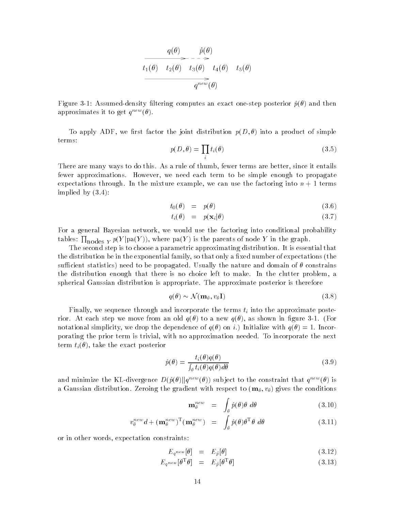$$
\frac{q(\theta)}{t_1(\theta)} \xrightarrow{f(\theta)} \frac{\hat{p}(\theta)}{t_3(\theta)} \xrightarrow{t_4(\theta)} \frac{t_5(\theta)}{t_5(\theta)}
$$
\n
$$
\overbrace{q^{new}(\theta)}^{new}(\theta)
$$

Figure Assumeddensity ltering computes an exact onestep posterior p and then approximates it to get  $q^{new}(\theta)$ .

To apply ADF, we first factor the joint distribution  $p(D, \theta)$  into a product of simple terms

$$
p(D, \theta) = \prod_i t_i(\theta) \tag{3.5}
$$

There are many ways to do this. As a rule of thumb, fewer terms are better, since it entails fewer approximations However we need each term to be simple enough to propagate expectations through. In the mixture example, we can use the factoring into  $n + 1$  terms implied by  $(3.4)$ :

$$
t_0(\theta) = p(\theta) \tag{3.6}
$$

$$
t_i(\theta) = p(\mathbf{x}_i|\theta) \tag{3.7}
$$

For a general Bayesian network, we would use the factoring into conditional probability tables:  $\prod_{\text{nodes } Y} p(Y | \text{pa}(Y)),$  where  $\text{pa}(Y)$  is the parents of node Y in the graph.

The second step is to choose a parametric approximating distribution. It is essential that the distribution be in the exponential family, so that only a fixed number of expectations (the sufficient statistics) need to be propagated. Usually the nature and domain of  $\theta$  constrains the distribution enough that there is no choice left to make. In the clutter problem, a spherical Gaussian distribution is appropriate The approximate posterior is therefore propriate. The approximate posterior is therefore<br>  $q(\theta) \sim \mathcal{N}(\mathbf{m}_{\theta}, v_{\theta} \mathbf{I})$  (3.8)

$$
q(\theta) \sim \mathcal{N}(\mathbf{m}_{\theta}, v_{\theta} \mathbf{I})
$$
\n(3.8)

Finally, we sequence through and incorporate the terms  $t_i$  into the approximate posterior. At each step we move from an old  $q(\theta)$  to a new  $q(\theta)$ , as shown in figure 3-1. (For notational simplicity, we drop the dependence of  $q(\theta)$  on i.) Initialize with  $q(\theta) = 1$ . Incorporating the prior term is trivial, with no approximation needed. To incorporate the next term  $t_i(\theta)$ , take the exact posterior

$$
\hat{p}(\theta) = \frac{t_i(\theta)q(\theta)}{\int_{\theta} t_i(\theta)q(\theta)d\theta}
$$
\n(3.9)

and minimize the KL-divergence  $D(\hat{p}(\theta)||q^{new}(\theta))$  subject to the constraint that  $q^{new}(\theta)$  is a Gaussian distribution. Zeroing the gradient with respect to  $(\mathbf{m}_{\theta}, v_{\theta})$  gives the conditions

$$
\mathbf{m}_{\theta}^{new} = \int_{\theta} \hat{p}(\theta) \theta \, d\theta \tag{3.10}
$$

$$
v_{\theta}^{new}d + (\mathbf{m}_{\theta}^{new})^{\mathrm{T}}(\mathbf{m}_{\theta}^{new}) = \int_{\theta} \hat{p}(\theta) \theta^{\mathrm{T}} \theta \, d\theta \qquad (3.11)
$$

or in other words, expectation constraints:

$$
E_{q^{new}}[\theta] = E_{\hat{p}}[\theta] \tag{3.12}
$$

$$
E_{q^{new}}[\theta^{\mathrm{T}}\theta] = E_{\hat{p}}[\theta^{\mathrm{T}}\theta] \tag{3.13}
$$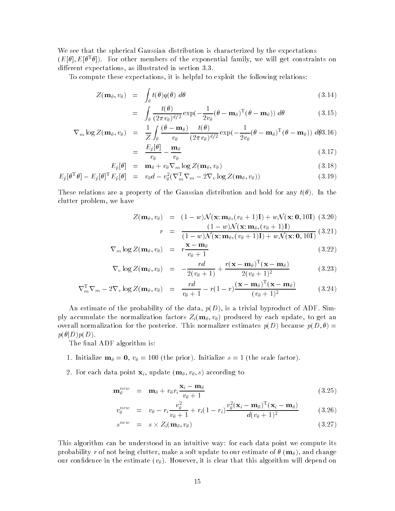We see that the spherical Gaussian distribution is characterized by the expectations  $(E[\sigma],E[\sigma^-\sigma])$ . For other members of the exponential family, we will get constraints on different expectations, as illustrated in section  $3.3$ .

To compute these expectations, it is helpful to exploit the following relations:

$$
Z(\mathbf{m}_{\theta}, v_{\theta}) = \int_{\theta} t(\theta)q(\theta) d\theta \qquad (3.14)
$$

$$
= \int_{\theta} \frac{t(\theta)}{(2\pi v_{\theta})^{d/2}} \exp(-\frac{1}{2v_{\theta}}(\theta - \mathbf{m}_{\theta})^{\mathrm{T}}(\theta - \mathbf{m}_{\theta})) d\theta \qquad (3.15)
$$

$$
\nabla_m \log Z(\mathbf{m}_{\theta}, v_{\theta}) = \frac{1}{Z} \int_{\theta} \frac{(\theta - \mathbf{m}_{\theta})}{v_{\theta}} \frac{t(\theta)}{(2\pi v_{\theta})^{d/2}} \exp(-\frac{1}{2v_{\theta}}(\theta - \mathbf{m}_{\theta})^{\mathrm{T}}(\theta - \mathbf{m}_{\theta})) d\theta 3.16)
$$

$$
= \frac{E_{\hat{p}}[\theta]}{v_{\theta}} - \frac{\mathbf{m}_{\theta}}{v_{\theta}} \tag{3.17}
$$

$$
E_{\hat{p}}[\theta] = \mathbf{m}_{\theta} + v_{\theta} \nabla_m \log Z(\mathbf{m}_{\theta}, v_{\theta}) \qquad (3.18)
$$

$$
E_{\hat{p}}[\theta^{\mathrm{T}}\theta] - E_{\hat{p}}[\theta]^{\mathrm{T}}E_{\hat{p}}[\theta] = v_{\theta}d - v_{\theta}^{2}(\nabla_{m}^{\mathrm{T}}\nabla_{m} - 2\nabla_{v}\log Z(\mathbf{m}_{\theta}, v_{\theta}))
$$
\n(3.19)

These relations are a property of the Gaussian distribution and hold for any  $t(\theta)$ . In the clutter problem, we have

$$
Z(\mathbf{m}_{\theta}, v_{\theta}) = (1 - w)\mathcal{N}(\mathbf{x}; \mathbf{m}_{\theta}, (v_{\theta} + 1)\mathbf{I}) + w\mathcal{N}(\mathbf{x}; \mathbf{0}, 10\mathbf{I}) \tag{3.20}
$$

$$
r = \frac{(1 - w)\mathcal{N}(\mathbf{x}; \mathbf{m}_{\theta}, (v_{\theta} + 1)\mathbf{I})}{(1 - w)\mathcal{N}(\mathbf{x}; \mathbf{m}_{\theta}, (v_{\theta} + 1)\mathbf{I})} \tag{3.21}
$$

$$
V = \frac{1}{(1-w)\mathcal{N}(\mathbf{x}; \mathbf{m}_{\theta}, (v_{\theta}+1)\mathbf{I}) + w\mathcal{N}(\mathbf{x}; \mathbf{0}, 10\mathbf{I})} \tag{9.21}
$$

$$
\nabla_m \log Z(\mathbf{m}_{\theta}, v_{\theta}) = r \frac{\mathbf{x} - \mathbf{m}_{\theta}}{v_{\theta} + 1}
$$
 (3.22)

$$
\nabla_v \log Z(\mathbf{m}_{\theta}, v_{\theta}) = -\frac{rd}{2(v_{\theta}+1)} + \frac{r(\mathbf{x}-\mathbf{m}_{\theta})^{\mathrm{T}}(\mathbf{x}-\mathbf{m}_{\theta})}{2(v_{\theta}+1)^2}
$$
(3.23)

$$
\nabla_m^{\mathrm{T}} \nabla_m - 2 \nabla_v \log Z(\mathbf{m}_{\theta}, v_{\theta}) = \frac{rd}{v_{\theta} + 1} - r(1 - r) \frac{(\mathbf{x} - \mathbf{m}_{\theta})^{\mathrm{T}} (\mathbf{x} - \mathbf{m}_{\theta})}{(v_{\theta} + 1)^2}
$$
(3.24)

An estimate of the probability of the data,  $p(D)$ , is a trivial byproduct of ADF. Simply accumulate the normalization factors  $Z_i(\mathbf{m}_{\theta}, v_{\theta})$  produced by each update, to get an overall normalization for the posterior. This normalizer estimates  $p(D)$  because  $p(D, \theta)$  $p(\theta|D)p(D).$ 

The final ADF algorithm is:

- 1. Initialize  $\mathbf{m}_{\theta} = \mathbf{0}$ ,  $v_{\theta} = 100$  (the prior). Initialize  $s = 1$  (the scale factor).
- For each data point xi update m v s according to

$$
\mathbf{m}_{\theta}^{new} = \mathbf{m}_{\theta} + v_{\theta} r_i \frac{\mathbf{x}_i - \mathbf{m}_{\theta}}{v_{\theta} + 1}
$$
 (3.25)

$$
v_{\theta}^{new} = v_{\theta} - r_i \frac{v_{\theta}^2}{v_{\theta} + 1} + r_i (1 - r_i) \frac{v_{\theta}^2 (\mathbf{x}_i - \mathbf{m}_{\theta})^{\mathrm{T}} (\mathbf{x}_i - \mathbf{m}_{\theta})}{d(v_{\theta} + 1)^2}
$$
(3.26)

$$
s^{new} = s \times Z_i(\mathbf{m}_{\theta}, v_{\theta}) \tag{3.27}
$$

This algorithm can be understood in an intuitive way for each data point we compute its probability r of not being clutter, make a soft update to our estimate of  $\theta$  ( $m_\theta$ ), and change our confidence in the estimate  $(v_{\theta})$ . However, it is clear that this algorithm will depend on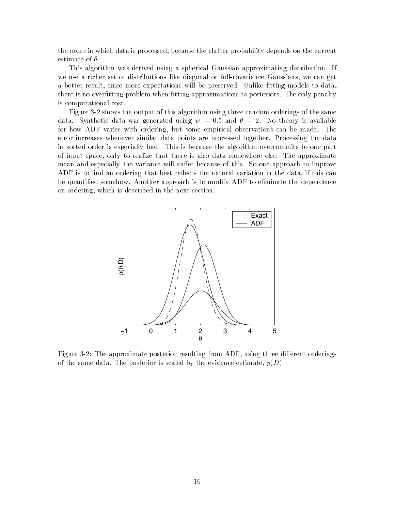the order in which data is processed, because the clutter probability depends on the current estimate of  $\theta$ .

This algorithm was derived using a spherical Gaussian approximating distribution If we use a richer set of distributions like diagonal or full-covariance Gaussians, we can get a better result, since more expectations will be preserved. Unlike fitting models to data, there is no overfitting problem when fitting approximations to posteriors. The only penalty is computational cost

Figure 
- shows the output of this algorithm using three random orderings of the same data Synthetic data was generated using which were the set of the continues of for how ADF varies with ordering, but some empirical observations can be made. The error increases whenever similar data points are processed together. Processing the data in sorted order is especially bad. This is because the algorithm overcommits to one part of input space, only to realize that there is also data somewhere else. The approximate mean and especially the variance will suffer because of this. So one approach to improve ADF is to find an ordering that best reflects the natural variation in the data, if this can be quantified somehow. Another approach is to modify ADF to eliminate the dependence on ordering, which is described in the next section.



Figure 
- The approximate posterior resulting from ADF using three dierent orderings of the same data. The posterior is scaled by the evidence estimate,  $p(D)$ .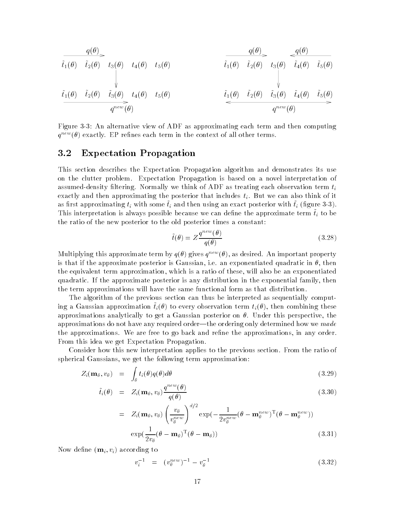$$
\begin{array}{c|c|c} \hline & q(\theta) \\ \hline \tilde{t}_1(\theta) & \tilde{t}_2(\theta) & t_3(\theta) & t_4(\theta) & t_5(\theta) \\ & & & & & \\ \hline & & & & \\ \hline & & & & \\ \hline & & & & \\ \hline & & & & \\ \hline & & & & \\ \hline & & & & \\ \hline & & & & \\ \hline & & & & \\ \hline & & & & \\ \hline & & & & \\ \hline & & & & \\ \hline & & & & \\ \hline & & & & \\ \hline & & & & \\ \hline & & & & \\ \hline & & & & \\ \hline & & & & \\ \hline & & & & \\ \hline & & & & \\ \hline & & & & \\ \hline & & & & \\ \hline & & & & \\ \hline & & & & \\ \hline & & & & \\ \hline & & & & \\ \hline & & & & \\ \hline & & & & \\ \hline & & & & \\ \hline & & & & \\ \hline & & & & \\ \hline & & & & \\ \hline & & & & \\ \hline & & & & \\ \hline & & & & \\ \hline & & & & \\ \hline & & & & \\ \hline & & & & & \\ \hline & & & & & \\ \hline & & & & & \\ \hline & & & & & \\ \hline & & & & & \\ \hline & & & & & \\ \hline & & & & & \\ \hline & & & & & \\ \hline & & & & & \\ \hline & & & & & \\ \hline & & & & & \\ \hline & & & & & \\ \hline & & & & & \\ \hline & & & & & \\ \hline & & & & & \\ \hline & & & & & \\ \hline & & & & & \\ \hline & & & & & \\ \hline & & & & & \\ \hline & & & & & \\ \hline & & & & & \\ \hline & & & & & \\ \hline & & & & & \\ \hline & & & & & \\ \hline & & & & & \\ \hline & & & & & \\ \hline & & & & & \\ \hline & & & & & \\ \hline & & & & & \\ \hline & & & & & \\ \hline & & & & & \\ \hline & & & & & \\ \hline & & & & & \\ \hline & & & & & \\ \hline & & & & & \\ \hline & & & & & \\ \hline & & & & & \\ \hline & & & & & \\ \hline & & & & & \\ \hline & & & & & & \\ \hline & & & & & & \\ \hline & & & & & & \\ \hline & & & & & & \\ \hline & & & & & &
$$

Figure An alternative view of ADF as approximating each term and then computing  $q^{new}(\theta)$  exactly. EP refines each term in the context of all other terms.

#### $3.2\,$ Expectation Propagation

This section describes the Expectation Propagation algorithm and demonstrates its use on the clutter problem Expectation Propagation is based on a novel interpretation of assumed-density filtering. Normally we think of ADF as treating each observation term  $t_i$ exactly and then approximating the posterior that includes  $t_i$ . But we can also think of it as more approximating  $\epsilon_l$  with some  $\epsilon_l$  and then using an exact posterior with  $\epsilon_l$  (ngure  $\sigma$   $\sigma_l$ , This interpretation is always possible because we can denne the approximate term  $i_l$  to be the ratio of the new posterior to the old posterior times a constant

$$
\tilde{t}(\theta) = Z \frac{q^{new}(\theta)}{q(\theta)}
$$
\n(3.28)

Multiplying this approximate term by  $q(\theta)$  gives  $q^{new}(\theta)$ , as desired. An important property is that if the approximate posterior is Gaussian, i.e. an exponentiated quadratic in  $\theta$ , then the equivalent term approximation, which is a ratio of these, will also be an exponentiated quadratic. If the approximate posterior is any distribution in the exponential family, then the term approximations will have the same functional form as that distribution

The algorithm of the previous section can thus be interpreted as sequentially comput  $\max$  a Gaussian approximation  $v_i$  (v) to every observation term  $v_i$  (v), then combining these approximations analytically to get a Gaussian posterior on  $\theta$ . Under this perspective, the approximations do not have any required order—the ordering only determined how we made the approximations. We are free to go back and refine the approximations, in any order. From this idea we get Expectation Propagation

Consider how this new interpretation applies to the previous section From the ratio of spherical Gaussians, we get the following term approximation:

$$
Z_i(\mathbf{m}_{\theta}, v_{\theta}) = \int_{\theta} t_i(\theta) q(\theta) d\theta \qquad (3.29)
$$

$$
\tilde{t}_i(\theta) = Z_i(\mathbf{m}_{\theta}, v_{\theta}) \frac{q^{new}(\theta)}{q(\theta)}
$$
\n(3.30)

$$
= Z_i(\mathbf{m}_{\theta}, v_{\theta}) \left(\frac{v_{\theta}}{v_{\theta}^{new}}\right)^{d/2} \exp\left(-\frac{1}{2v_{\theta}^{new}}(\theta - \mathbf{m}_{\theta}^{new})^{\mathrm{T}}(\theta - \mathbf{m}_{\theta}^{new})\right)
$$

$$
\exp\left(\frac{1}{2v_{\theta}}(\theta - \mathbf{m}_{\theta})^{\mathrm{T}}(\theta - \mathbf{m}_{\theta})\right) \tag{3.31}
$$

Now define  $(\mathbf{m}_i, v_i)$  according to

$$
v_i^{-1} = (v_\theta^{new})^{-1} - v_\theta^{-1} \tag{3.32}
$$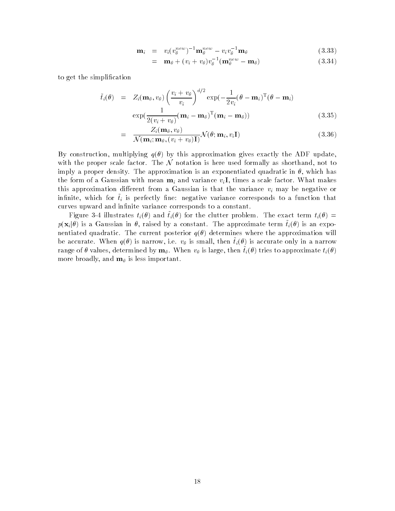$$
\mathbf{m}_i = v_i (v_\theta^{new})^{-1} \mathbf{m}_\theta^{new} - v_i v_\theta^{-1} \mathbf{m}_\theta \tag{3.33}
$$

$$
= \mathbf{m}_{\theta} + (v_i + v_{\theta})v_{\theta}^{-1}(\mathbf{m}_{\theta}^{new} - \mathbf{m}_{\theta}) \qquad (3.34)
$$

to get the simplication

$$
\tilde{t}_i(\theta) = Z_i(\mathbf{m}_{\theta}, v_{\theta}) \left(\frac{v_i + v_{\theta}}{v_i}\right)^{d/2} \exp\left(-\frac{1}{2v_i}(\theta - \mathbf{m}_i)^{\mathrm{T}}(\theta - \mathbf{m}_i)\right) \exp\left(\frac{1}{2(v_i + v_{\theta})}(\mathbf{m}_i - \mathbf{m}_{\theta})^{\mathrm{T}}(\mathbf{m}_i - \mathbf{m}_{\theta})\right)
$$
\n(3.35)

$$
= \frac{Z_i(\mathbf{m}_{\theta}, v_{\theta})}{\mathcal{N}(\mathbf{m}_i; \mathbf{m}_{\theta}, (v_i + v_{\theta})\mathbf{I})} \mathcal{N}(\theta; \mathbf{m}_i, v_i \mathbf{I})
$$
(3.36)

By construction, multiplying  $q(\theta)$  by this approximation gives exactly the ADF update, with the proper scale factor. The  $\mathcal N$  notation is here used formally as shorthand, not to imply a proper density. The approximation is an exponentiated quadratic in  $\theta$ , which has the form of a Gaussian with mean  $m_i$  and variance  $v_i$ , times a scale factor. What makes this approximation different from a Gaussian is that the variance  $v_i$  may be negative or  $\min\limits_{i=1}^{\infty}$  which for  $v_i$  is perfectly fine. In and variance corresponds to a function that curves upward and infinite variance corresponds to a constant.

**Figure**  $\sigma$  + individues  $v_i(\sigma)$  and  $v_i(\sigma)$  for the eration problem. The exact term  $v_i(\sigma)$  =  $p(\mathbf{x}_i|\theta)$  is a Gaussian in  $\theta$ , raised by a constant. The approximate term  $\tilde{t}_i(\theta)$  is an exponentiated quadratic. The current posterior  $q(\theta)$  determines where the approximation will be accurate. When  $q(\theta)$  is narrow, i.e.  $v_{\theta}$  is small, then  $\tilde{t}_i(\theta)$  is accurate only in a narrow range of  $\theta$  values, determined by  $\mathbf{m}_{\theta}$ . When  $v_{\theta}$  is large, then  $\tilde{t}_i(\theta)$  tries to approximate  $t_i(\theta)$ more broadly, and  $\mathbf{m}_{\theta}$  is less important.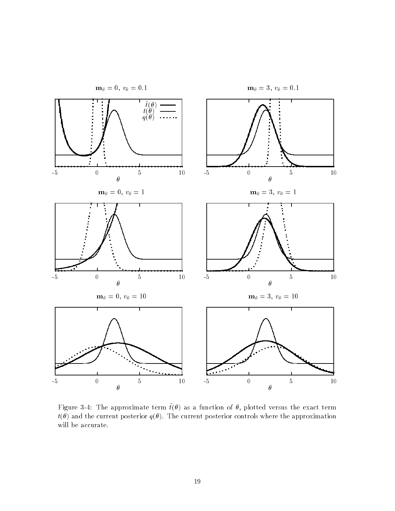

 $\Gamma$ igure  $\sigma$  -r. The approximate term  $\iota(\sigma)$  as a function of  $\sigma$ , protted versus the exact term  $t(\theta)$  and the current posterior  $q(\theta)$ . The current posterior controls where the approximation will be accurate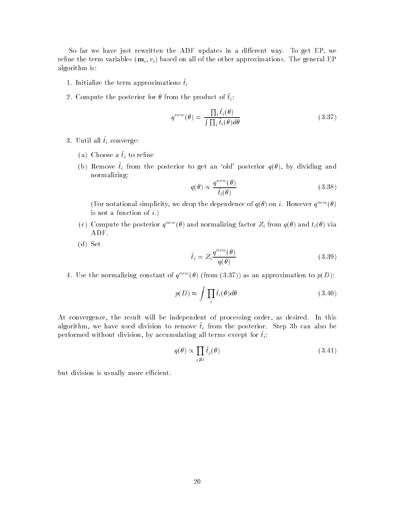So far we have just rewritten the ADF updates in a different way. To get EP, we refine the term variables  $(\mathbf{m}_i, v_i)$  based on all of the other approximations. The general EP algorithm is

- 1. Initialize the term approximations  $\tilde{t}_i$
- $\mathcal{L}$ . Compute the posterior for  $\theta$  from the product of  $v_i$ .

$$
q^{new}(\theta) = \frac{\prod_{i} \tilde{t}_{i}(\theta)}{\int \prod_{i} \tilde{t}_{i}(\theta) d\theta}
$$
\n(3.37)

- $\mathbf{v}$ . Until all  $v_i$  converge.
	- (a) Choose a  $\tilde{t}_i$  to refine
	- (b) Remove  $i_l$  from the posterior to get an old posterior  $q(v_j, v_j)$  dividing and normalizing

$$
q(\theta) \propto \frac{q^{new}(\theta)}{\tilde{t}_i(\theta)}\tag{3.38}
$$

(For notational simplicity, we drop the dependence of  $q(\theta)$  on i. However  $q^{new}(\theta)$ is not a function of  $i$ .)

- (c) Compute the posterior  $q^{new}(\theta)$  and normalizing factor  $Z_i$  from  $q(\theta)$  and  $t_i(\theta)$  via ADF
- $(d)$  Set

$$
\tilde{t}_i = Z_i \frac{q^{new}(\theta)}{q(\theta)}\tag{3.39}
$$

4. Use the normalizing constant of  $q^{new}(\theta)$  (from (3.37)) as an approximation to  $p(D)$ :

$$
p(D) \approx \int \prod_i \tilde{t}_i(\theta) d\theta \tag{3.40}
$$

At convergence, the result will be independent of processing order, as desired. In this  $a$ igorithm, we have used division to remove  $t_i$  from the posterior. Diep ob can also be performed without division, by accumulating all terms except for  $\tilde{t}_i$ :

$$
q(\theta) \propto \prod_{j \neq i} \tilde{t}_j(\theta) \tag{3.41}
$$

but division is usually more efficient.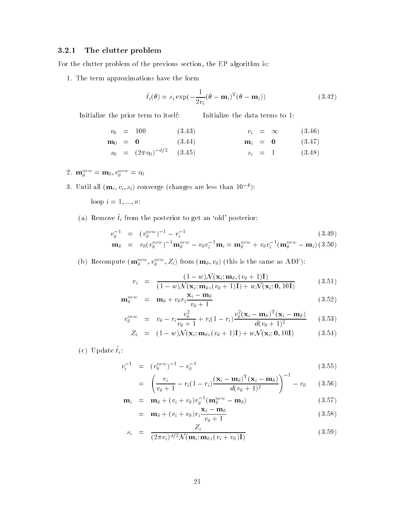### The clutter problem

For the clutter problem of the previous section, the EP algorithm is:

1. The term approximations have the form

$$
\tilde{t}_i(\theta) = s_i \exp\left(-\frac{1}{2v_i}(\theta - \mathbf{m}_i)^{\mathrm{T}}(\theta - \mathbf{m}_i)\right) \tag{3.42}
$$

Initialize the prior term to itself Initialize the data terms to

$$
v_0 = 100 \t(3.43) \t v_i = \infty \t(3.46) \nm_0 = 0 \t(3.44) \t m_i = 0 \t(3.47) \ns_0 = (2\pi v_0)^{-d/2} \t(3.45) \t s_i = 1 \t(3.48)
$$

- 2.  $\mathbf{m}_{\theta}^{\perp} = \mathbf{m}_0, v_{\theta}^{\perp} = v_0$
- $\sigma$ . Until all  $(\mathbf{m}_i, v_i, s_i)$  converge (changes are less than T0  $^{-1}$ ).

loop in the state of the state of the state of the state of the state of the state of the state of the state o

(a) Remove  $\tilde{t}_i$  from the posterior to get an 'old' posterior:

$$
v_{\theta}^{-1} = (v_{\theta}^{new})^{-1} - v_i^{-1}
$$
 (3.49)

$$
\mathbf{m}_{\theta} = v_{\theta}(v_{\theta}^{new})^{-1} \mathbf{m}_{\theta}^{new} - v_{\theta}v_{i}^{-1}\mathbf{m}_{i} = \mathbf{m}_{\theta}^{new} + v_{\theta}v_{i}^{-1}(\mathbf{m}_{\theta}^{new} - \mathbf{m}_{i}) \ (3.50)
$$

(b) Recompute  $(\mathbf{m}_{\theta}^{\text{max}}, v_{\theta}^{\text{max}}, z_i)$  from  $(\mathbf{m}_{\theta}, v_{\theta})$  (this is the same as ADF):

$$
r_i = \frac{(1 - w)\mathcal{N}(\mathbf{x}_i; \mathbf{m}_{\theta}, (v_{\theta} + 1)\mathbf{I})}{(1 - w)\mathcal{N}(\mathbf{x}_i; \mathbf{m}_{\theta}, (v_{\theta} + 1)\mathbf{I}) + w\mathcal{N}(\mathbf{x}_i; \mathbf{0}, 10\mathbf{I})}
$$
(3.51)

$$
\mathbf{m}_{\theta}^{new} = \mathbf{m}_{\theta} + v_{\theta} r_i \frac{\mathbf{x}_i - \mathbf{m}_{\theta}}{v_{\theta} + 1}
$$
 (3.52)

$$
v_{\theta}^{new} = v_{\theta} - r_i \frac{v_{\theta}^2}{v_{\theta} + 1} + r_i (1 - r_i) \frac{v_{\theta}^2 (\mathbf{x}_i - \mathbf{m}_{\theta})^{\mathrm{T}} (\mathbf{x}_i - \mathbf{m}_{\theta})}{d(v_{\theta} + 1)^2}
$$
(3.53)

$$
Z_i = (1 - w)\mathcal{N}(\mathbf{x}_i; \mathbf{m}_{\theta}, (v_{\theta} + 1)\mathbf{I}) + w\mathcal{N}(\mathbf{x}_i; \mathbf{0}, 10\mathbf{I})
$$
(3.54)

 $\{c_j\}$  opdate  $v_i$ .

$$
v_i^{-1} = (v_\theta^{new})^{-1} - v_\theta^{-1} \tag{3.55}
$$

$$
= \left(\frac{r_i}{v_{\theta}+1} - r_i(1-r_i)\frac{(\mathbf{x}_i - \mathbf{m}_{\theta})^{\mathrm{T}}(\mathbf{x}_i - \mathbf{m}_{\theta})}{d(v_{\theta}+1)^2}\right)^{-1} - v_{\theta} \qquad (3.56)
$$

$$
\mathbf{m}_i = \mathbf{m}_\theta + (v_i + v_\theta)v_\theta^{-1}(\mathbf{m}_\theta^{new} - \mathbf{m}_\theta) \tag{3.57}
$$

$$
= \mathbf{m}_{\theta} + (v_i + v_{\theta}) r_i \frac{\mathbf{x}_i - \mathbf{m}_{\theta}}{v_{\theta} + 1}
$$
 (3.58)

$$
s_i = \frac{Z_i}{(2\pi v_i)^{d/2} \mathcal{N}(\mathbf{m}_i; \mathbf{m}_\theta, (v_i + v_\theta)\mathbf{I})}
$$
(3.59)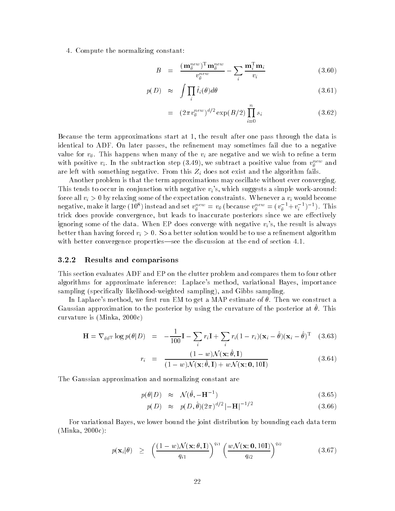4. Compute the normalizing constant:

$$
B = \frac{(\mathbf{m}_{\theta}^{new})^{\mathrm{T}} \mathbf{m}_{\theta}^{new}}{v_{\theta}^{new}} - \sum_{i} \frac{\mathbf{m}_{i}^{\mathrm{T}} \mathbf{m}_{i}}{v_{i}} \tag{3.60}
$$

$$
p(D) \approx \int \prod_i \tilde{t}_i(\theta) d\theta \qquad (3.61)
$$

$$
= (2\pi v_\theta^{new})^{d/2} \exp(B/2) \prod_{i=0}^n s_i \qquad (3.62)
$$

Because the term approximations start at 1, the result after one pass through the data is identical to ADF. On later passes, the refinement may sometimes fail due to a negative value for  $v_{\theta}$ . This happens when many of the  $v_i$  are negative and we wish to refine a term with positive  $v_i$ . In the subtraction step (5.49), we subtract a positive value from  $v_\theta$  and are left with something negative. From this  $Z_i$  does not exist and the algorithm fails.

Another problem is that the term approximations may oscillate without ever converging This tends to occur in conjunction with negative  $v_i$ 's, which suggests a simple work-around: force all  $v_i > 0$  by relaxing some of the expectation constraints. Whenever a  $v_i$  would become negative, make it large (10°) instead and set  $v_\theta^{\rm new} = v_\theta$  (because  $v_\theta^{\rm new} = (v_\theta^{\rm new} + v_i^{\rm new})^{-1}$ ). This trick does provide convergence, but leads to inaccurate posteriors since we are effectively ignoring some of the data. When EP does converge with negative  $v_i$ 's, the result is always better than having forced  $v_i > 0$ . So a better solution would be to use a refinement algorithm with better convergence properties—see the discussion at the end of section  $4.1$ .

#### Results and comparisons

This section evaluates ADF and EP on the clutter problem and compares them to four other algorithms for approximate inference Laplaces method variational Bayes importance sampling (specifically likelihood-weighted sampling), and Gibbs sampling.

In Laplace's method, we first run EM to get a MAP estimate of  $\theta$ . Then we construct a Gaussian approximation to the posterior by using the curvature of the posterior at This curvature is matter in the curvature in the curvature in the curvature in the curvature in the curvature in the curvature in the curvature in the curvature in the curvature in the curvature in the curvature in the curvatur

$$
\mathbf{H} = \nabla_{\theta \theta^{\mathrm{T}}} \log p(\theta | D) = -\frac{1}{100} \mathbf{I} - \sum_{i} r_i \mathbf{I} + \sum_{i} r_i (1 - r_i) (\mathbf{x}_i - \hat{\theta}) (\mathbf{x}_i - \hat{\theta})^{\mathrm{T}} \quad (3.63)
$$

$$
r_i = \frac{(1 - w)\mathcal{N}(\mathbf{x}; \hat{\theta}, \mathbf{I})}{(1 - w)\mathcal{N}(\mathbf{x}; \hat{\theta}, \mathbf{I}) + w\mathcal{N}(\mathbf{x}; \mathbf{0}, 10\mathbf{I})}
$$
(3.64)

The Gaussian approximation and normalizing constant are

$$
p(\theta|D) \approx \mathcal{N}(\hat{\theta}, -\mathbf{H}^{-1}) \tag{3.65}
$$

$$
p(D) \approx p(D, \hat{\theta})(2\pi)^{d/2} |-\mathbf{H}|^{-1/2}
$$
\n(3.66)

For variational Bayes, we lower bound the joint distribution by bounding each data term Minka -c

$$
p(\mathbf{x}_i|\theta) \geq \left(\frac{(1-w)\mathcal{N}(\mathbf{x};\theta,\mathbf{I})}{q_{i1}}\right)^{q_{i1}} \left(\frac{w\mathcal{N}(\mathbf{x};\mathbf{0},10\mathbf{I})}{q_{i2}}\right)^{q_{i2}} \tag{3.67}
$$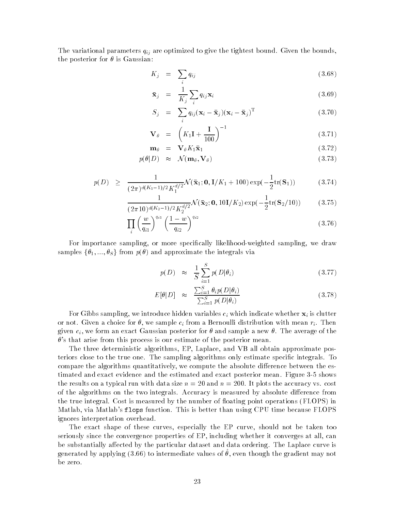The variational parameters  $q_{ij}$  are optimized to give the tightest bound. Given the bounds, the posterior for  $\theta$  is Gaussian:

$$
K_j = \sum_i q_{ij} \tag{3.68}
$$

$$
\bar{\mathbf{x}}_j = \frac{1}{K_j} \sum_i q_{ij} \mathbf{x}_i \tag{3.69}
$$

$$
S_j = \sum_i q_{ij} (\mathbf{x}_i - \bar{\mathbf{x}}_j) (\mathbf{x}_i - \bar{\mathbf{x}}_j)^{\mathrm{T}}
$$
(3.70)

$$
\mathbf{V}_{\theta} = \left(K_1 \mathbf{I} + \frac{\mathbf{I}}{100}\right)^{-1} \tag{3.71}
$$

$$
\mathbf{m}_{\theta} = \mathbf{V}_{\theta} K_1 \bar{\mathbf{x}}_1 \tag{3.72}
$$

$$
p(\theta|D) \approx \mathcal{N}(\mathbf{m}_{\theta}, \mathbf{V}_{\theta}) \tag{3.73}
$$

$$
p(D) \geq \frac{1}{(2\pi)^{d(K_1-1)/2} K_1^{d/2}} \mathcal{N}(\bar{\mathbf{x}}_1; \mathbf{0}, \mathbf{I}/K_1 + 100) \exp(-\frac{1}{2} \text{tr}(\mathbf{S}_1))
$$
 (3.74)

$$
\frac{1}{(2\pi 10)^{d(K_2-1)/2} K_2^{d/2}} \mathcal{N}(\bar{\mathbf{x}}_2; \mathbf{0}, 10\mathbf{I}/K_2) \exp(-\frac{1}{2} \text{tr}(\mathbf{S}_2/10))
$$
(3.75)

$$
\prod_{i} \left(\frac{w}{q_{i1}}\right)^{q_{i1}} \left(\frac{1-w}{q_{i2}}\right)^{q_{i2}} \tag{3.76}
$$

For importance sampling, or more specifically likelihood-weighted sampling, we draw samples  $\{\theta_1, ..., \theta_S\}$  from  $p(\theta)$  and approximate the integrals via

$$
p(D) \approx \frac{1}{S} \sum_{i=1}^{S} p(D|\theta_i)
$$
\n(3.77)

$$
E[\theta|D] \approx \frac{\sum_{i=1}^{S} \theta_i p(D|\theta_i)}{\sum_{i=1}^{S} p(D|\theta_i)}
$$
(3.78)

For Gibbs sampling, we introduce hidden variables  $c_i$  which indicate whether  $\mathbf{x}_i$  is clutter or not. Given a choice for  $\theta$ , we sample  $c_i$  from a Bernoulli distribution with mean  $r_i$ . Then given  $c_i$ , we form an exact Gaussian posterior for  $\theta$  and sample a new  $\theta$ . The average of the  $\theta$ 's that arise from this process is our estimate of the posterior mean.

The three deterministic algorithms, EP, Laplace, and VB all obtain approximate posteriors close to the true one. The sampling algorithms only estimate specific integrals. To compare the algorithms quantitatively, we compute the absolute difference between the estimated and exact evidence and the estimated and exact posterior mean. Figure 3-5 shows the results on a typical run with data size  $\alpha$  . It is a size  $\alpha$  or an accuracy variable costs of the algorithms on the two integrals. Accuracy is measured by absolute difference from the true integral. Cost is measured by the number of floating point operations (FLOPS) in Matlab, via Matlab's flops function. This is better than using CPU time because FLOPS ignores interpretation overhead

The exact shape of these curves, especially the EP curve, should not be taken too seriously since the convergence properties of EP, including whether it converges at all, can be substantially affected by the particular dataset and data ordering. The Laplace curve is generated by apprying (5.00) to intermediate values of  $v$ , even though the gradient may not be zero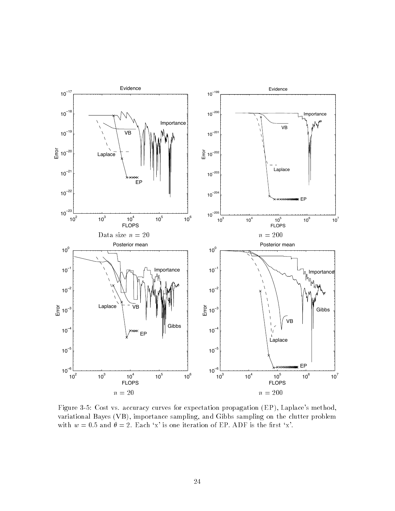

Figure Cost vs accuracy curves for expectation propagation EP Laplaces method variational Bayes  $(VB)$ , importance sampling, and Gibbs sampling on the clutter problem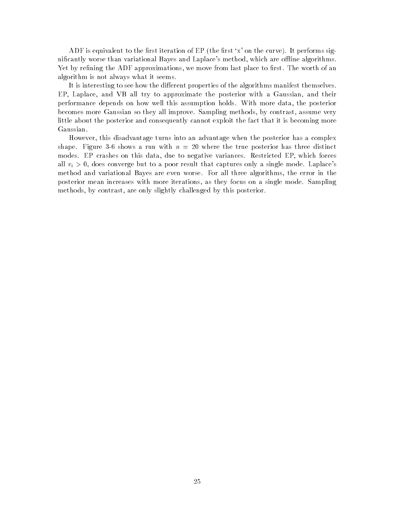ADF is equivalent to the first iteration of EP (the first 'x' on the curve). It performs significantly worse than variational Bayes and Laplace's method, which are offline algorithms. Yet by refining the ADF approximations, we move from last place to first. The worth of an algorithm is not always what it seems

It is interesting to see how the different properties of the algorithms manifest themselves. EP, Laplace, and VB all try to approximate the posterior with a Gaussian, and their performance depends on how well this assumption holds. With more data, the posterior becomes more Gaussian so they all improve. Sampling methods, by contrast, assume very little about the posterior and consequently cannot exploit the fact that it is becoming more Gaussian

However, this disadvantage turns into an advantage when the posterior has a complex shape Figure 
 shows a run with n - where the true posterior has three distinct modes. EP crashes on this data, due to negative variances. Restricted EP, which forces all  $v_i > 0$ , does converge but to a poor result that captures only a single mode. Laplace's method and variational Bayes are even worse. For all three algorithms, the error in the posterior mean increases with more iterations, as they focus on a single mode. Sampling methods, by contrast, are only slightly challenged by this posterior.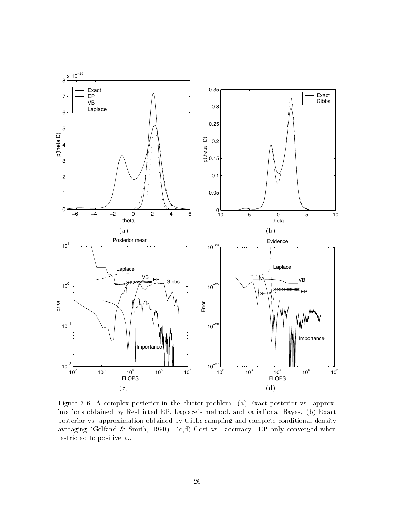

Figure A complex posterior in the clutter problem a Exact posterior vs approx imations obtained by Restricted EP, Laplace's method, and variational Bayes. (b) Exact posterior vs approximation obtained by Gibbs sampling and complete conditional density averaging (Gelfand & Smith, 1990).  $(c,d)$  Cost vs. accuracy. EP only converged when restricted to positive  $v_i$ .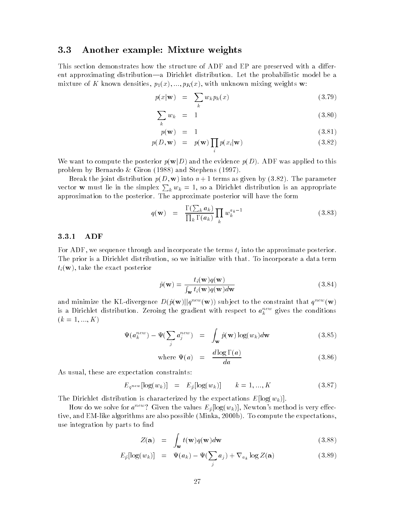#### 3.3 Another example: Mixture weights

This section demonstrates how the structure of ADF and EP are preserved with a different approximating distribution—a Dirichlet distribution. Let the probabilistic model be a mixture of K known densities p-x --- pKx with unknown mixing weights w

$$
p(x|\mathbf{w}) = \sum_{k} w_k p_k(x) \tag{3.79}
$$

$$
\sum_{k} w_k = 1 \tag{3.80}
$$

$$
p(\mathbf{w}) = 1 \tag{3.81}
$$

$$
p(D, \mathbf{w}) = p(\mathbf{w}) \prod_{i} p(x_i | \mathbf{w})
$$
\n(3.82)

We want to compute the posterior  $p(\mathbf{w}|D)$  and the evidence  $p(D)$ . ADF was applied to this problem by Bernardo  $\&$  Giron (1988) and Stephens (1997).

Break the joint distribution pD w into n terms as given by 
- The parameter vector **w** must lie in the simplex  $\sum_k w_k = 1$ , so a Dirichlet distribution is an appropriate approximation to the posterior The approximate posterior will have the form

$$
q(\mathbf{w}) = \frac{\Gamma(\sum_{k} a_k)}{\prod_{k} \Gamma(a_k)} \prod_{k} w_k^{a_k - 1}
$$
 (3.83)

#### ADF

For ADF, we sequence through and incorporate the terms  $t_i$  into the approximate posterior. The prior is a Dirichlet distribution, so we initialize with that. To incorporate a data term  $t_i(\mathbf{w})$ , take the exact posterior

$$
\hat{p}(\mathbf{w}) = \frac{t_i(\mathbf{w})q(\mathbf{w})}{\int_{\mathbf{w}} t_i(\mathbf{w})q(\mathbf{w})d\mathbf{w}} \tag{3.84}
$$

and minimize the KL-divergence  $D(\hat{p}(\mathbf{w})||q^{new}(\mathbf{w}))$  subject to the constraint that  $q^{new}(\mathbf{w})$ is a Dirichlet distribution. Zeroing the gradient with respect to  $a_k^{\tau,-}$  gives the conditions  $k$  -  $k$  -  $k$  -  $k$  -  $k$  -  $k$  -  $k$  -  $k$  -  $k$  -  $k$  -  $k$  -  $k$  -  $k$  -  $k$  -  $k$  -  $k$  -  $k$  -  $k$  -  $k$  -  $k$  -  $k$  -  $k$  -  $k$  -  $k$  -  $k$  -  $k$  -  $k$  -  $k$  -  $k$  -  $k$  -  $k$  -  $k$  -  $k$  -  $k$  -  $k$  -  $k$  -  $k$  -

$$
\Psi(a_k^{new}) - \Psi(\sum_j a_j^{new}) = \int_{\mathbf{w}} \hat{p}(\mathbf{w}) \log(w_k) d\mathbf{w}
$$
\n(3.85)

where 
$$
\Psi(a) = \frac{d \log \Gamma(a)}{da}
$$
 (3.86)

As usual, these are expectation constraints:

$$
E_{q^{new}}[\log(w_k)] = E_{\hat{p}}[\log(w_k)] \qquad k = 1, ..., K \qquad (3.87)
$$

The Dirichlet distribution is characterized by the expectations  $E[\log(w_k)]$ .

How do we solve for  $a^{new}$ ? Given the values  $E_{\hat{p}}[log(w_k)]$ , Newton's method is very effective and EMlike algorithms are also possible Minka -b To compute the expectations use integration by parts to find

$$
Z(\mathbf{a}) = \int_{\mathbf{w}} t(\mathbf{w}) q(\mathbf{w}) d\mathbf{w}
$$
 (3.88)

$$
E_{\hat{p}}[\log(w_k)] = \Psi(a_k) - \Psi(\sum_j a_j) + \nabla_{a_k} \log Z(\mathbf{a}) \qquad (3.89)
$$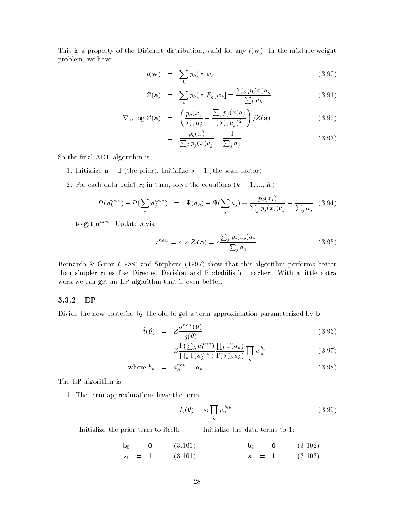This is a property of the Dirichlet distribution, valid for any  $t(\mathbf{w})$ . In the mixture weight problem, we have

$$
t(\mathbf{w}) = \sum_{k} p_k(x) w_k \tag{3.90}
$$

$$
Z(\mathbf{a}) = \sum_{k} p_k(x) E_q[w_k] = \frac{\sum_{k} p_k(x) a_k}{\sum_{k} a_k} \tag{3.91}
$$

$$
\nabla_{a_k} \log Z(\mathbf{a}) = \left( \frac{p_k(x)}{\sum_j a_j} - \frac{\sum_j p_j(x) a_j}{(\sum_j a_j)^2} \right) / Z(\mathbf{a}) \tag{3.92}
$$

$$
= \frac{p_k(x)}{\sum_j p_j(x)a_j} - \frac{1}{\sum_j a_j} \tag{3.93}
$$

So the final ADF algorithm is

- 1. Initialize  $a = 1$  (the prior). Initialize  $s = 1$  (the scale factor).
- For each data point xi in turn solve the equations k --- K

$$
\Psi(a_k^{new}) - \Psi(\sum_j a_j^{new}) = \Psi(a_k) - \Psi(\sum_j a_j) + \frac{p_k(x_i)}{\sum_j p_j(x_i) a_j} - \frac{1}{\sum_j a_j} (3.94)
$$

to get  $\mathbf{a}^{new}$ . Update s via

$$
s^{new} = s \times Z_i(\mathbf{a}) = s \frac{\sum_j p_j(x_i) a_j}{\sum_j a_j} \tag{3.95}
$$

Bernardo & Giron  $(1988)$  and Stephens  $(1997)$  show that this algorithm performs better than simpler rules like Directed Decision and Probabilistic Teacher. With a little extra work we can get an EP algorithm that is even better

#### EP

Divide the new posterior by the old to get a term approximation parameterized by **b**:

$$
\tilde{t}(\theta) = Z \frac{q^{new}(\theta)}{q(\theta)} \tag{3.96}
$$

$$
= Z \frac{\Gamma(\sum_{k} a_{k}^{new})}{\prod_{k} \Gamma(a_{k}^{new})} \frac{\prod_{k} \Gamma(a_{k})}{\Gamma(\sum_{k} a_{k})} \prod_{k} w_{k}^{b_{k}}
$$
(3.97)

where 
$$
b_k = a_k^{new} - a_k
$$
 (3.98)

The EP algorithm is

1. The term approximations have the form

$$
\tilde{t}_i(\theta) = s_i \prod_k w_k^{b_{ik}} \tag{3.99}
$$

Initialize the prior term to itself

Initialize the data terms to

 $\mathbf{b}_0 = \mathbf{0}$  $(3.100)$  $s_0 = 1$  $(3.101)$  $\mathbf{b}_i = \mathbf{0}$  $(3.102)$  $s_i = 1$  (3.103)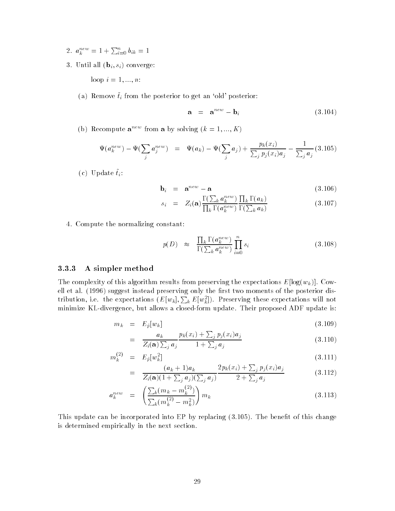- 2.  $a_k^{new} = 1 + \sum_{i=0}^n b_{ik} = 1$
- 3. Until all  $(\mathbf{b}_i, s_i)$  converge:

loop i --- n

(a) Remove  $\tilde{t}_i$  from the posterior to get an 'old' posterior:

$$
\mathbf{a} = \mathbf{a}^{new} - \mathbf{b}_i \tag{3.104}
$$

(b) Recompute  ${\bf a}^{n-1}$  from a by solving  $\kappa = 1, ..., n$ )

$$
\Psi(a_k^{new}) - \Psi(\sum_j a_j^{new}) = \Psi(a_k) - \Psi(\sum_j a_j) + \frac{p_k(x_i)}{\sum_j p_j(x_i) a_j} - \frac{1}{\sum_j a_j} (3.105)
$$

 $\{c_j\}$  c put to  $v_i$ .

$$
\mathbf{b}_i = \mathbf{a}^{new} - \mathbf{a} \tag{3.106}
$$

$$
s_i = Z_i(\mathbf{a}) \frac{\Gamma(\sum_k a_k^{new})}{\prod_k \Gamma(a_k^{new})} \frac{\prod_k \Gamma(a_k)}{\Gamma(\sum_k a_k)} \tag{3.107}
$$

4. Compute the normalizing constant:

$$
p(D) \approx \frac{\prod_{k} \Gamma(a_k^{new})}{\Gamma(\sum_{k} a_k^{new})} \prod_{i=0}^{n} s_i
$$
\n(3.108)

#### A simpler method

The complexity of this algorithm results from preserving the expectations  $E[\log(w_k)]$ . Cowell et al. (1996) suggest instead preserving only the first two moments of the posterior distribution, i.e. the expectations  $(E[w_k], \sum_k E[w_k^2])$ . Preserving these expectations will not minimize KL-divergence, but allows a closed-form update. Their proposed ADF update is:

$$
m_k = E_{\hat{p}}[w_k] \tag{3.109}
$$

$$
= \frac{a_k}{Z_i(\mathbf{a})\sum_j a_j} \frac{p_k(x_i) + \sum_j p_j(x_i)a_j}{1 + \sum_j a_j} \tag{3.110}
$$

$$
m_k^{(2)} = E_{\hat{p}}[w_k^2]
$$
\n
$$
(a_k + 1)a_k \qquad \qquad 2p_k(x_i) + \sum_j p_j(x_i)a_j
$$
\n
$$
(3.111)
$$

$$
= \frac{(a_k+1)a_k}{Z_i(\mathbf{a})(1+\sum_j a_j)(\sum_j a_j)} \frac{2p_k(x_i)+\sum_j p_j(x_i)a_j}{2+\sum_j a_j} \tag{3.112}
$$

$$
a_k^{new} = \left(\frac{\sum_k (m_k - m_k^{(2)})}{\sum_k (m_k^{(2)} - m_k^2)}\right) m_k \tag{3.113}
$$

This update can be incorporated into EP by replacing  $(3.105)$ . The benefit of this change is determined empirically in the next section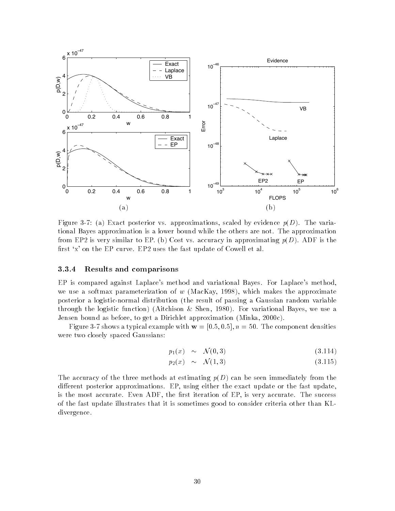

Figure a Exact posterior vs approximations scaled by evidence pD The varia tional Bayes approximation is a lower bound while the others are not The approximation from EP- is very similar to EP b Cost vs accuracy in approximating pD ADF is the rst x on the EP curve EP- uses the fast update of Cowell et al

### Results and comparisons

EP is compared against Laplace's method and variational Bayes. For Laplace's method, we use a softmax parameterization of  $w$  (MacKay, 1998), which makes the approximate posterior a logistic-normal distribution (the result of passing a Gaussian random variable through the logistic function) (Aitchison & Shen, 1980). For variational Bayes, we use a Jensen bound as before to get a Dirichlet approximation Minka -c

Figure 
 shows a typical example with w - - n The component densities were two closely spaced Gaussians

$$
p_1(x) \sim \mathcal{N}(0,3) \tag{3.114}
$$

$$
p_2(x) \sim \mathcal{N}(1,3) \tag{3.115}
$$

The accuracy of the three methods at estimating  $p(D)$  can be seen immediately from the different posterior approximations. EP, using either the exact update or the fast update, is the most accurate. Even ADF, the first iteration of EP, is very accurate. The success of the fast update illustrates that it is sometimes good to consider criteria other than KL divergence.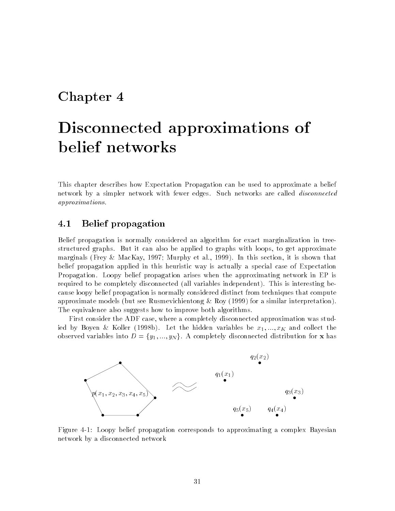### Chapter 4

## Disconnected approximations of  $\mathbf{b}$  is a set of the set of the set of the set of the set of the set of the set of the set of the set of the set of the set of the set of the set of the set of the set of the set of the set of the set of the set of th

This chapter describes how Expectation Propagation can be used to approximate a belief network by a simpler network with fewer edges. Such networks are called *disconnected* approximations

#### $4.1$ Belief propagation

Belief propagation is normally considered an algorithm for exact marginalization in tree structured graphs. But it can also be applied to graphs with loops, to get approximate marginals (Frey & MacKay, 1997; Murphy et al., 1999). In this section, it is shown that belief propagation applied in this heuristic way is actually a special case of Expectation Propagation Loopy belief propagation arises when the approximating network in EP is required to be completely disconnected (all variables independent). This is interesting because loopy belief propagation is normally considered distinct from techniques that compute approximate models (but see Rusmevichientong  $\&$  Roy (1999) for a similar interpretation). The equivalence also suggests how to improve both algorithms.

First consider the ADF case, where a completely disconnected approximation was studied by Boyen and  $\mathbf{E}$  and  $\mathbf{E}$  and  $\mathbf{E}$  and  $\mathbf{E}$  is a set of  $\mathbf{E}$ observed variables into  $D = \{y_1, ..., y_N\}$ . A completely disconnected distribution for **x** has



Figure Loopy belief propagation corresponds to approximating a complex Bayesian network by a disconnected network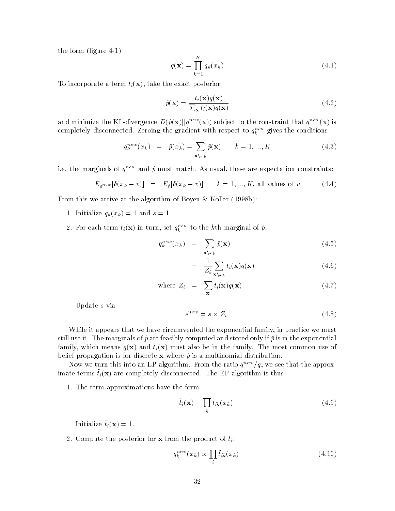the form (figure  $4-1$ )

$$
q(\mathbf{x}) = \prod_{k=1}^{K} q_k(x_k)
$$
\n(4.1)

To incorporate a term  $t_i(\mathbf{x})$ , take the exact posterior

$$
\hat{p}(\mathbf{x}) = \frac{t_i(\mathbf{x})q(\mathbf{x})}{\sum_{\mathbf{x}} t_i(\mathbf{x})q(\mathbf{x})}
$$
(4.2)

and minimize the KL-divergence  $D(\hat{p}(\mathbf{x})||q^{new}(\mathbf{x}))$  subject to the constraint that  $q^{new}(\mathbf{x})$  is completely disconnected. Zeroing the gradient with respect to  $q_k$  and gives the conditions

$$
q_k^{new}(x_k) = \hat{p}(x_k) = \sum_{\mathbf{x}\backslash x_k} \hat{p}(\mathbf{x}) \qquad k = 1, ..., K
$$
 (4.3)

i.e. the marginals of  $q^{new}$  and  $\hat{p}$  must match. As usual, these are expectation constraints:

$$
E_{q^{new}}[\delta(x_k - v)] = E_{\hat{p}}[\delta(x_k - v)] \qquad k = 1, ..., K, \text{ all values of } v \qquad (4.4)
$$

From this we arrive at the algorithm of Boyen  $\&$  Koller (1998b):

- 1. Initialize  $q_k(x_k) = 1$  and  $s = 1$
- 2. For each term  $v_i(\mathbf{x})$  in turn, set  $q_i$  and the kth marginal of p:

$$
q_k^{new}(x_k) = \sum_{\mathbf{x}\setminus x_k} \hat{p}(\mathbf{x}) \tag{4.5}
$$

$$
= \frac{1}{Z_i} \sum_{\mathbf{x} \setminus x_k} t_i(\mathbf{x}) q(\mathbf{x}) \tag{4.6}
$$

where 
$$
Z_i = \sum_{\mathbf{x}} t_i(\mathbf{x}) q(\mathbf{x})
$$
 (4.7)

Update s via

$$
s^{new} = s \times Z_i \tag{4.8}
$$

While it appears that we have circumvented the exponential family, in practice we must still use it. The marginals of  $\hat{p}$  are feasibly computed and stored only if  $\hat{p}$  is in the exponential family, which means  $q(\mathbf{x})$  and  $t_i(\mathbf{x})$  must also be in the family. The most common use of belief propagation is for discrete x where  $\hat{p}$  is a multinomial distribution.

Now we turn this into an EP algorithm. From the ratio  $q^{new}/q$ , we see that the approx- $\lim_{\alpha\to\infty}$  terms  $\iota_i(\mathbf{x})$  are completely disconnected. The EP algorithm is thus.

1. The term approximations have the form

$$
\tilde{t}_i(\mathbf{x}) = \prod_k \tilde{t}_{ik}(x_k)
$$
\n(4.9)

Initialize  $\tilde{t}_i(\mathbf{x}) = 1$ .

 $\mathcal{L}$ . Compute the posterior for  $\mathbf{x}$  from the product of  $v_i$ .

$$
q_k^{new}(x_k) \propto \prod_i \tilde{t}_{ik}(x_k)
$$
\n(4.10)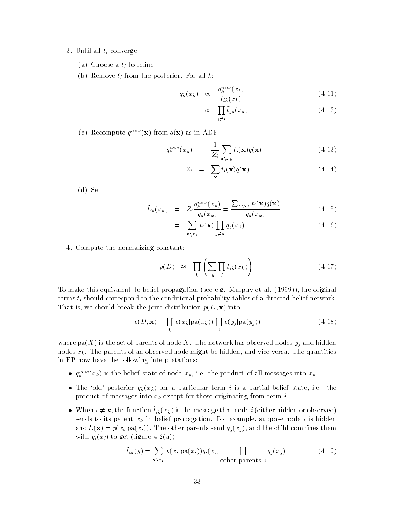- $\sigma$ . Until all  $v_i$  converge.
	- (a) Choose a  $\tilde{t}_i$  to refine
	- (b) Remove  $\tilde{t}_i$  from the posterior. For all k:

$$
q_k(x_k) \propto \frac{q_k^{new}(x_k)}{\tilde{t}_{ik}(x_k)} \tag{4.11}
$$

$$
\propto \prod_{j \neq i} \tilde{t}_{jk}(x_k) \tag{4.12}
$$

(c) Recompute  $q^{new}(\mathbf{x})$  from  $q(\mathbf{x})$  as in ADF.

$$
q_k^{new}(x_k) = \frac{1}{Z_i} \sum_{\mathbf{x} \setminus x_k} t_i(\mathbf{x}) q(\mathbf{x}) \tag{4.13}
$$

$$
Z_i = \sum_{\mathbf{x}} t_i(\mathbf{x}) q(\mathbf{x}) \tag{4.14}
$$

 $(d)$  Set

$$
\tilde{t}_{ik}(x_k) = Z_i \frac{q_k^{new}(x_k)}{q_k(x_k)} = \frac{\sum_{\mathbf{x} \setminus x_k} t_i(\mathbf{x}) q(\mathbf{x})}{q_k(x_k)} \tag{4.15}
$$

$$
= \sum_{\mathbf{x}\backslash x_k} t_i(\mathbf{x}) \prod_{j\neq k} q_j(x_j) \tag{4.16}
$$

4. Compute the normalizing constant:

$$
p(D) \approx \prod_{k} \left( \sum_{x_k} \prod_{i} \tilde{t}_{ik}(x_k) \right) \tag{4.17}
$$

To make this equivalent to belief propagation (see e.g. Murphy et al.  $(1999)$ ), the original terms  $t_i$  should correspond to the conditional probability tables of a directed belief network. That is, we should break the joint distribution  $p(D, \mathbf{x})$  into

$$
p(D, \mathbf{x}) = \prod_{k} p(x_k | pa(x_k)) \prod_{j} p(y_j | pa(y_j))
$$
\n(4.18)

where pa(X) is the set of parents of node X. The network has observed nodes  $y_j$  and hidden nodes  $x_k$ . The parents of an observed node might be hidden, and vice versa. The quantities in EP now have the following interpretations

- $q_k^{new}(x_k)$  is the belief state of node  $x_k$ , i.e. the product of all messages into  $x_k$ .
- $T$  and posterior  $q_{N}$  (we particular term in its and in a particular term is a control state in  $T$ product of messages into  $x_k$  except for those originating from term i.
- When  $i \neq k$ , the function  $\hat{t}_{ik}(x_k)$  is the message that node i (either hidden or observed) sends to its parent  $x_k$  in belief propagation. For example, suppose node i is hidden and  $t_i(\mathbf{x}) = p(x_i | pa(x_i))$ . The other parents send  $q_j(x_j)$ , and the child combines them with  $\mathcal{I}_i$  and  $\mathcal{I}_i$  to get  $\mathcal{I}_i$  to get  $\mathcal{I}_i$  to an  $\mathcal{I}_i$  to an  $\mathcal{I}_i$  to an  $\mathcal{I}_i$

$$
\tilde{t}_{ik}(y) = \sum_{\mathbf{x}\backslash x_k} p(x_i | \text{pa}(x_i)) q_i(x_i) \prod_{\text{other parents } j} q_j(x_j) \tag{4.19}
$$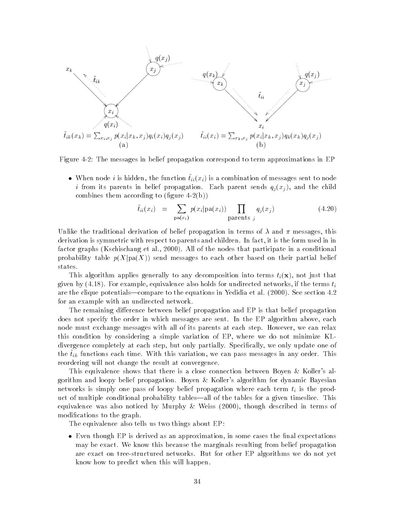

Figure - The messages in belief propagation correspond to term approximations in EP

• When node *i* is hidden, the function  $\tilde{t}_{ii}(x_i)$  is a combination of messages sent to node i from its parents in belief propagation. Each parent sends  $q_j(x_j)$ , and the child combines the contract them a contract of  $\mathbb{R}^n$ 

$$
\tilde{t}_{ii}(x_i) = \sum_{\text{pa}(x_i)} p(x_i | \text{pa}(x_i)) \prod_{\text{parents } j} q_j(x_j) \tag{4.20}
$$

Unlike the traditional derivation of belief propagation in terms of  $\lambda$  and  $\pi$  messages, this derivation is symmetric with respect to parents and children. In fact, it is the form used in in factor graphs Kschischang et al - All of the nodes that participate in a conditional probability table  $p(X|pa(X))$  send messages to each other based on their partial belief states

This algorithm applies generally to any decomposition into terms  $t_i(\mathbf{x})$ , not just that given by  $(4.18)$ . For example, equivalence also holds for undirected networks, if the terms  $t_i$ are the clique potentialscompare to the equations in Yedidia et al - See section for an example with an undirected network

The remaining difference between belief propagation and EP is that belief propagation does not specify the order in which messages are sent. In the EP algorithm above, each node must exchange messages with all of its parents at each step. However, we can relax this condition by considering a simple variation of EP where we do not minimize KL divergence completely at each step, but only partially. Specifically, we only update one of the  $i_k$  functions each time. With this variation, we can pass incosages in any order. This reordering will not change the result at convergence

This equivalence shows that there is a close connection between Boyen & Koller's algorithm and loopy belief propagation. Boyen & Koller's algorithm for dynamic Bayesian networks is simply one pass of loopy belief propagation where each term  $t_i$  is the product of multiple conditional probability tables—all of the tables for a given timeslice. This equivalence was also noticed by MurphyWeiss - though described in terms of modifications to the graph.

The equivalence also tells us two things about EP

 Even though EP is derived as an approximation in some cases the nal expectations may be exact We know this because the marginals resulting from belief propagation are exact on tree-structured networks. But for other EP algorithms we do not yet know how to predict when this will happen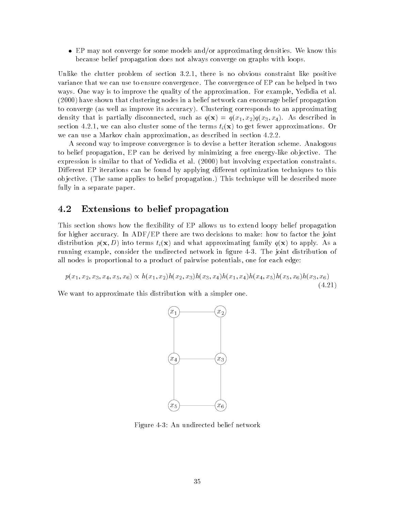$\bullet$  EP may not converge for some models and/or approximating densities. We know this because belief propagation does not always converge on graphs with loops

United the contrat problem of sections and interest and the section constraint material positive co variance that we can use to ensure convergence The convergence of EP can be helped in two ways. One way is to improve the quality of the approximation. For example, Yedidia et al. - have shown that clustering nodes in a belief network can encourage belief propagation to converge (as well as improve its accuracy). Clustering corresponds to an approximating density that is particle such as  $\mathcal{N}$  as  $\mathcal{N}$  as  $\mathcal{N}$  as a  $\mathcal{N}$  as  $\mathcal{N}$  as described in  $\mathcal{N}$ section - - - we can also complete some of the terms  $\{f_{zz}\}$  to  $Q$  , you all he terms to get few we can use a markov chain approximation as described in section as described in section  $\sim$ 

A second way to improve convergence is to devise a better iteration scheme Analogous to belief propagation, EP can be derived by minimizing a free energy-like objective. The expression is similar to that of Yedidia et al - but involving expectation constraints Different EP iterations can be found by applying different optimization techniques to this objective. (The same applies to belief propagation.) This technique will be described more fully in a separate paper

#### 4.2 Extensions to belief propagation

This section shows how the flexibility of EP allows us to extend loopy belief propagation for higher accuracy. In ADF/EP there are two decisions to make: how to factor the joint distribution  $p(\mathbf{x}, D)$  into terms  $t_i(\mathbf{x})$  and what approximating family  $q(\mathbf{x})$  to apply. As a running example, consider the undirected network in figure 4-3. The joint distribution of all nodes is proportional to a product of pairwise potentials, one for each edge:

$$
p(x_1, x_2, x_3, x_4, x_5, x_6) \propto h(x_1, x_2)h(x_2, x_3)h(x_3, x_4)h(x_1, x_4)h(x_4, x_5)h(x_5, x_6)h(x_3, x_6)
$$
\n(4.21)

-

We want to approximate this distribution with a simpler one.



Figure An undirected belief network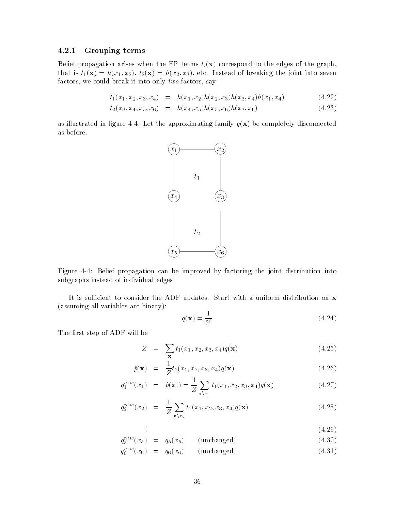### Grouping terms

Belief propagation arises when the EP terms  $t_i(\mathbf{x})$  correspond to the edges of the graph, that is that is that is the first into the first into the first into the joint into seven the joint into seven factors, we could break it into only  $two$  factors, say

$$
t_1(x_1, x_2, x_3, x_4) = h(x_1, x_2)h(x_2, x_3)h(x_3, x_4)h(x_1, x_4)
$$
\n(4.22)

$$
t_2(x_3, x_4, x_5, x_6) = h(x_4, x_5)h(x_5, x_6)h(x_3, x_6)
$$
\n(4.23)

as illustrated in figure 4-4. Let the approximating family  $q(x)$  be completely disconnected as before



Figure Belief propagation can be improved by factoring the joint distribution into subgraphs instead of individual edges

It is sufficient to consider the ADF updates. Start with a uniform distribution on  $x$ (assuming all variables are binary):

$$
q(\mathbf{x}) = \frac{1}{2^6} \tag{4.24}
$$

The first step of ADF will be

$$
Z = \sum_{\mathbf{x}} t_1(x_1, x_2, x_3, x_4) q(\mathbf{x}) \tag{4.25}
$$

$$
\hat{p}(\mathbf{x}) = \frac{1}{Z} t_1(x_1, x_2, x_3, x_4) q(\mathbf{x}) \tag{4.26}
$$

$$
q_1^{new}(x_1) = \hat{p}(x_1) = \frac{1}{Z} \sum_{\mathbf{x} \setminus x_1} t_1(x_1, x_2, x_3, x_4) q(\mathbf{x}) \tag{4.27}
$$

$$
q_2^{new}(x_2) = \frac{1}{Z} \sum_{\mathbf{x} \setminus x_2} t_1(x_1, x_2, x_3, x_4) q(\mathbf{x}) \tag{4.28}
$$

$$
\vdots \tag{4.29}
$$

$$
q_5^{new}(x_5) = q_5(x_5) \qquad \text{(unchanged)} \tag{4.30}
$$

$$
q_6^{new}(x_6) = q_6(x_6) \qquad \text{(unchanged)} \tag{4.31}
$$

 $\mathbf{r} = \mathbf{r}$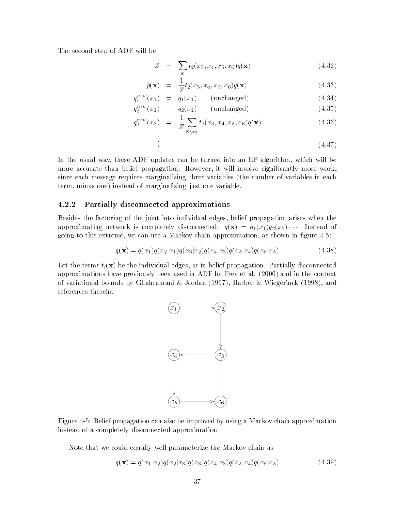The second step of ADF will be

$$
Z = \sum_{\mathbf{x}} t_2(x_3, x_4, x_5, x_6) q(\mathbf{x}) \tag{4.32}
$$

$$
\hat{p}(\mathbf{x}) = \frac{1}{Z} t_2(x_3, x_4, x_5, x_6) q(\mathbf{x}) \tag{4.33}
$$

$$
q_1^{new}(x_1) = q_1(x_1) \qquad \text{(unchanged)} \tag{4.34}
$$

$$
q_2^{new}(x_2) = q_2(x_2) \qquad \text{(unchanged)} \tag{4.35}
$$

$$
q_3^{new}(x_3) = \frac{1}{Z} \sum_{\mathbf{x} \setminus x_3} t_2(x_3, x_4, x_5, x_6) q(\mathbf{x}) \tag{4.36}
$$

$$
\vdots \tag{4.37}
$$

In the usual way, these ADF updates can be turned into an EP algorithm, which will be more accurate than belief propagation. However, it will involve significantly more work, since each message requires marginalizing three variables (the number of variables in each term, minus one) instead of marginalizing just one variable.

### Partially disconnected approximations

Besides the factoring of the joint into individual edges, belief propagation arises when the approximating network is completely disconnected:  $q(\mathbf{x}) = q_1(x_1)q_2(x_2) \cdots$ going to this extreme, we can use a Markov chain approximation, as shown in figure  $4-5$ :

$$
q(\mathbf{x}) = q(x_1)q(x_2|x_1)q(x_3|x_2)q(x_4|x_3)q(x_5|x_4)q(x_6|x_5)
$$
\n(4.38)

Let the terms  $t_i(\mathbf{x})$  be the individual edges, as in belief propagation. Partially disconnected approximations have previously been used in the context of the press  $\mathcal{A}=\{0,1\}$  and in the context of of variational bounds by Ghahramani & Jordan (1997), Barber & Wiegerinck (1998), and references therein



Figure Belief propagation can also be improved by using a Markov chain approximation instead of a completely disconnected approximation

Note that we could equally well parameterize the Markov chain as

$$
q(\mathbf{x}) = q(x_1|x_2)q(x_2|x_3)q(x_3)q(x_4|x_3)q(x_5|x_4)q(x_6|x_5)
$$
\n(4.39)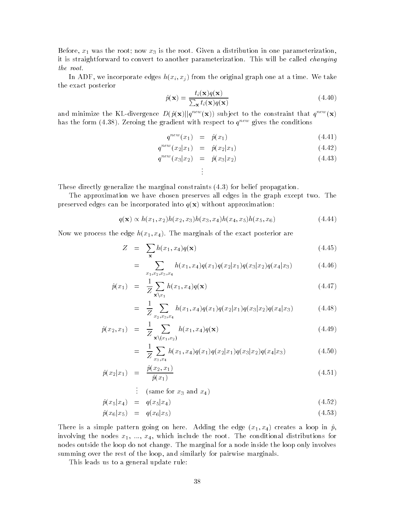Before x- was the root now x is the root Given a distribution in one parameterization it is straightforward to convert to another parameterization. This will be called *changing* the root

In ADF, we incorporate edges  $h(x_i, x_j)$  from the original graph one at a time. We take the exact posterior

$$
\hat{p}(\mathbf{x}) = \frac{t_i(\mathbf{x})q(\mathbf{x})}{\sum_{\mathbf{x}} t_i(\mathbf{x})q(\mathbf{x})}
$$
(4.40)

and minimize the KL-divergence  $D(\hat{p}(\mathbf{x})||q^{new}(\mathbf{x}))$  subject to the constraint that  $q^{new}(\mathbf{x})$ has the form (4.38). Zeroing the gradient with respect to  $q^{new}$  gives the conditions

$$
q^{new}(x_1) = \hat{p}(x_1) \tag{4.41}
$$

$$
q^{new}(x_2|x_1) = \hat{p}(x_2|x_1) \tag{4.42}
$$

$$
q^{new}(x_3|x_2) = \hat{p}(x_3|x_2) \tag{4.43}
$$

These directly generalize the marginal constraints 
$$
(4.3)
$$
 for belief propagation.

The approximation we have chosen preserves all edges in the graph except two. The preserved edges can be incorporated into  $q(\mathbf{x})$  without approximation:

Ð.

$$
q(\mathbf{x}) \propto h(x_1, x_2)h(x_2, x_3)h(x_3, x_4)h(x_4, x_5)h(x_5, x_6)
$$
\n(4.44)

 $\mathbb{R}$  the exact posterior are matter the exact posterior are matter than  $\mathbb{R}$ 

$$
Z = \sum_{\mathbf{x}} h(x_1, x_4) q(\mathbf{x}) \tag{4.45}
$$

$$
= \sum_{x_1, x_2, x_3, x_4} h(x_1, x_4) q(x_1) q(x_2 | x_1) q(x_3 | x_2) q(x_4 | x_3)
$$
(4.46)

$$
\hat{p}(x_1) = \frac{1}{Z} \sum_{\mathbf{x} \setminus x_1} h(x_1, x_4) q(\mathbf{x}) \tag{4.47}
$$

$$
= \frac{1}{Z} \sum_{x_2, x_3, x_4} h(x_1, x_4) q(x_1) q(x_2 | x_1) q(x_3 | x_2) q(x_4 | x_3)
$$
(4.48)

$$
\hat{p}(x_2, x_1) = \frac{1}{Z} \sum_{\mathbf{x} \setminus (x_1, x_2)} h(x_1, x_4) q(\mathbf{x}) \tag{4.49}
$$

$$
= \frac{1}{Z} \sum_{x_3, x_4} h(x_1, x_4) q(x_1) q(x_2 | x_1) q(x_3 | x_2) q(x_4 | x_3)
$$
(4.50)

$$
\hat{p}(x_2|x_1) = \frac{\hat{p}(x_2, x_1)}{\hat{p}(x_1)} \tag{4.51}
$$

 $\therefore$  (same for  $x_3$  and  $x_4$ )

$$
\hat{p}(x_5|x_4) = q(x_5|x_4) \tag{4.52}
$$

$$
\hat{p}(x_6|x_5) = q(x_6|x_5) \tag{4.53}
$$

r is a simple pattern going on the edge x-mattern going the edge x-mattern and the edge x-mattern going the edge x-mattern going the edge x-mattern going the edge x-mattern going the edge x-mattern going the edge x-mattern involving the nodes  $x_1, ..., x_d$  which include the conditional distributions for the conditional distributions for nodes outside the loop do not change. The marginal for a node inside the loop only involves summing over the rest of the loop, and similarly for pairwise marginals.

This leads us to a general update rule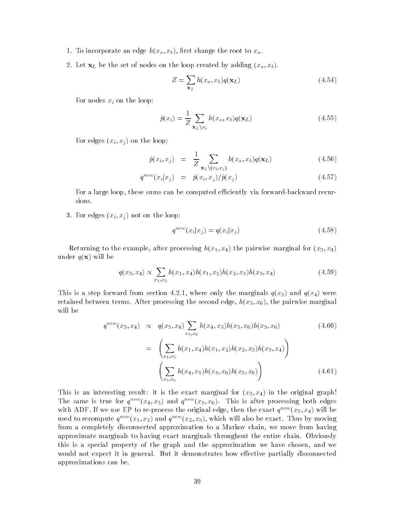- 1. To incorporate an edge  $h(x_a, x_b)$ , first change the root to  $x_a$ .
- Let xL be the set of nodes on the loop created by adding xa xb

$$
Z = \sum_{\mathbf{x}_L} h(x_a, x_b) q(\mathbf{x}_L)
$$
 (4.54)

For nodes  $x_i$  on the loop:

$$
\hat{p}(x_i) = \frac{1}{Z} \sum_{\mathbf{x}_L \setminus x_i} h(x_a, x_b) q(\mathbf{x}_L)
$$
\n(4.55)

For edges  $(x_i, x_j)$  on the loop:

$$
\hat{p}(x_i, x_j) = \frac{1}{Z} \sum_{\mathbf{x}_L \setminus (x_i, x_j)} h(x_a, x_b) q(\mathbf{x}_L)
$$
\n(4.56)

$$
q^{new}(x_i|x_j) = \hat{p}(x_i, x_j) / \hat{p}(x_j) \qquad (4.57)
$$

For a large loop, these sums can be computed efficiently via forward-backward recursions

3. For edges  $(x_i, x_j)$  not on the loop:

$$
q^{new}(x_i|x_j) = q(x_i|x_j) \tag{4.58}
$$

returning to the example after processing hydrogenic processing marginal for young the pairwise marginal for  $\eta$ under  $q(\mathbf{x})$  will be

$$
q(x_3, x_4) \propto \sum_{x_1, x_2} h(x_1, x_4) h(x_1, x_2) h(x_2, x_3) h(x_3, x_4)
$$
\n(4.59)

This is a step forward from section - where  $\alpha$  and  $\alpha$  and  $\alpha$  and  $\alpha$  and  $\alpha$  and  $\alpha$  and  $\alpha$ retained between terms. After processing the second edge,  $h(x_3, x_6)$ , the pairwise marginal will be

$$
q^{new}(x_3, x_4) \propto q(x_3, x_4) \sum_{x_5, x_6} h(x_4, x_5) h(x_5, x_6) h(x_3, x_6)
$$
\n
$$
= \left( \sum_{x_1, x_2} h(x_1, x_4) h(x_1, x_2) h(x_2, x_3) h(x_3, x_4) \right)
$$
\n
$$
\left( \sum_{x_5, x_6} h(x_4, x_5) h(x_5, x_6) h(x_3, x_6) \right)
$$
\n
$$
(4.61)
$$

This is an interesting result it is the exact marginal for x x in the original graph( The same is true for  $q^{new}(x_4, x_5)$  and  $q^{new}(x_5, x_6)$ . This is after processing both edges with ADF. If we use EP to re-process the original edge, then the exact  $q^{new}(x_3, x_4)$  will be used to recompute  $q^{n+1}(x_1, x_2)$  and  $q^{n+1}(x_2, x_3)$ , which will also be exact. Thus by moving from a completely disconnected approximation to a Markov chain, we move from having approximate marginals to having exact marginals throughout the entire chain. Obviously this is a special property of the graph and the approximation we have chosen, and we would not expect it in general. But it demonstrates how effective partially disconnected approximations can be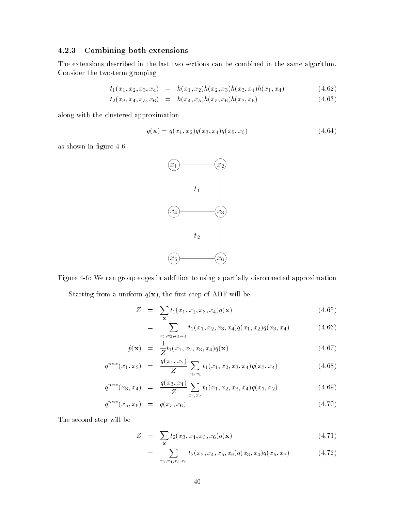## Combining both extensions

The extensions described in the last two sections can be combined in the same algorithm Consider the two-term grouping

$$
t_1(x_1, x_2, x_3, x_4) = h(x_1, x_2)h(x_2, x_3)h(x_3, x_4)h(x_1, x_4)
$$
\n(4.62)

$$
t_2(x_3, x_4, x_5, x_6) = h(x_4, x_5)h(x_5, x_6)h(x_3, x_6)
$$
\n(4.63)

along with the clustered approximation

$$
q(\mathbf{x}) = q(x_1, x_2)q(x_3, x_4)q(x_5, x_6)
$$
\n(4.64)

as shown in figure 4-6.



Figure We can group edges in addition to using a partially disconnected approximation Starting from a uniform  $q(\mathbf{x})$ , the first step of ADF will be

$$
Z = \sum_{\mathbf{x}} t_1(x_1, x_2, x_3, x_4) q(\mathbf{x}) \tag{4.65}
$$

$$
= \sum_{x_1, x_2, x_3, x_4} t_1(x_1, x_2, x_3, x_4) q(x_1, x_2) q(x_3, x_4)
$$
 (4.66)

$$
\hat{p}(\mathbf{x}) = \frac{1}{Z} t_1(x_1, x_2, x_3, x_4) q(\mathbf{x}) \tag{4.67}
$$

$$
q^{new}(x_1, x_2) = \frac{q(x_1, x_2)}{Z} \sum_{x_3, x_4} t_1(x_1, x_2, x_3, x_4) q(x_3, x_4)
$$
 (4.68)

$$
q^{new}(x_3, x_4) = \frac{q(x_3, x_4)}{Z} \sum_{x_1, x_2} t_1(x_1, x_2, x_3, x_4) q(x_1, x_2)
$$
 (4.69)

$$
q^{new}(x_5, x_6) = q(x_5, x_6) \tag{4.70}
$$

The second step will be

$$
Z = \sum_{\mathbf{x}} t_2(x_3, x_4, x_5, x_6) q(\mathbf{x}) \tag{4.71}
$$

$$
= \sum_{x_3, x_4, x_5, x_6} t_2(x_3, x_4, x_5, x_6) q(x_3, x_4) q(x_5, x_6)
$$
 (4.72)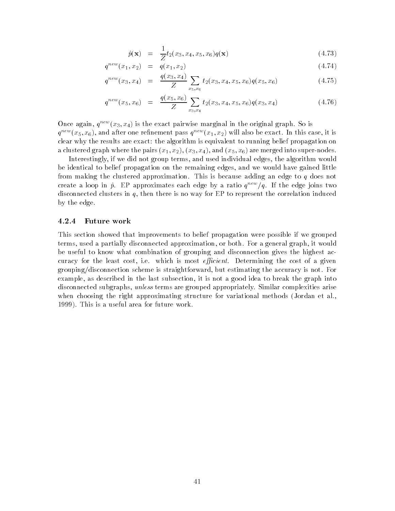$$
\hat{p}(\mathbf{x}) = \frac{1}{Z} t_2(x_3, x_4, x_5, x_6) q(\mathbf{x}) \tag{4.73}
$$

$$
q^{new}(x_1, x_2) = q(x_1, x_2) \tag{4.74}
$$

$$
q^{new}(x_3, x_4) = \frac{q(x_3, x_4)}{Z} \sum_{x_5, x_6} t_2(x_3, x_4, x_5, x_6) q(x_5, x_6)
$$
 (4.75)

$$
q^{new}(x_5, x_6) = \frac{q(x_5, x_6)}{Z} \sum_{x_3, x_4} t_2(x_3, x_4, x_5, x_6) q(x_3, x_4)
$$
 (4.76)

Once again,  $q^{new}(x_3, x_4)$  is the exact pairwise marginal in the original graph. So is  $q=(x_5,x_6)$ , and after one rennement pass  $q=(x_1,x_2)$  will also be exact. In this case, it is clear why the results are exact the algorithm is equivalent to running belief propagation on a contractered are merged into the pairs  $\{x,1\}$  ,  $\{y\}$  and  $\{x,0\}$  are merged into supernodes in the supernodes in

Interestingly, if we did not group terms, and used individual edges, the algorithm would be identical to belief propagation on the remaining edges, and we would have gained little from making the clustered approximation. This is because adding an edge to  $q$  does not create a loop in  $\hat{p}$ . EP approximates each edge by a ratio  $q^{new}/q$ . If the edge joins two disconnected clusters in  $q$ , then there is no way for EP to represent the correlation induced by the edge

### Future work

This section showed that improvements to belief propagation were possible if we grouped terms, used a partially disconnected approximation, or both. For a general graph, it would be useful to know what combination of grouping and disconnection gives the highest ac curacy for the least cost, i.e. which is most *efficient*. Determining the cost of a given grouping/disconnection scheme is straightforward, but estimating the accuracy is not. For example, as described in the last subsection, it is not a good idea to break the graph into disconnected subgraphs, *unless* terms are grouped appropriately. Similar complexities arise when choosing the right approximating structure for variational methods (Jordan et al., 1999). This is a useful area for future work.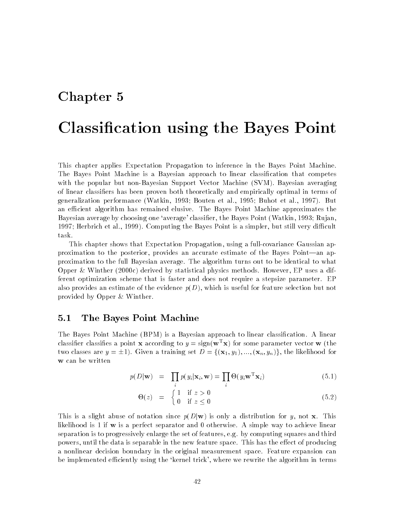## Chapter 5

# Classication using the Bayes Point

This chapter applies Expectation Propagation to inference in the Bayes Point Machine The Bayes Point Machine is a Bayesian approach to linear classification that competes with the popular but non-Bayesian Support Vector Machine (SVM). Bayesian averaging of linear classifiers has been proven both theoretically and empirically optimal in terms of generalization performance (Watkin, 1993; Bouten et al., 1995; Buhot et al., 1997). But an efficient algorithm has remained elusive. The Bayes Point Machine approximates the Bayesian average by choosing one 'average' classifier, the Bayes Point (Watkin, 1993; Rujan, 1997; Herbrich et al., 1999). Computing the Bayes Point is a simpler, but still very difficult task

This chapter shows that Expectation Propagation, using a full-covariance Gaussian approximation to the posterior, provides an accurate estimate of the Bayes Point—an approximation to the full Bayesian average The algorithm turns out to be identical to what Opper Winther -c derived by statistical physics methods However EP uses a dif ferent optimization scheme that is faster and does not require a stepsize parameter EP also provides an estimate of the evidence  $p(D)$ , which is useful for feature selection but not provided by Opper & Winther.

#### $5.1$ The Bayes Point Machine

The Bayes Point Machine (BPM) is a Bayesian approach to linear classification. A linear classifier classifies a point **x** according to  $y = sign(\mathbf{w}^T\mathbf{x})$  for some parameter vector **w** (the two classes are  $y = \pm 1$ . Given a training set  $D = \{(\mathbf{x}_1, y_1), ..., (\mathbf{x}_n, y_n)\}\)$ , the likelihood for w can be written

$$
p(D|\mathbf{w}) = \prod_{i} p(y_i|\mathbf{x}_i, \mathbf{w}) = \prod_{i} \Theta(y_i \mathbf{w}^{\mathrm{T}} \mathbf{x}_i)
$$
(5.1)

$$
\Theta(z) = \begin{cases} 1 & \text{if } z > 0 \\ 0 & \text{if } z \le 0 \end{cases} \tag{5.2}
$$

This is a slight abuse of notation since  $p(D|\mathbf{w})$  is only a distribution for y, not **x**. This likelihood is 1 if  $w$  is a perfect separator and 0 otherwise. A simple way to achieve linear separation is to progressively enlarge the set of features, e.g. by computing squares and third powers, until the data is separable in the new feature space. This has the effect of producing a nonlinear decision boundary in the original measurement space. Feature expansion can be implemented efficiently using the 'kernel trick', where we rewrite the algorithm in terms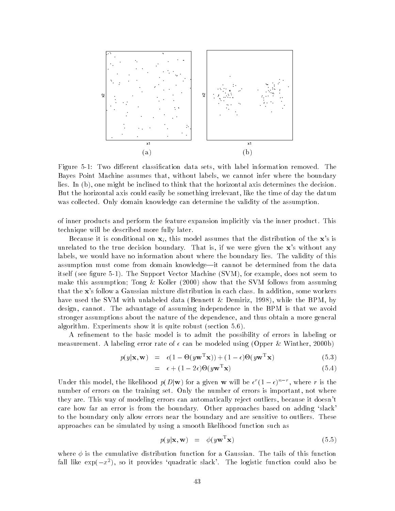

Figure Two dierent classication data sets with label information removed The Bayes Point Machine assumes that, without labels, we cannot infer where the boundary lies. In  $(b)$ , one might be inclined to think that the horizontal axis determines the decision. But the horizontal axis could easily be something irrelevant, like the time of day the datum was collected. Only domain knowledge can determine the validity of the assumption.

of inner products and perform the feature expansion implicitly via the inner product This technique will be described more fully later

Because it is conditional on  $\mathbf{x}_i$ , this model assumes that the distribution of the  $\mathbf{x}$ 's is unrelated to the true decision boundary. That is, if we were given the  $x$ 's without any labels, we would have no information about where the boundary lies. The validity of this assumption must come from domain knowledge—it cannot be determined from the data itself (see figure 5-1). The Support Vector Machine (SVM), for example, does not seem to make this assumption Tong Koller - show that the SVM follows from assuming that the x's follow a Gaussian mixture distribution in each class. In addition, some workers have used the SVM with unlabeled data (Bennett  $\&$  Demiriz, 1998), while the BPM, by design, cannot. The advantage of assuming independence in the BPM is that we avoid stronger assumptions about the nature of the dependence, and thus obtain a more general algorithm. Experiments show it is quite robust (section  $5.6$ ).

A refinement to the basic model is to admit the possibility of errors in labeling or measurement a labeling error rate of  $\sim$  can be modeled using  $\sim$  pp of  $\sim$  . Hence, we have  $\sim$ 

$$
p(y|\mathbf{x}, \mathbf{w}) = \epsilon (1 - \Theta(y\mathbf{w}^T \mathbf{x})) + (1 - \epsilon)\Theta(y\mathbf{w}^T \mathbf{x})
$$
\n(5.3)

$$
= \epsilon + (1 - 2\epsilon)\Theta(y\mathbf{w}^T\mathbf{x}) \tag{5.4}
$$

Under this model, the likelihood  $p(D|\mathbf{w})$  for a given **w** will be  $\epsilon^r(1-\epsilon)^{n-r}$ , where r is the number of errors on the training set. Only the number of errors is important, not where they are. This way of modeling errors can automatically reject outliers, because it doesn't care how far an error is from the boundary. Other approaches based on adding 'slack' to the boundary only allow errors near the boundary and are sensitive to outliers. These approaches can be simulated by using a smooth likelihood function such as

$$
p(y|\mathbf{x}, \mathbf{w}) = \phi(y\mathbf{w}^T \mathbf{x}) \tag{5.5}
$$

where  $\mathbf{u}$ fall like  $\exp(-x^2)$ , so it provides 'quadratic slack'. The logistic function could also be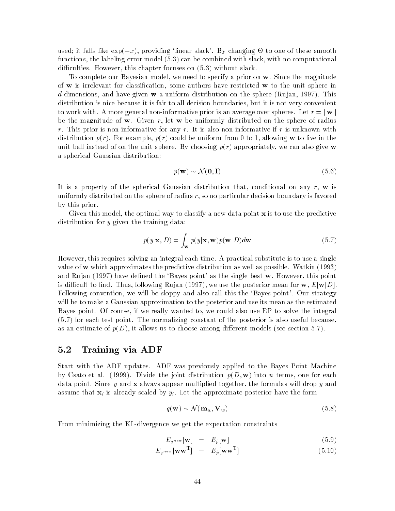used; it falls like  $\exp(-x)$ , providing 'linear slack'. By changing  $\Theta$  to one of these smooth functions, the labeling error model  $(5.3)$  can be combined with slack, with no computational difficulties. However, this chapter focuses on  $(5.3)$  without slack.

To complete our Bayesian model, we need to specify a prior on  $w$ . Since the magnitude of  $w$  is irrelevant for classification, some authors have restricted  $w$  to the unit sphere in d dimensions, and have given w a uniform distribution on the sphere (Rujan, 1997). This distribution is nice because it is fair to all decision boundaries, but it is not very convenient to work with. A more general non-informative prior is an average over spheres. Let  $r = ||w||$ be the magnitude of w. Given r, let w be uniformly distributed on the sphere of radius r. This prior is non-informative for any r. It is also non-informative if r is unknown with distribution  $p(r)$ . For example,  $p(r)$  could be uniform from 0 to 1, allowing w to live in the unit ball instead of on the unit sphere. By choosing  $p(r)$  appropriately, we can also give w a spherical Gaussian distribution  $p(\mathbf{w}) \sim \mathcal{N}(\mathbf{0}, \mathbf{I})$  (5.6)

$$
p(\mathbf{w}) \sim \mathcal{N}(\mathbf{0}, \mathbf{I}) \tag{5.6}
$$

It is a property of the spherical Gaussian distribution that, conditional on any  $r$ , w is uniformly distributed on the sphere of radius  $r$ , so no particular decision boundary is favored by this prior

Given this model, the optimal way to classify a new data point  $x$  is to use the predictive distribution for y given the training data:

$$
p(y|\mathbf{x}, D) = \int_{\mathbf{w}} p(y|\mathbf{x}, \mathbf{w}) p(\mathbf{w}|D) d\mathbf{w}
$$
 (5.7)

However, this requires solving an integral each time. A practical substitute is to use a single value of w which approximates the predictive distribution as well as possible. Watkin  $(1993)$ and Rujan  $(1997)$  have defined the 'Bayes point' as the single best w. However, this point is difficult to find. Thus, following Rujan (1997), we use the posterior mean for  $w, E[w|D]$ . Following convention, we will be sloppy and also call this the 'Bayes point'. Our strategy will be to make a Gaussian approximation to the posterior and use its mean as the estimated Bayes point. Of course, if we really wanted to, we could also use EP to solve the integral  $(5.7)$  for each test point. The normalizing constant of the posterior is also useful because, as an estimate of  $p(D)$ , it allows us to choose among different models (see section 5.7).

#### $\bf 5.2$ Training via ADF

Start with the ADF updates ADF was previously applied to the Bayes Point Machine by Csato et al. (1999). Divide the joint distribution  $p(D, \mathbf{w})$  into n terms, one for each data point. Since y and **x** always appear multiplied together, the formulas will drop y and assume that xi is already scale by  $\mathcal{A}$  is already scale posterior have the form of  $\mathcal{A}$  $y_i$ . Let the approximate posterior have the form<br> $q(\mathbf{w}) \sim \mathcal{N}(\mathbf{m}_w, \mathbf{V}_w)$  (5.8)

$$
q(\mathbf{w}) \sim \mathcal{N}(\mathbf{m}_w, \mathbf{V}_w) \tag{5.8}
$$

From minimizing the KL-divergence we get the expectation constraints

$$
E_{q^{new}}[\mathbf{w}] = E_{\hat{p}}[\mathbf{w}] \tag{5.9}
$$

$$
E_{q^{new}}[\mathbf{w}\mathbf{w}^{\mathrm{T}}] = E_{\hat{p}}[\mathbf{w}\mathbf{w}^{\mathrm{T}}]
$$
(5.10)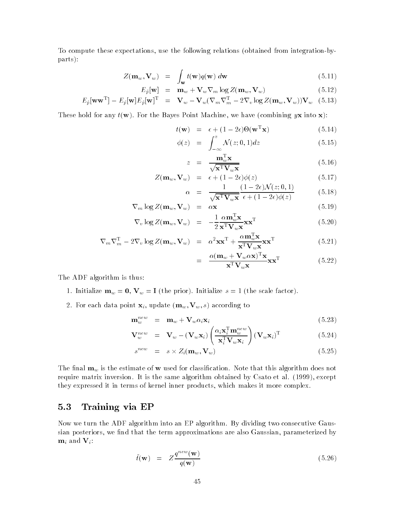To compute these expectations, use the following relations (obtained from integration-byparts):

$$
Z(\mathbf{m}_w, \mathbf{V}_w) = \int_{\mathbf{w}} t(\mathbf{w}) q(\mathbf{w}) d\mathbf{w}
$$
 (5.11)

$$
E_{\hat{p}}[\mathbf{w}] = \mathbf{m}_w + \mathbf{V}_w \nabla_m \log Z(\mathbf{m}_w, \mathbf{V}_w)
$$
(5.12)

$$
E_{\hat{p}}[\mathbf{w}\mathbf{w}^{\mathrm{T}}] - E_{\hat{p}}[\mathbf{w}]E_{\hat{p}}[\mathbf{w}]^{\mathrm{T}} = \mathbf{V}_{w} - \mathbf{V}_{w}(\nabla_{m}\nabla_{m}^{\mathrm{T}} - 2\nabla_{v}\log Z(\mathbf{m}_{w}, \mathbf{V}_{w}))\mathbf{V}_{w} \quad (5.13)
$$

za za na matsa ya mwaka wa 1972, kata wa mwaka wa 1982, and 1982, a matsa ya kutoka mwaka wa 1982, a matsa na

These hold for any  $t(\mathbf{w})$ . For the Bayes Point Machine, we have (combining yx into x):

$$
t(\mathbf{w}) = \epsilon + (1 - 2\epsilon)\Theta(\mathbf{w}^{\mathrm{T}}\mathbf{x}) \tag{5.14}
$$

$$
\phi(z) = \int_{-\infty}^{z} \mathcal{N}(z;0,1)dz \tag{5.15}
$$

$$
z = \frac{\mathbf{m}_w^{\mathrm{T}} \mathbf{x}}{\sqrt{\mathbf{x}^{\mathrm{T}} \mathbf{V}_w \mathbf{x}}} \tag{5.16}
$$

$$
Z(\mathbf{m}_w, \mathbf{V}_w) = \epsilon + (1 - 2\epsilon)\phi(z)
$$
(5.17)  
1  $(1 - 2\epsilon)\mathcal{N}(z; 0, 1)$  (5.18)

$$
\alpha = \frac{1}{\sqrt{\mathbf{x}^T \mathbf{V}_w \mathbf{x}}} \frac{(1 - 2\epsilon)\mathbf{v}(z, 0, 1)}{\epsilon + (1 - 2\epsilon)\phi(z)}
$$
(5.18)

$$
\nabla_m \log Z(\mathbf{m}_w, \mathbf{V}_w) = \alpha \mathbf{x} \tag{5.19}
$$

$$
\nabla_v \log Z(\mathbf{m}_w, \mathbf{V}_w) = -\frac{1}{2} \frac{\alpha \mathbf{m}_w^{\mathsf{T}} \mathbf{x}}{\mathbf{x}^{\mathsf{T}} \mathbf{V}_w \mathbf{x}} \mathbf{x}^{\mathsf{T}} \tag{5.20}
$$

$$
\nabla_m \nabla_m^{\mathrm{T}} - 2 \nabla_v \log Z(\mathbf{m}_w, \mathbf{V}_w) = \alpha^2 \mathbf{x} \mathbf{x}^{\mathrm{T}} + \frac{\alpha \mathbf{m}_w^{\mathrm{T}} \mathbf{x}}{\mathbf{x}^{\mathrm{T}} \mathbf{V}_w \mathbf{x}} \mathbf{x} \mathbf{x}^{\mathrm{T}}
$$
(5.21)

$$
= \frac{\alpha (\mathbf{m}_w + \mathbf{V}_w \alpha \mathbf{x})^{\mathrm{T}} \mathbf{x}}{\mathbf{x}^{\mathrm{T}} \mathbf{V}_w \mathbf{x}} \mathbf{x}^{\mathrm{T}} \tag{5.22}
$$

The ADF algorithm is thus

- 1. Initialize  $\mathbf{m}_w = \mathbf{0}, \mathbf{V}_w = \mathbf{I}$  (the prior). Initialize  $s = 1$  (the scale factor).
- For each data point xi update mw Vw s according to

$$
\mathbf{m}_w^{new} = \mathbf{m}_w + \mathbf{V}_w \alpha_i \mathbf{x}_i \tag{5.23}
$$

$$
\mathbf{V}_{w}^{new} = \mathbf{V}_{w} - (\mathbf{V}_{w}\mathbf{x}_{i}) \left(\frac{\alpha_{i}\mathbf{x}_{i}^{\mathrm{T}}\mathbf{m}_{w}^{new}}{\mathbf{x}_{i}^{\mathrm{T}}\mathbf{V}_{w}\mathbf{x}_{i}}\right) (\mathbf{V}_{w}\mathbf{x}_{i})^{\mathrm{T}}
$$
(5.24)

$$
s^{new} = s \times Z_i(\mathbf{m}_w, \mathbf{V}_w)
$$
 (5.25)

The final  $\mathbf{m}_w$  is the estimate of **w** used for classification. Note that this algorithm does not require matrix inversion. It is the same algorithm obtained by Csato et al. (1999), except they expressed it in terms of kernel inner products which makes it more complex

#### 5.3 Training via EP

Now we turn the ADF algorithm into an EP algorithm. By dividing two consecutive Gaussian posteriors, we find that the term approximations are also Gaussian, parameterized by  $\mathbf{m}_i$  and  $\mathbf{V}_i$ :

$$
\tilde{t}(\mathbf{w}) = Z \frac{q^{new}(\mathbf{w})}{q(\mathbf{w})}
$$
\n(5.26)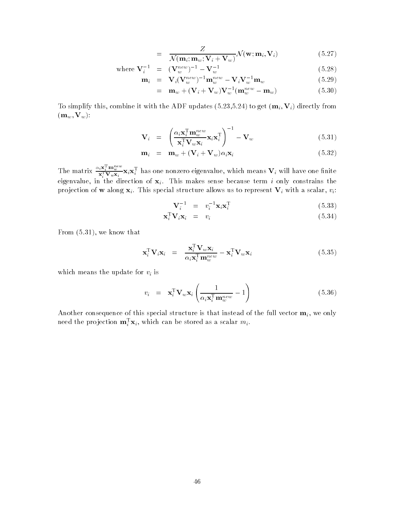$$
= \frac{Z}{\mathcal{N}(\mathbf{m}_i; \mathbf{m}_w; \mathbf{V}_i + \mathbf{V}_w)} \mathcal{N}(\mathbf{w}; \mathbf{m}_i, \mathbf{V}_i)
$$
(5.27)

where 
$$
\mathbf{V}_i^{-1} = (\mathbf{V}_w^{new})^{-1} - \mathbf{V}_w^{-1}
$$
 (5.28)

$$
\mathbf{m}_i = \mathbf{V}_i (\mathbf{V}_w^{new})^{-1} \mathbf{m}_w^{new} - \mathbf{V}_i \mathbf{V}_w^{-1} \mathbf{m}_w \tag{5.29}
$$

$$
= \mathbf{m}_w + (\mathbf{V}_i + \mathbf{V}_w)\mathbf{V}_w^{-1}(\mathbf{m}_w^{new} - \mathbf{m}_w) \tag{5.30}
$$

To simplify this combine it with the ADF updates -- to get mi Vi directly from  $(\mathbf{m}_w, \mathbf{V}_w)$ :

$$
\mathbf{V}_{i} = \left(\frac{\alpha_{i}\mathbf{x}_{i}^{\mathrm{T}}\mathbf{m}_{w}^{new}}{\mathbf{x}_{i}^{\mathrm{T}}\mathbf{V}_{w}\mathbf{x}_{i}}\mathbf{x}_{i}\mathbf{x}_{i}^{\mathrm{T}}\right)^{-1} - \mathbf{V}_{w}
$$
(5.31)

$$
\mathbf{m}_i = \mathbf{m}_w + (\mathbf{V}_i + \mathbf{V}_w)\alpha_i \mathbf{x}_i \tag{5.32}
$$

The matrix  $\frac{\alpha_i\mathbf{x}_i - \mathbf{m}_w\mathbf{x}_i}{\mathbf{x}_i^{\mathrm{T}}\mathbf{V}_w\mathbf{x}_i}$   $\mathbf{x}_i\mathbf{x}_i^{\mathrm{T}}$  has one nonzero eigenvalue, which means  $\mathbf{V}_i$  will have one finite eigenvalue, in the direction of  $x_i$ . This makes sense because term i only constrains the projection of **w** along  $x_i$ . This special structure allows us to represent  $V_i$  with a scalar,  $v_i$ :

$$
\mathbf{V}_i^{-1} = v_i^{-1} \mathbf{x}_i \mathbf{x}_i^{\mathrm{T}}
$$
 (5.33)

$$
\mathbf{x}_i^{\mathrm{T}} \mathbf{V}_i \mathbf{x}_i = v_i \tag{5.34}
$$

From  $(5.31)$ , we know that

$$
\mathbf{x}_i^{\mathrm{T}} \mathbf{V}_i \mathbf{x}_i = \frac{\mathbf{x}_i^{\mathrm{T}} \mathbf{V}_w \mathbf{x}_i}{\alpha_i \mathbf{x}_i^{\mathrm{T}} \mathbf{m}_w^{new}} - \mathbf{x}_i^{\mathrm{T}} \mathbf{V}_w \mathbf{x}_i
$$
(5.35)

which means the update for  $v_i$  is

$$
v_i = \mathbf{x}_i^{\mathrm{T}} \mathbf{V}_w \mathbf{x}_i \left( \frac{1}{\alpha_i \mathbf{x}_i^{\mathrm{T}} \mathbf{m}_w^{new}} - 1 \right)
$$
 (5.36)

Another consequence of this special structure is that instead of the full vector  $m_i$ , we only need the projection  $\mathbf{m}_i^{\top}\mathbf{x}_i$ , which can be stored as a scalar  $m_i$ .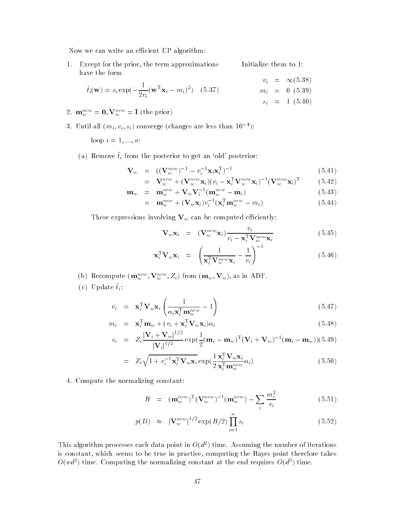Now we can write an efficient EP algorithm:

1. Except for the prior, the term approximations have the form Initialize them to  $v_i = \infty(5.38)$ 

$$
\tilde{t}_i(\mathbf{w}) = s_i \exp(-\frac{1}{2v_i}(\mathbf{w}^T \mathbf{x}_i - m_i)^2) \quad (5.37)
$$
\n
$$
m_i = 0 \quad (5.39)
$$
\n
$$
s_i = 1 \quad (5.40)
$$

- $\mathcal{L}$ .  $\mathbf{m}_w = \mathbf{v}$ ,  $\mathbf{v}_w = \mathbf{I}$  (the prior)
- 3. Until all  $(m_i, v_i, s_i)$  converge (changes are less than 10  $\hspace{0.1 cm}$  ):

loop i --- n

(a) Remove  $\tilde{t}_i$  from the posterior to get an 'old' posterior:

$$
\mathbf{V}_w = ((\mathbf{V}_w^{new})^{-1} - v_i^{-1} \mathbf{x}_i \mathbf{x}_i^{\mathrm{T}})^{-1}
$$
(5.41)

$$
= \mathbf{V}_w^{new} + (\mathbf{V}_w^{new} \mathbf{x}_i)(v_i - \mathbf{x}_i^{\mathrm{T}} \mathbf{V}_w^{new} \mathbf{x}_i)^{-1} (\mathbf{V}_w^{new} \mathbf{x}_i)^{\mathrm{T}} \tag{5.42}
$$

$$
\mathbf{m}_w = \mathbf{m}_w^{new} + \mathbf{V}_w \mathbf{V}_i^{-1} (\mathbf{m}_w^{new} - \mathbf{m}_i) \tag{5.43}
$$

$$
= \mathbf{m}_w^{new} + (\mathbf{V}_w \mathbf{x}_i) v_i^{-1} (\mathbf{x}_i^{\mathrm{T}} \mathbf{m}_w^{new} - m_i)
$$
(5.44)

These expressions involving  $V_w$  can be computed efficiently:

$$
\mathbf{V}_{w}\mathbf{x}_{i} = (\mathbf{V}_{w}^{new}\mathbf{x}_{i})\frac{v_{i}}{v_{i} - \mathbf{x}_{i}^{\mathrm{T}}\mathbf{V}_{w}^{new}\mathbf{x}_{i}} \qquad (5.45)
$$

$$
\mathbf{x}_i^{\mathrm{T}} \mathbf{V}_w \mathbf{x}_i = \left( \frac{1}{\mathbf{x}_i^{\mathrm{T}} \mathbf{V}_w^{new} \mathbf{x}_i} - \frac{1}{v_i} \right)^{-1} \tag{5.46}
$$

- (b) recompute  $(\mathbf{m}_w^-, \mathbf{v}_w^-, \mathbf{z}_i)$  from  $(\mathbf{m}_w, \mathbf{v}_w)$ , as in ADF.
- (c)  $\cup$  puate  $\iota_i$ .

$$
v_i = \mathbf{x}_i^{\mathrm{T}} \mathbf{V}_w \mathbf{x}_i \left( \frac{1}{\alpha_i \mathbf{x}_i^{\mathrm{T}} \mathbf{m}_w^{new}} - 1 \right)
$$
(5.47)

$$
m_i = \mathbf{x}_i^{\mathrm{T}} \mathbf{m}_w + (v_i + \mathbf{x}_i^{\mathrm{T}} \mathbf{V}_w \mathbf{x}_i) \alpha_i
$$
 (5.48)

$$
s_i = Z_i \frac{|\mathbf{V}_i + \mathbf{V}_w|^{1/2}}{|\mathbf{V}_i|^{1/2}} \exp(\frac{1}{2}(\mathbf{m}_i - \mathbf{m}_w)^{\mathrm{T}}(\mathbf{V}_i + \mathbf{V}_w)^{-1}(\mathbf{m}_i - \mathbf{m}_w)) (5.49)
$$

$$
= Z_i \sqrt{1 + v_i^{-1} \mathbf{x}_i^{\mathrm{T}} \mathbf{V}_w \mathbf{x}_i} \exp(\frac{1}{2} \frac{\mathbf{x}_i^{\mathrm{T}} \mathbf{V}_w \mathbf{x}_i}{\mathbf{x}_i^{\mathrm{T}} \mathbf{m}_w^{\mathrm{new}}} \alpha_i)
$$
(5.50)

4. Compute the normalizing constant:

$$
B = (\mathbf{m}_{w}^{new})^{\mathrm{T}} (\mathbf{V}_{w}^{new})^{-1} (\mathbf{m}_{w}^{new}) - \sum_{i} \frac{m_{i}^{2}}{v_{i}} \qquad (5.51)
$$

$$
p(D) \approx |\mathbf{V}_w^{new}|^{1/2} \exp(B/2) \prod_{i=1}^n s_i
$$
 (5.52)

This algorithm processes each data point in  $O(a^+)$  time. Assuming the number of iterations is constant, which seems to be true in practice, computing the Bayes point therefore takes  $O(na^{-})$  time. Computing the normalizing constant at the end requires  $O(a^{-})$  time.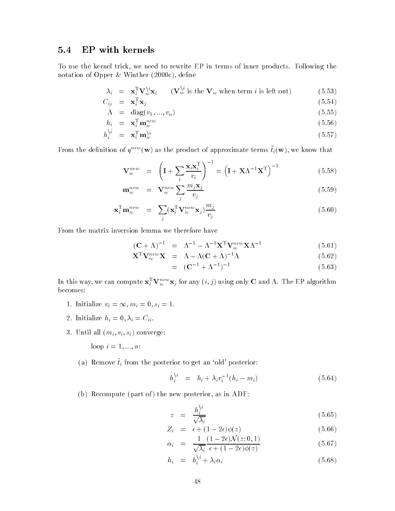#### 5.4 EP with kernels

To use the kernel trick, we need to rewrite EP in terms of inner products. Following the notation of Opper states and opportunities of Opperation of Opperation of Opperation of Opperation of Opperatio

$$
\lambda_i = \mathbf{x}_i^{\mathrm{T}} \mathbf{V}_w^{\backslash i} \mathbf{x}_i \qquad (\mathbf{V}_w^{\backslash i} \text{ is the } \mathbf{V}_w \text{ when term } i \text{ is left out}) \tag{5.53}
$$
\n
$$
C_{ii} = \mathbf{x}_i^{\mathrm{T}} \mathbf{x}_i \tag{5.54}
$$

$$
\Lambda = \text{diag}(v_1, ..., v_n) \tag{5.55}
$$

$$
h_i = \mathbf{x}_i^{\mathrm{T}} \mathbf{m}_w^{new} \tag{5.56}
$$

$$
h_i^{\backslash i} = \mathbf{x}_i^{\mathrm{T}} \mathbf{m}_w^{\backslash i} \tag{5.57}
$$

From the definition of  $q^{++}$  (w) as the product of approximate terms  $\iota_i(\mathbf{w})$ , we know that

$$
\mathbf{V}_{w}^{new} = \left(\mathbf{I} + \sum_{i} \frac{\mathbf{x}_{i} \mathbf{x}_{i}^{\mathrm{T}}}{v_{i}}\right)^{-1} = \left(\mathbf{I} + \mathbf{X} \Lambda^{-1} \mathbf{X}^{\mathrm{T}}\right)^{-1}
$$
(5.58)

$$
\mathbf{m}_w^{new} = \mathbf{V}_w^{new} \sum_j \frac{m_j \mathbf{x}_j}{v_j} \tag{5.59}
$$

$$
\mathbf{x}_i^{\mathrm{T}} \mathbf{m}_w^{new} = \sum_j (\mathbf{x}_i^{\mathrm{T}} \mathbf{V}_w^{new} \mathbf{x}_j) \frac{m_j}{v_j} \tag{5.60}
$$

From the matrix inversion lemma we therefore have

$$
(\mathbf{C} + \Lambda)^{-1} = \Lambda^{-1} - \Lambda^{-1} \mathbf{X}^{\mathrm{T}} \mathbf{V}_w^{new} \mathbf{X} \Lambda^{-1}
$$
(5.61)

$$
\mathbf{X}^{\mathrm{T}} \mathbf{V}_w^{new} \mathbf{X} = \Lambda - \Lambda (\mathbf{C} + \Lambda)^{-1} \Lambda \tag{5.62}
$$

$$
= (\mathbf{C}^{-1} + \Lambda^{-1})^{-1} \tag{5.63}
$$

In this way, we can compute  $\mathbf{x}_i^-\mathbf{v}_w^-\mathbf{x}_j$  for any  $(i,j)$  using only  $\mathbf C$  and  $\Lambda$ . The EP algorithm becomes

- 1. Initialize  $v_i = \infty, m_i = 0, s_i = 1.$
- $\cdots$  in the contract of  $\cdots$  is the contract of  $\cdots$  in the contract of  $\cdots$
- 3. Until all  $(m_i, v_i, s_i)$  converge:

loop in the state of the state of the state of the state of the state of the state of the state of the state o

(a) Remove  $\tilde{t}_i$  from the posterior to get an 'old' posterior:

$$
h_i^{\backslash i} = h_i + \lambda_i v_i^{-1} (h_i - m_i) \tag{5.64}
$$

(b) Recompute (part of) the new posterior, as in ADF:

$$
z = \frac{h_i^{\backslash i}}{\sqrt{\lambda_i}} \tag{5.65}
$$

$$
Z_i = \epsilon + (1 - 2\epsilon)\phi(z) \tag{5.66}
$$

$$
\alpha_i = \frac{1}{\sqrt{\lambda_i}} \frac{(1 - 2\epsilon)\mathcal{N}(z; 0, 1)}{\epsilon + (1 - 2\epsilon)\phi(z)} \tag{5.67}
$$

$$
h_i = h_i^{\backslash i} + \lambda_i \alpha_i \tag{5.68}
$$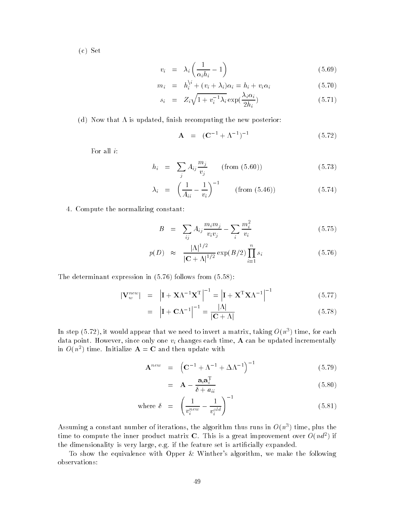$(c)$  Set

$$
v_i = \lambda_i \left( \frac{1}{\alpha_i h_i} - 1 \right) \tag{5.69}
$$

$$
m_i = h_i^{\backslash i} + (v_i + \lambda_i)\alpha_i = h_i + v_i\alpha_i \tag{5.70}
$$

$$
s_i = Z_i \sqrt{1 + v_i^{-1} \lambda_i} \exp(\frac{\lambda_i \alpha_i}{2h_i})
$$
\n(5.71)

(d) Now that  $\Lambda$  is updated, finish recomputing the new posterior:

$$
A = (C^{-1} + \Lambda^{-1})^{-1}
$$
 (5.72)

For all  $i$ :

$$
h_i = \sum_j A_{ij} \frac{m_j}{v_j} \qquad \text{(from (5.60))} \tag{5.73}
$$

$$
\lambda_i = \left(\frac{1}{A_{ii}} - \frac{1}{v_i}\right)^{-1} \qquad \text{(from (5.46))} \tag{5.74}
$$

4. Compute the normalizing constant:

$$
B = \sum_{ij} A_{ij} \frac{m_i m_j}{v_i v_j} - \sum_i \frac{m_i^2}{v_i}
$$
 (5.75)

$$
p(D) \approx \frac{|\Lambda|^{1/2}}{|\mathbf{C} + \Lambda|^{1/2}} \exp(B/2) \prod_{i=1}^{n} s_i
$$
 (5.76)

The determinant expression in  $(5.76)$  follows from  $(5.58)$ :

$$
|\mathbf{V}_{w}^{new}| = |\mathbf{I} + \mathbf{X}\Lambda^{-1}\mathbf{X}^{\mathrm{T}}|^{-1} = |\mathbf{I} + \mathbf{X}^{\mathrm{T}}\mathbf{X}\Lambda^{-1}|^{-1}
$$
(5.77)

$$
= |\mathbf{I} + \mathbf{C}\Lambda^{-1}|^{-1} = \frac{|\Lambda|}{|\mathbf{C} + \Lambda|} \tag{5.78}
$$

In step (5.72), it would appear that we need to invert a matrix, taking  $O(n^+)$  time, for each data point. However, since only one  $v_i$  changes each time, A can be updated incrementally in  $O(n^{-})$  time. Initialize  $\mathbf{A} = \mathbf{C}$  and then update with

$$
\mathbf{A}^{new} = \left( \mathbf{C}^{-1} + \Lambda^{-1} + \Delta \Lambda^{-1} \right)^{-1} \tag{5.79}
$$

$$
= \mathbf{A} - \frac{\mathbf{a}_i \mathbf{a}_i^{\mathrm{T}}}{\delta + a_{ii}} \tag{5.80}
$$

where 
$$
\delta = \left(\frac{1}{v_i^{new}} - \frac{1}{v_i^{old}}\right)^{-1}
$$
 (5.81)

Assuming a constant number of iterations, the algorithm thus runs in  $O(n^2)$  time, plus the time to compute the inner product matrix  $C$ . This is a great improvement over  $O(na^{-})$  if the dimensionality is very large, e.g. if the feature set is artificially expanded.

To show the equivalence with Opper & Winther's algorithm, we make the following observations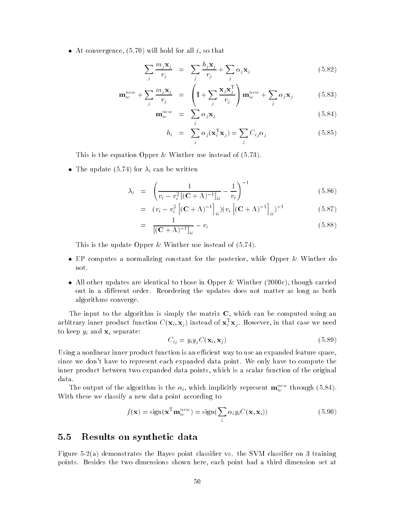At convergence will hold for all i so that

$$
\sum_{j} \frac{m_j \mathbf{x}_j}{v_j} = \sum_{j} \frac{h_j \mathbf{x}_j}{v_j} + \sum_{j} \alpha_j \mathbf{x}_j \tag{5.82}
$$

$$
\mathbf{m}_w^{new} + \sum_j \frac{m_j \mathbf{x}_j}{v_j} = \left( \mathbf{I} + \sum_j \frac{\mathbf{x}_j \mathbf{x}_j^{\mathrm{T}}}{v_j} \right) \mathbf{m}_w^{new} + \sum_j \alpha_j \mathbf{x}_j \tag{5.83}
$$

$$
\mathbf{m}_w^{new} = \sum_j \alpha_j \mathbf{x}_j \tag{5.84}
$$

$$
h_i = \sum_j \alpha_j(\mathbf{x}_i^{\mathrm{T}} \mathbf{x}_j) = \sum_j C_{ij} \alpha_j
$$
 (5.85)

This is the equation Opper & Winther use instead of  $(5.73)$ .

The update is in the update in the update in the update in the update in the update in the update in the update in the update in the update in the update in the update in the update in the update in the update in the upda

$$
\lambda_i = \left( \frac{1}{v_i - v_i^2 \left[ (\mathbf{C} + \Lambda)^{-1} \right]_{ii}} - \frac{1}{v_i} \right)^{-1} \tag{5.86}
$$

$$
= (v_i - v_i^2 \left[ (\mathbf{C} + \Lambda)^{-1} \right]_{ii}) (v_i \left[ (\mathbf{C} + \Lambda)^{-1} \right]_{ii})^{-1}
$$
(5.87)

$$
= \frac{1}{[(\mathbf{C} + \Lambda)^{-1}]_{ii}} - v_i \tag{5.88}
$$

This is the update Opper & Winther use instead of  $(5.74)$ .

- EP computes a normalizing constant for the posterior while Opper Winther do not.
- All other updates are identical to those in Opper Winther -c though carried out in a different order. Reordering the updates does not matter as long as both algorithms converge

The input to the algorithm is simply the matrix  $C$ , which can be computed using an arbitrary inner product function  $\cup$  ( $\mathbf{x}_i$ ,  $\mathbf{x}_j$ ) instead of  $\mathbf{x}_i^{\top} \mathbf{x}_j$ . However, in that case we need to keep  $y_i$  and  $\mathbf{x}_i$  separate:

$$
C_{ij} = y_i y_j C(\mathbf{x}_i, \mathbf{x}_j) \tag{5.89}
$$

Using a nonlinear inner product function is an efficient way to use an expanded feature space, since we don't have to represent each expanded data point. We only have to compute the inner product between two expanded data points, which is a scalar function of the original data

The output of the algorithm is the  $\alpha_i$ , which implicitly represent  $\mathbf{m}_w^{...}$  through (5.84). With these we classify a new data point according to

$$
f(\mathbf{x}) = \text{sign}(\mathbf{x}^{\text{T}} \mathbf{m}_w^{new}) = \text{sign}(\sum_i \alpha_i y_i C(\mathbf{x}, \mathbf{x}_i))
$$
(5.90)

#### $5.5$  Results on synthetic data

Figure -a demonstrates the Bayes point classier vs the SVM classier on 
 training points Besides the two dimensions shown here each point had a third dimension set at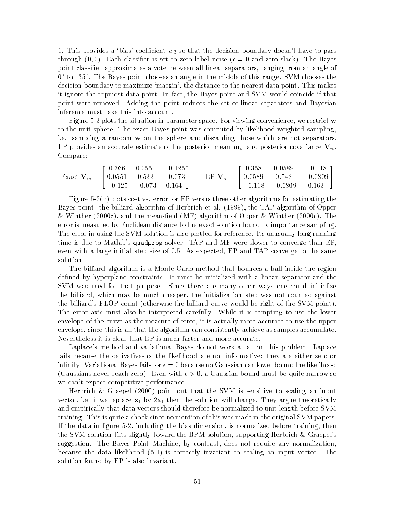1. This provides a 'bias' coefficient  $w_3$  so that the decision boundary doesn't have to pass through  $(0,0)$ . Each classifier is set to zero label noise  $(\epsilon = 0$  and zero slack). The Bayes point classifier approximates a vote between all linear separators, ranging from an angle of U to 159 . The Bayes point chooses an angle in the middle of this range. SVM chooses the decision boundary to maximize 'margin', the distance to the nearest data point. This makes it ignore the topmost data point In fact the Bayes point and SVM would coincide if that point were removed Adding the point reduces the set of linear separators and Bayesian inference must take this into account

Figure 5-3 plots the situation in parameter space. For viewing convenience, we restrict  $\bf{w}$ to the unit sphere. The exact Bayes point was computed by likelihood-weighted sampling, i.e. sampling a random **w** on the sphere and discarding those which are not separators. EP provides an accurate estimate of the posterior mean  $\mathbf{m}_w$  and posterior covariance  $\mathbf{V}_w$ . Compare

$$
\text{Exact }\mathbf{V}_w = \begin{bmatrix} 0.366 & 0.0551 & -0.125 \\ 0.0551 & 0.533 & -0.073 \\ -0.125 & -0.073 & 0.164 \end{bmatrix} \qquad \text{EP }\mathbf{V}_w = \begin{bmatrix} 0.358 & 0.0589 & -0.118 \\ 0.0589 & 0.542 & -0.0809 \\ -0.118 & -0.0809 & 0.163 \end{bmatrix}
$$

Figure -b plots cost vs error for EP versus three other algorithms for estimating the Bayes point the billiard algorithm of Herbrich et al the TAP algorithm of Opper winther and the means of opportunities are meaning the means of Opper in the meaneld MF algorithm of Opper International Competition and the competition of Opper International Competition of Opper International Competition error is measured by Euclidean distance to the exact solution found by importance sampling The error in using the SVM solution is also plotted for reference Its unusually long running time is due to Matlab's quadprog solver. TAP and MF were slower to converge than EP. even with a large initial step size of - As expected EP and TAP converge to the same solution

The billiard algorithm is a Monte Carlo method that bounces a ball inside the region defined by hyperplane constraints. It must be initialized with a linear separator and the SVM was used for that purpose. Since there are many other ways one could initialize the billiard, which may be much cheaper, the initialization step was not counted against the billiard's FLOP count (otherwise the billiard curve would be right of the SVM point). The error axis must also be interpreted carefully. While it is tempting to use the lower envelope of the curve as the measure of error, it is actually more accurate to use the upper envelope, since this is all that the algorithm can consistently achieve as samples accumulate. Nevertheless it is clear that EP is much faster and more accurate

Laplace's method and variational Bayes do not work at all on this problem. Laplace fails because the derivatives of the likelihood are not informative they are either zero or infinity. Variational Bayes fails for  $\epsilon = 0$  because no Gaussian can lower bound the likelihood (Gaussians never reach zero). Even with  $\epsilon > 0$ , a Gaussian bound must be quite narrow so we can't expect competitive performance.

Herbrich Graepel - point out that the SVM is sensitive to scaling an input vector is if we replace  $\mathbb{Z}_1$  will change the solution will change the solution will change the solution will and empirically that data vectors should therefore be normalized to unit length before SVM training. This is quite a shock since no mention of this was made in the original SVM papers. If the data in gure - including the bias dimension is normalized before training then the SVM solution tilts slightly toward the BPM solution, supporting Herbrich  $\&$  Graepel's suggestion. The Bayes Point Machine, by contrast, does not require any normalization, because the data likelihood  $(5.1)$  is correctly invariant to scaling an input vector. The solution found by EP is also invariant.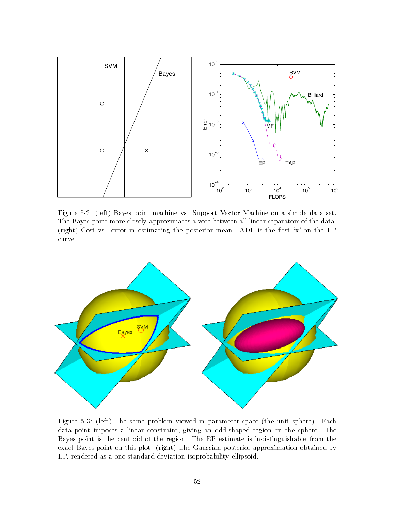

Figure - left Bayes point machine vs Support Vector Machine on a simple data set The Bayes point more closely approximates a vote between all linear separators of the data (right) Cost vs. error in estimating the posterior mean. ADF is the first 'x' on the EP curve



Figure left The same problem viewed in parameter space the unit sphere Each data point imposes a linear constraint, giving an odd-shaped region on the sphere. The Bayes point is the centroid of the region The EP estimate is indistinguishable from the exact Bayes point on this plot. (right) The Gaussian posterior approximation obtained by EP, rendered as a one standard deviation isoprobability ellipsoid.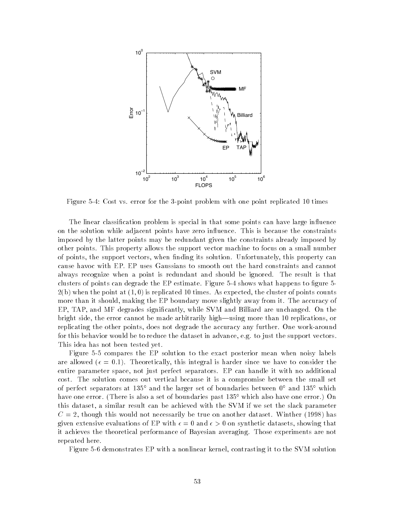

Figure Cost vs error for the 
point problem with one point replicated times

The linear classification problem is special in that some points can have large influence on the solution while adjacent points have zero influence. This is because the constraints imposed by the latter points may be redundant given the constraints already imposed by other points This property allows the support vector machine to focus on a small number of points, the support vectors, when finding its solution. Unfortunately, this property can cause havoc with EP EP uses Gaussians to smooth out the hard constraints and cannot always recognize when a point is redundant and should be ignored. The result is that clusters of points can degrade the  $EP$  estimate. Figure  $5-4$  shows what happens to figure  $5-$ -b when the point at is replicated times As expected the cluster of points counts more than it should, making the EP boundary move slightly away from it. The accuracy of EP, TAP, and MF degrades significantly, while SVM and Billiard are unchanged. On the bright side, the error cannot be made arbitrarily high—using more than 10 replications, or replicating the other points, does not degrade the accuracy any further. One work-around for this behavior would be to reduce the dataset in advance, e.g. to just the support vectors. This idea has not been tested yet

Figure 5-5 compares the EP solution to the exact posterior mean when noisy labels are allowed  $\mathbf{N}$ entire parameter space not just perfect separators EP can handle it with no additional cost. The solution comes out vertical because it is a compromise between the small set of perfect separators at 135<sup>°</sup> and the larger set of boundaries between  $0^{\circ}$  and 135<sup>°</sup> which have one error. (There is also a set of boundaries past  $135^{\circ}$  which also have one error.) On this dataset, a similar result can be achieved with the SVM if we set the slack parameter C - though this would not necessarily be true on another dataset Winther has given extensive evaluations of EP with  $\epsilon = 0$  and  $\epsilon > 0$  on synthetic datasets, showing that it achieves the theoretical performance of Bayesian averaging. Those experiments are not repeated here

Figure 5-6 demonstrates EP with a nonlinear kernel, contrasting it to the SVM solution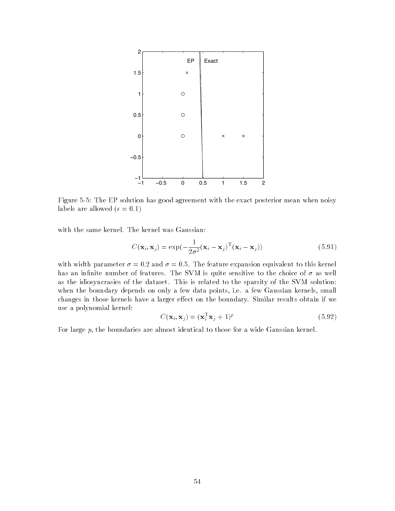

Figure The EP solution has good agreement with the exact posterior mean when noisy  $\blacksquare$ 

with the same kernel. The kernel was Gaussian:

$$
C(\mathbf{x}_i, \mathbf{x}_j) = \exp(-\frac{1}{2\sigma^2}(\mathbf{x}_i - \mathbf{x}_j)^{\mathrm{T}}(\mathbf{x}_i - \mathbf{x}_j))
$$
(5.91)

with width parameter  $\mathbf{r}$  and  $\mathbf{r}$  and  $\mathbf{r}$  and  $\mathbf{r}$  and  $\mathbf{r}$  and  $\mathbf{r}$ has an infinite number of features. The SVM is quite sensitive to the choice of  $\sigma$  as well as the idiosyncrasies of the dataset. This is related to the sparsity of the SVM solution: when the boundary depends on only a few data points, i.e. a few Gaussian kernels, small changes in those kernels have a larger effect on the boundary. Similar results obtain if we use a polynomial kernel

$$
C(\mathbf{x}_i, \mathbf{x}_j) = (\mathbf{x}_i^{\mathrm{T}} \mathbf{x}_j + 1)^p
$$
\n(5.92)

For large  $p$ , the boundaries are almost identical to those for a wide Gaussian kernel.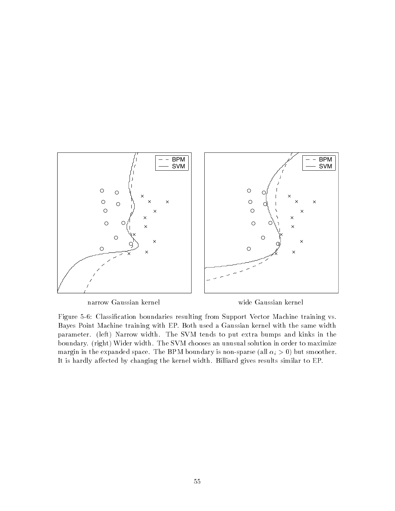

narrow Gaussian kernel wide Gaussian kernel

 $F_{\rm A}$  , and  $F_{\rm A}$  resulting from Support Vector Machine training variant  $F_{\rm A}$ Bayes Point Machine training with EP Both used a Gaussian kernel with the same width parameter. (left) Narrow width. The SVM tends to put extra bumps and kinks in the boundary. (right) Wider width. The SVM chooses an unusual solution in order to maximize margin in the expanded space. The BPM boundary is non-sparse (all  $\alpha_i > 0$ ) but smoother. It is hardly affected by changing the kernel width. Billiard gives results similar to EP.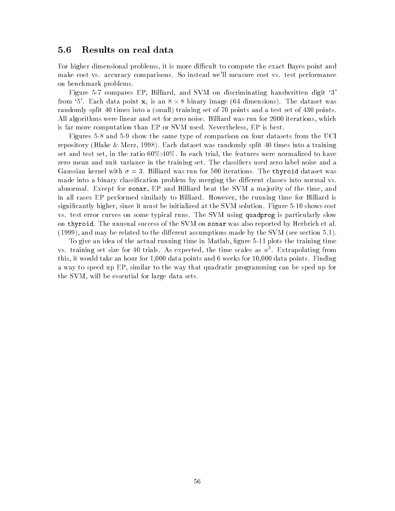### Results on real data

For higher dimensional problems, it is more difficult to compute the exact Bayes point and make cost vs. accuracy comparisons. So instead we'll measure cost vs. test performance on benchmark problems

Figure 5-7 compares EP, Billiard, and SVM on discriminating handwritten digit '3' from '5'. Each data point  $\mathbf{x}_i$  is an  $8 \times 8$  binary image (64 dimensions). The dataset was randomly split 40 times into a (small) training set of 70 points and a test set of 430 points. all algorithms were linear and set for zero noise and set for a linear and set for a run for an algorithm was is far more computation than EP or SVM used. Nevertheless, EP is best.

Figures 5-8 and 5-9 show the same type of comparison on four datasets from the UCI repository (Blake & Merz, 1998). Each dataset was randomly split 40 times into a training set and test set in the ratio , in the features were normalized to have normalized to have normalized to have  $\mathbf{I}(\mathbf{V})$ zero mean and unit variance in the training set. The classifiers used zero label noise and a Gaussian kernel with  $\sigma = 3$ . Billiard was run for 500 iterations. The thyroid dataset was made into a binary classification problem by merging the different classes into normal vs. abnormal. Except for sonar, EP and Billiard beat the SVM a majority of the time, and in all cases EP performed similarly to Billiard. However, the running time for Billiard is significantly higher, since it must be initialized at the SVM solution. Figure 5-10 shows cost vs test error curves on some typical runs The SVM using quadprog is particularly slow on thyroid. The unusual success of the SVM on sonar was also reported by Herbrich et al.  $(1999)$ , and may be related to the different assumptions made by the SVM (see section 5.1).

To give an idea of the actual running time in Matlab, figure 5-11 plots the training time vs. training set size for 40 trials. As expected, the time scales as  $n^+$ . Extrapolating from this, it would take an hour for  $1,000$  data points and 6 weeks for  $10,000$  data points. Finding a way to speed up EP similar to the way that quadratic programming can be sped up for the SVM, will be essential for large data sets.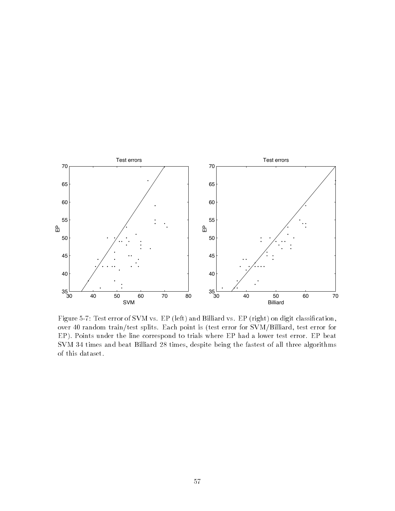

Figure Test error of SVM vs EP left and Billiard vs EP right on digit classication over 40 random train/test splits. Each point is (test error for SVM/Billiard, test error for EP). Points under the line correspond to trials where EP had a lower test error. EP beat SVM 
 times and beat Billiard - times despite being the fastest of all three algorithms of this dataset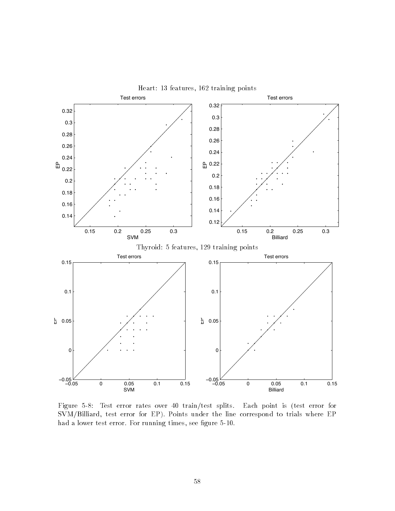

Figure 5-8: Test error rates over 40 train/test splits. Each point is (test error for  $SVM/Billiard$ , test error for EP). Points under the line correspond to trials where EP had a lower test error. For running times, see figure 5-10.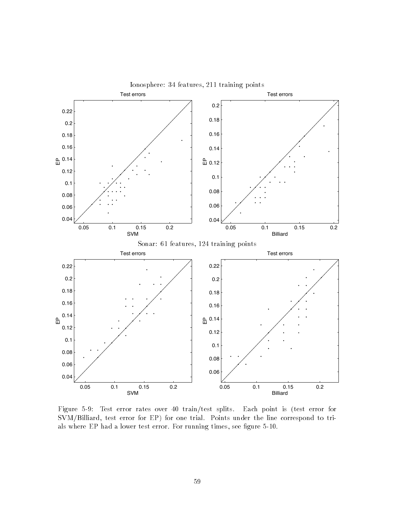

Figure 5-9: Test error rates over 40 train/test splits. Each point is (test error for SVM/Billiard, test error for EP) for one trial. Points under the line correspond to trials where EP had a lower test error. For running times, see figure 5-10.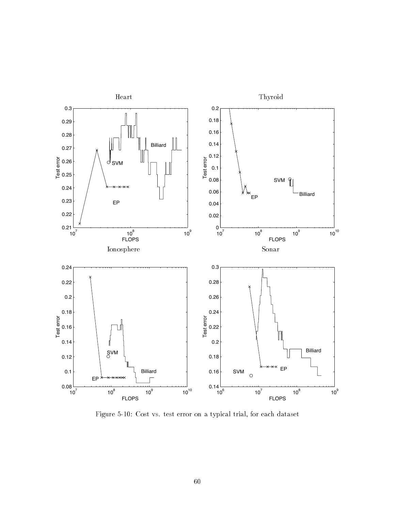

Figure Cost vs test error on a typical trial for each dataset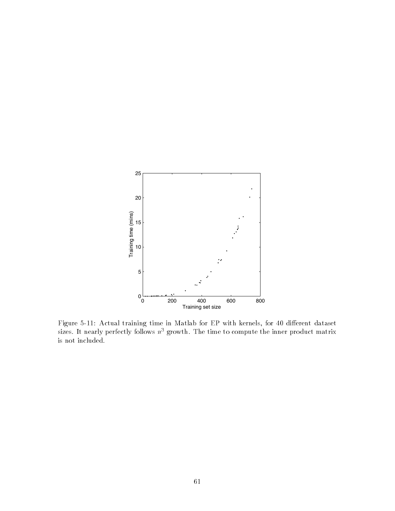

Figure Actual training time in Matlab for EP with kernels for dierent dataset sizes. It nearly perfectly follows  $n$  growth. The time to compute the inner product matrix is not included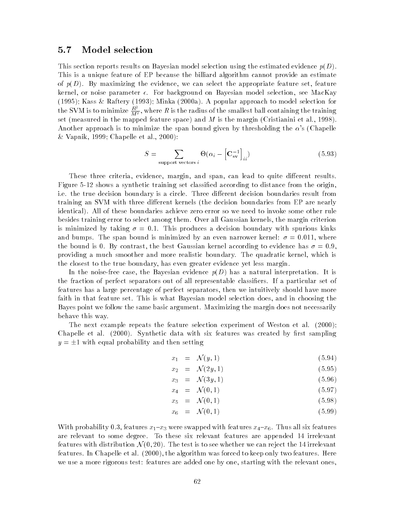#### 5.7 Model selection

This section reports results on Bayesian model selection using the estimated evidence  $p(D)$ . This is a unique feature of EP because the billiard algorithm cannot provide an estimate of  $p(D)$ . By maximizing the evidence, we can select the appropriate feature set, feature kernel, or noise parameter  $\epsilon$ . For background on Bayesian model selection, see MacKay Kass Raftery 
 Minka -a A popular approach to model selection for the SVM is to minimize  $\frac{R}{M^2}$ , v  $M^{2}$  is the radius of the smallest ball containing the smallest ball containing the training the training the training the training  $\alpha$ set (measured in the mapped feature space) and M is the margin (Cristianini et al., 1998). Another approach is to minimize the span bound given by thresholding the  $\alpha$ 's (Chapelle Vapnik Chapelle et al -

$$
S = \sum_{\text{support vectors } i} \Theta(\alpha_i - \left[\mathbf{C}_{\text{sv}}^{-1}\right]_{ii})
$$
\n(5.93)

These three criteria, evidence, margin, and span, can lead to quite different results. Figure - shows a synthetic training set classical according to distance from the original original original  $\mathcal{L}$ i.e. the true decision boundary is a circle. Three different decision boundaries result from training an SVM with three different kernels (the decision boundaries from EP are nearly identical). All of these boundaries achieve zero error so we need to invoke some other rule besides training error to select among them. Over all Gaussian kernels, the margin criterion is minimized by taking  $\mathbb{R}^n$  . This produces a decision boundary with spurious kinks  $\mathbb{R}^n$ and bumps The span bound is minimized by an even narrower kernel  - where the bound is By contrast the best Gaussian kernel according to evidence has  providing a much smoother and more realistic boundary. The quadratic kernel, which is the closest to the true boundary has even greater evidence yet less margin

In the noise-free case, the Bayesian evidence  $p(D)$  has a natural interpretation. It is the fraction of perfect separators out of all representable classifiers. If a particular set of features has a large percentage of perfect separators, then we intuitively should have more faith in that feature set. This is what Bayesian model selection does, and in choosing the Bayes point we follow the same basic argument. Maximizing the margin does not necessarily behave this way

The next example repeats the feature selection experiment of Weston et al chapelle et al - ( = c c j , w ) distributed by radial six features was considered by distribution of the sampling  $y = \pm 1$  with equal probability and then setting

$$
x_1 = \mathcal{N}(y, 1) \tag{5.94}
$$

$$
x_2 = \mathcal{N}(2y, 1) \tag{5.95}
$$

$$
x_3 = \mathcal{N}(3y, 1) \tag{5.96}
$$

$$
x_4 = \mathcal{N}(0, 1) \tag{5.97}
$$

$$
x_5 = \mathcal{N}(0, 1) \tag{5.98}
$$

$$
x_6 = \mathcal{N}(0, 1) \tag{5.99}
$$

With probability features x--x were swapped with features x-x Thus all six features are relevant to some degree. To these six relevant features are appended 14 irrelevant features with distribution  $\mathcal{N}(0,20)$ . The test is to see whether we can reject the 14 irrelevant features In Chapelle et al - the algorithm was forced to keep only two features Here we use a more rigorous test are added one by one by one by one by one by one by one starting with the relevant o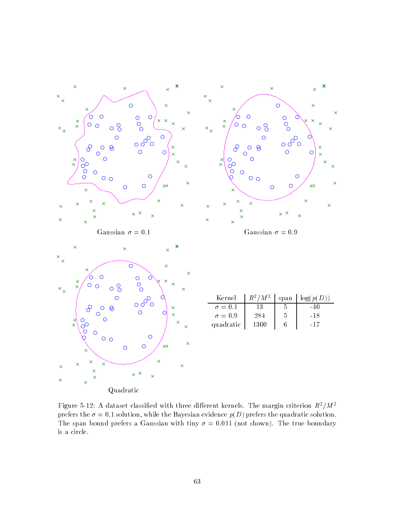

rigure 5-12: A dataset classified with three different kernels. The margin criterion  $R^{\pi}/M^{\pi}$ prefers the Bayesian evidence points the Bayesian evidence pD prefers the quadratic solution  $\mathcal{P}(\mathcal{N})$ the space of the span boundary with the time  $\alpha$  and  $\alpha$  and the time boundary the true boundary of the true boundary is a circle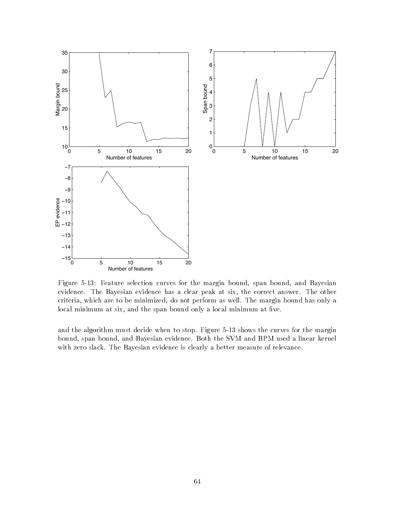

Figure Feature selection curves for the margin bound span bound and Bayesian evidence. The Bayesian evidence has a clear peak at six, the correct answer. The other criteria, which are to be minimized, do not perform as well. The margin bound has only a local minimum at six, and the span bound only a local minimum at five.

and the algorithm must decide when to stop. Figure 5-13 shows the curves for the margin bound, span bound, and Bayesian evidence. Both the SVM and BPM used a linear kernel with zero slack The Bayesian evidence is clearly a better measure of relevance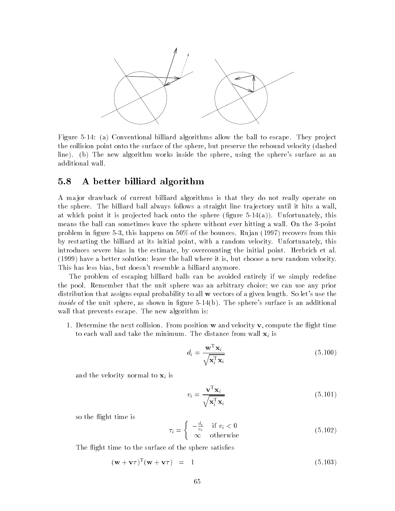

Figure a Conventional billiard algorithms allow the ball to escape They pro ject the collision point onto the surface of the sphere, but preserve the rebound velocity (dashed line). (b) The new algorithm works inside the sphere, using the sphere's surface as an additional wall

#### 5.8  A better billiard algorithm

A major drawback of current billiard algorithms is that they do not really operate on the sphere. The billiard ball always follows a straight line trajectory until it hits a wall, at which point it is projected back onto the sphere (figure  $5-14(a)$ ). Unfortunately, this means the ball can sometimes leave the sphere without ever hitting a wall. On the 3-point problem in figure 5-3, this happens on  $50\%$  of the bounces. Rujan (1997) recovers from this by restarting the billiard at its initial point, with a random velocity. Unfortunately, this introduces severe bias in the estimate, by overcounting the initial point. Herbrich et al. have a better solution leave the ball where it is but choose a new random velocity This has less bias, but doesn't resemble a billiard anymore.

The problem of escaping billiard balls can be avoided entirely if we simply redefine the pool. Remember that the unit sphere was an arbitrary choice; we can use any prior distribution that assigns equal probability to all  $\bf{w}$  vectors of a given length. So let's use the *inside* of the unit sphere, as shown in figure 5-14(b). The sphere's surface is an additional wall that prevents escape. The new algorithm is:

1. Determine the next collision. From position  $w$  and velocity  $v$ , compute the flight time to each wall and take the minimum. The distance from wall  $x_i$  is

$$
d_i = \frac{\mathbf{w}^{\mathrm{T}} \mathbf{x}_i}{\sqrt{\mathbf{x}_i^{\mathrm{T}} \mathbf{x}_i}}
$$
(5.100)

and the velocity normal to  $\mathbf{x}_i$  is

$$
v_i = \frac{\mathbf{v}^{\mathrm{T}} \mathbf{x}_i}{\sqrt{\mathbf{x}_i^{\mathrm{T}} \mathbf{x}_i}}
$$
(5.101)

so the flight time is

$$
\tau_i = \begin{cases}\n-\frac{d_i}{v_i} & \text{if } v_i < 0 \\
\infty & \text{otherwise}\n\end{cases} \tag{5.102}
$$

The flight time to the surface of the sphere satisfies

$$
(\mathbf{w} + \mathbf{v}\tau)^{\mathrm{T}}(\mathbf{w} + \mathbf{v}\tau) = 1 \tag{5.103}
$$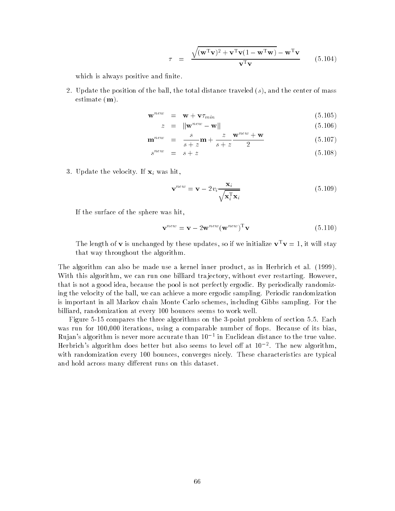$$
\tau = \frac{\sqrt{(\mathbf{w}^{\mathrm{T}}\mathbf{v})^2 + \mathbf{v}^{\mathrm{T}}\mathbf{v}(1 - \mathbf{w}^{\mathrm{T}}\mathbf{w})} - \mathbf{w}^{\mathrm{T}}\mathbf{v}}{\mathbf{v}^{\mathrm{T}}\mathbf{v}}
$$
(5.104)

which is always positive and finite.

- Update the position of the ball the total distance traveled s and the center of mass estimate  $(m)$ .

$$
\mathbf{w}^{new} = \mathbf{w} + \mathbf{v} \tau_{min} \tag{5.105}
$$

$$
z = \|\mathbf{w}^{new} - \mathbf{w}\| \tag{5.106}
$$

$$
\mathbf{m}^{new} = \frac{s}{s+z} \mathbf{m} + \frac{z}{s+z} \frac{\mathbf{w}^{new} + \mathbf{w}}{2}
$$
 (5.107)

$$
s^{new} = s + z \tag{5.108}
$$

3. Update the velocity. If  $\mathbf{x}_i$  was hit,

$$
\mathbf{v}^{new} = \mathbf{v} - 2v_i \frac{\mathbf{x}_i}{\sqrt{\mathbf{x}_i^{\mathrm{T}} \mathbf{x}_i}}
$$
(5.109)

If the surface of the sphere was hit

$$
\mathbf{v}^{new} = \mathbf{v} - 2\mathbf{w}^{new} (\mathbf{w}^{new})^{\mathrm{T}} \mathbf{v}
$$
 (5.110)

The length of **v** is unchanged by these updates, so if we initialize  $\mathbf{v}^T \mathbf{v} = 1$ , it will stay that way throughout the algorithm

The algorithm can also be made use a kernel inner product, as in Herbrich et al. (1999). With this algorithm, we can run one billiard trajectory, without ever restarting. However, that is not a good idea, because the pool is not perfectly ergodic. By periodically randomizing the velocity of the ball, we can achieve a more ergodic sampling. Periodic randomization is important in all Markov chain Monte Carlo schemes, including Gibbs sampling. For the billiard, randomization at every 100 bounces seems to work well.

Figure 5-15 compares the three algorithms on the 3-point problem of section 5.5. Each was run for  $100,000$  iterations, using a comparable number of flops. Because of its bias. Kujan s'algorithm is never more accurate than 10 – in Euclidean distance to the true value. Herbrich's algorithm does better but also seems to level on at 10  $^\circ$  . The new algorithm, with randomization every 100 bounces, converges nicely. These characteristics are typical and hold across many different runs on this dataset.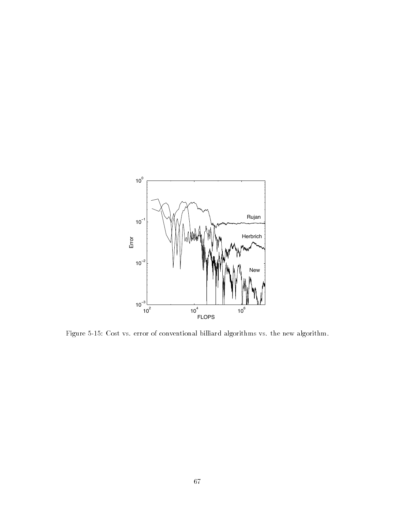

Figure Cost vs error of conventional billiard algorithms vs the new algorithm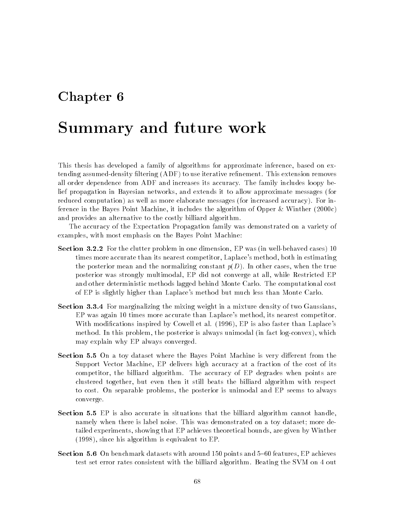## Chapter 6

## Summary and future work

This thesis has developed a family of algorithms for approximate inference, based on extending assumed-density filtering (ADF) to use iterative refinement. This extension removes all order dependence from ADF and increases its accuracy The family includes loopy be lief propagation in Bayesian networks, and extends it to allow approximate messages (for reduced computation) as well as more elaborate messages (for increased accuracy). For inference in the Bayes Point Machine it includes the algorithm of Opper Winther -c and provides an alternative to the costly billiard algorithm

The accuracy of the Expectation Propagation family was demonstrated on a variety of examples, with most emphasis on the Bayes Point Machine:

- . Section state problem in one dimension in the was indicated cases in the cases of was in the case of the cas times more accurate than its nearest competitor, Laplace's method, both in estimating the posterior mean and the normalizing constant  $p(D)$ . In other cases, when the true posterior was strongly multimodal, EP did not converge at all, while Restricted EP and other deterministic methods lagged behind Monte Carlo. The computational cost of EP is slightly higher than Laplace's method but much less than Monte Carlo.
- $\mathcal{F}$  and mixing weight in a mixing weight in a mixing weight in a mixture density of two Gaussians  $\mathcal{F}$  $EP$  was again 10 times more accurate than Laplace's method, its nearest competitor. With modifications inspired by Cowell et al.  $(1996)$ , EP is also faster than Laplace's method. In this problem, the posterior is always unimodal (in fact log-convex), which may explain why EP always converged
- Section - On a toy dataset where the Bayes Point Machine is very dierent from the Support Vector Machine, EP delivers high accuracy at a fraction of the cost of its competitor, the billiard algorithm. The accuracy of EP degrades when points are clustered together, but even then it still beats the billiard algorithm with respect to cost. On separable problems, the posterior is unimodal and EP seems to always converge
- $\mathbb{R}$ namely when there is label noise. This was demonstrated on a toy dataset; more detailed experiments, showing that EP achieves theoretical bounds, are given by Winther  $(1998)$ , since his algorithm is equivalent to EP.
- Section On benchmark datasets with around points and features EP achieves test set error rates consistent with the billiard algorithm. Beating the SVM on 4 out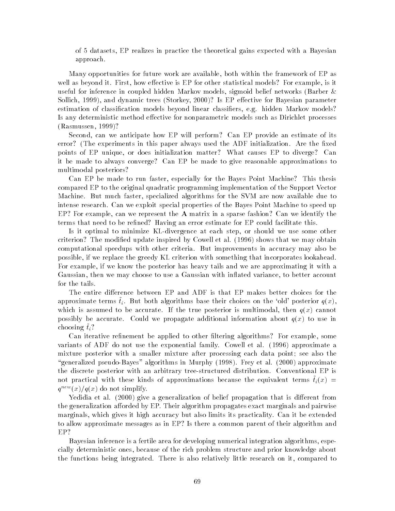of datasets EP realizes in practice the theoretical gains expected with a Bayesian approach

Many opportunities for future work are available both within the framework of EP as well as beyond it. First, how effective is EP for other statistical models? For example, is it useful for inference in coupled hidden Markov models, sigmoid belief networks (Barber  $\&$  $S$  . It easy for Bayesian parameters  $S$  -for  $B$ estimation of classification models beyond linear classifiers, e.g. hidden Markov models? Is any deterministic method effective for nonparametric models such as Dirichlet processes  $(Rasmussen, 1999)$ ?

Second, can we anticipate how EP will perform? Can EP provide an estimate of its error? (The experiments in this paper always used the ADF initialization. Are the fixed points of EP unique, or does initialization matter? What causes EP to diverge? Can it be made to always converge? Can EP be made to give reasonable approximations to multimodal posteriors?

Can EP be made to run faster, especially for the Bayes Point Machine? This thesis compared EP to the original quadratic programming implementation of the Support Vector Machine. But much faster, specialized algorithms for the SVM are now available due to intense research Can we exploit special properties of the Bayes Point Machine to speed up EP? For example, can we represent the  $A$  matrix in a sparse fashion? Can we identify the terms that need to be refined? Having an error estimate for EP could facilitate this.

Is it optimal to minimize KL-divergence at each step, or should we use some other criterion? The modified update inspired by Cowell et al. (1996) shows that we may obtain computational speedups with other criteria. But improvements in accuracy may also be possible, if we replace the greedy KL criterion with something that incorporates lookahead. For example, if we know the posterior has heavy tails and we are approximating it with a Gaussian, then we may choose to use a Gaussian with inflated variance, to better account for the tails

The entire difference between EP and ADF is that EP makes better choices for the approximate terms  $\tilde{t}_i$ . But both algorithms base their choices on the 'old' posterior  $q(x)$ , which is assumed to be accurate. If the true posterior is multimodal, then  $q(x)$  cannot possibly be accurate. Could we propagate additional information about  $q(x)$  to use in choosing  $\tilde{t}_i$ ?

Can iterative refinement be applied to other filtering algorithms? For example, some variants of ADF do not use the exponential family. Cowell et al.  $(1996)$  approximate a mixture posterior with a smaller mixture after processing each data point; see also the and pseudobayes are algorithms in Murphy in Murphy in Murphy and algorithms in Murphy and algorithms in Murphy I the discrete posterior with an arbitrary tree-structured distribution. Conventional EP is not practical with these kinds of approximations because the equivalent terms  $t_l(x)$  =  $q^{new}(x)/q(x)$  do not simplify.

Yedidia et al - give a generalization of belief propagation that is dierent from the generalization afforded by EP. Their algorithm propagates exact marginals and pairwise marginals, which gives it high accuracy but also limits its practicality. Can it be extended to allow approximate messages as in EP? Is there a common parent of their algorithm and EP?

Bayesian inference is a fertile area for developing numerical integration algorithms, especially deterministic ones because of the rich problem structure and prior knowledge about the functions being integrated There is also relatively little research on it compared to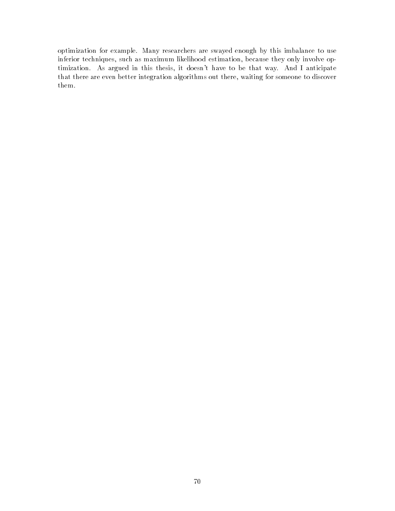optimization for example. Many researchers are swayed enough by this imbalance to use inferior techniques, such as maximum likelihood estimation, because they only involve optimization. As argued in this thesis, it doesn't have to be that way. And I anticipate that there are even better integration algorithms out there, waiting for someone to discover them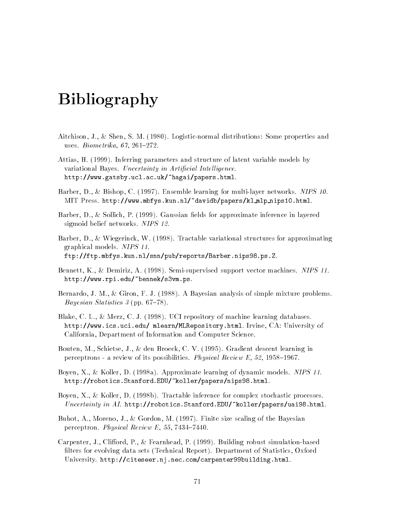# Bibliography

- Aitchison J Shen S M Logisticnormal distributions Some properties and uses Biometrical and the Community of the Community of the Community of the Community of the Community of the
- Attias, H. (1999). Inferring parameters and structure of latent variable models by variational Bayes Uncertainty in Arti-cial Intel ligence http--wwwgatsbyuclacuk-hagai-papershtml
- Barber, D., & Bishop, C. (1997). Ensemble learning for multi-layer networks. NIPS 10. MIT Press http--wwwmbfyskunnl-davidb-papers-kl mlp nipshtml
- Barber, D., & Sollich, P.  $(1999)$ . Gaussian fields for approximate inference in layered sigmoid belief networks. NIPS 12.
- Barber, D., & Wiegerinck, W. (1998). Tractable variational structures for approximating graphical models. NIPS 11.
- Bennett, K., & Demiriz, A. (1998). Semi-supervised support vector machines. NIPS 11. http--wwwrpiedu-bennek-s vmps

ftp--ftpmbfyskunnl-snn-pub-reports-BarbernipspsZ

- Bernardo, J. M., & Giron, F. J.  $(1988)$ . A Bayesian analysis of simple mixture problems. Bayesian Statistics  $\beta$  (pp. 67–78).
- Blake, C. L., & Merz, C. J. (1998). UCI repository of machine learning databases. http--wwwicsuciedu- mlearn-MLRepositoryhtml Irvine CA University of California, Department of Information and Computer Science.
- Bouten, M., Schietse, J., & den Broeck, C. V. (1995). Gradient descent learning in perceptrons a review of its possibilities Physical Review E -
- Boyen, X., & Koller, D. (1998a). Approximate learning of dynamic models. NIPS 11. http--roboticsStanfordEDU-koller-papers-nipshtml
- Boyen, X., & Koller, D. (1998b). Tractable inference for complex stochastic processes. Uncertainty in AI http--roboticsStanfordEDU-koller-papers-uaihtml
- Buhot, A., Moreno, J., & Gordon, M.  $(1997)$ . Finite size scaling of the Bayesian perceptron Physical Review E (2002) and the Physical Review E (2003) and the Physical Review E (2003) and the P
- Carpenter, J., Clifford, P., & Fearnhead, P.  $(1999)$ . Building robust simulation-based filters for evolving data sets (Technical Report). Department of Statistics, Oxford university in the property of the compact of the property of the compact of the common section of the common s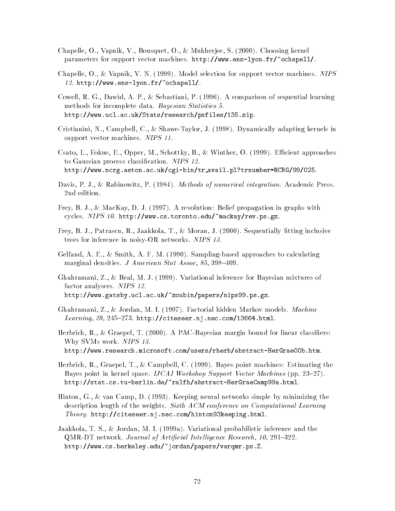- Chapelle O Vapnik V Bousquet O Mukherjee S Choosing kernel parameters for support vector machinesis in the parameters of parameters  $\sim$  , and  $\sim$  , and  $\sim$
- Chapelle,  $O_1$ ,  $\&$  Vapnik, V. N. (1999). Model selection for support vector machines. NIPS http--wwwens lyonfr-ochapell-
- Cowell, R. G., Dawid, A. P., & Sebastiani, P.  $(1996)$ . A comparison of sequential learning methods for incomplete data Bayesian Statistics research-between the contraction of the contraction of the contraction of the contraction of the contraction of
- Cristianini, N., Campbell, C., & Shawe-Taylor, J. (1998). Dynamically adapting kernels in support vector machines. NIPS 11.
- Csato, L., Fokue, E., Opper, M., Schottky, B., & Winther, O.  $(1999)$ . Efficient approaches to Gaussian process classification. NIPS 12.

http--wwwncrgastonacuk-cgi bin-tr availpltrnumber
NCRG--

- Davis, P. J., & Rabinowitz, P.  $(1984)$ . Methods of numerical integration. Academic Press.
- Frey B J MacKay D J A revolution Belief propagation in graphs with revers and a single provision and the contract machine is a property of the second property of the second proper
- Frey B J Patrascu R Jaakkola T Moran J Sequentially tting inclusive trees for inference in noisy-OR networks. NIPS 13.
- Gelfand, A. E., & Smith, A. F. M.  $(1990)$ . Sampling-based approaches to calculating marginal densities J American State Association and the State Association of the State Association of the State Association of the State Association of the State Association of the State Association of the State Associatio
- Ghahramani, Z., & Beal, M. J. (1999). Variational inference for Bayesian mixtures of factor analysers. NIPS 12. http--wwwgatsbyuclacuk-zoubin-papers-nipspsgz
- Ghahramani, Z., & Jordan, M. I.  $(1997)$ . Factorial hidden Markov models. Machine Learning  --- http--citeseernjneccom- html
- Herbrich R Graepel T A PACBayesian margin bound for linear classiers Why SVMs work. NIPS 13.

http--wwwresearchmicrosoftcom-users-rherb-abstract HerGraebhtm

- Herbrich R Graepel T Campbell C Bayes point machines Estimating the Bayes point in kernel space IJCAI Workshop Support Vector Machines pp -- http--statcstu berlinde-ralfh-abstract HerGraeCampahtml
- Hinton, G., & van Camp, D. (1993). Keeping neural networks simple by minimizing the description length of the weights. Sixth ACM conference on Computational Learning theory here  $\mathcal{L}_{\mathcal{P}}$  is a contracted for property commuted the component of  $\mathcal{L}_{\mathcal{P}}$  and  $\mathcal{L}_{\mathcal{P}}$
- Jaakkola, T. S., & Jordan, M. I. (1999a). Variational probabilistic inference and the question in the circumstant of a minimum approached article and article and article and article and article and http--wwwcsberkeleyedu-jordan-papers-varqmrpsZ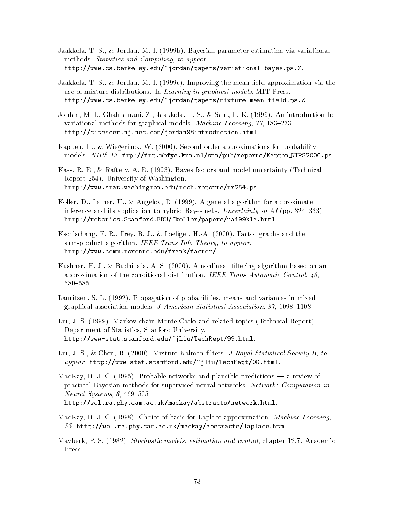- Jaakkola, T. S., & Jordan, M. I. (1999b). Bayesian parameter estimation via variational methods. Statistics and Computing to appear. http--wwwcsberkeleyedu-jordan-papers-variational bayespsZ
- Jaakkola, T. S., & Jordan, M. I. (1999c). Improving the mean field approximation via the use of mixture distributions. In Learning in graphical models. MIT Press. http--wwwcsberkeleyedu-jordan-papers-mixture mean fieldpsZ
- Jordan, M. I., Ghahramani, Z., Jaakkola, T. S., & Saul, L. K. (1999). An introduction to  $\mathcal{N}=\mathcal{N}=\mathcal{N}=\mathcal{N}=\mathcal{N}=\mathcal{N}=\mathcal{N}=\mathcal{N}=\mathcal{N}=\mathcal{N}=\mathcal{N}=\mathcal{N}=\mathcal{N}=\mathcal{N}=\mathcal{N}=\mathcal{N}=\mathcal{N}=\mathcal{N}=\mathcal{N}=\mathcal{N}=\mathcal{N}=\mathcal{N}=\mathcal{N}=\mathcal{N}=\mathcal{N}=\mathcal{N}=\mathcal{N}=\mathcal{N}=\mathcal{N}=\mathcal{N}=\mathcal{N}=\mathcal{N}=\mathcal{N}=\mathcal{N}=\mathcal{N}=\mathcal{N}=\mathcal{$ http--citeseernjneccom-jordanintroductionhtml
- kappen H wie wie wie gerinnen wie gerichten der approximations for probability with the probability of the s , and a contract the state  $f$  production is a public of  $f$  and  $f$  and  $f$  are  $f$  and  $f$  are  $f$  and  $f$  are  $f$  and  $f$  are  $f$  and  $f$  and  $f$  are  $f$  and  $f$  and  $f$  are  $f$  and  $f$  and  $f$  are  $f$  and  $f$  and  $f$  a
- Kass, R. E., & Raftery, A. E. (1993). Bayes factors and model uncertainty (Technical avepse - Osyt Osser tener , to content and the Ma http--wwwstatwashingtonedu-techreports-trps
- Koller, D., Lerner, U., & Angelov, D. (1999). A general algorithm for approximate inference and its application to hybrid Bayes nets Uncertainty in AI pp 
- http--roboticsStanfordEDU-koller-papers-uaiklahtml
- Kschischang F R Frey B J Loeliger HA Factor graphs and the sum-product algorithm. IEEE Trans Info Theory, to appear. http--wwwcommtorontoedu-frank-factor-
- kushner H J Budhira ja A S Budhira ja A s Budhira in an anonline algorithm based on an an an an an an an approximation of the conditional distribution IEEE Trans Automatic Control  $580 - 585$ .
- Lauritzen S L Propagation of probabilities means and variances in mixed graphical association models. J American Statistical Association,  $87$ ,  $1098-1108$ .
- Liu, J. S. (1999). Markov chain Monte Carlo and related topics (Technical Report). Department of Statistics, Stanford University. http--www statstanfordedu-jliu-TechRept-html
- and the statistical statistics of the contract and the contract of the statistical statistical and the contract appear http--www statstanfordedu-jliu-TechRept-html
- MacKay, D. J. C. (1995). Probable networks and plausible predictions  $\sim$  a review of practical Bayesian methods for supervised neural networks. Network: Computation in  $Neural Systems, 6, 469-505.$

http--wolraphycamacuk-mackay-abstracts-networkhtml

- MacKay, D. J. C. (1998). Choice of basis for Laplace approximation. *Machine Learning*, http--wolraphycamacuk-mackay-abstracts-laplacehtml
- Maybeck P S Stockastic models and control chapter and control chapter and control chapter and control chapter and control chapter and control chapter and control chapter and control chapter and control ch Press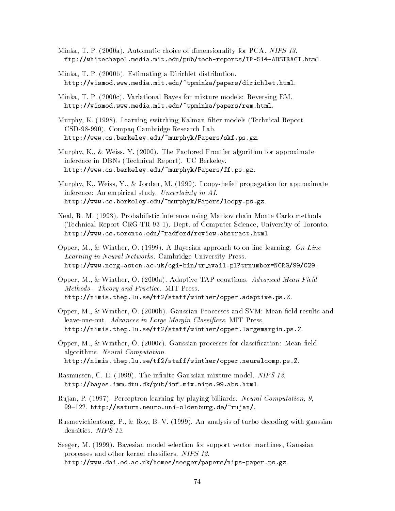- ministry with the three productions in dimensional choice of dimensional terms in the contract of the contract ftp--whitechapelmediamitedu-pub-tech reports-TR ABSTRACThtml
- Minka T P -b Estimating a Dirichlet distribution http--vismodwwwmediamitedu-tpminka-papers-dirichlethtml
- $\mathcal{M}$  -c Variational Bayes for mixture models for mixture models  $\mathcal{M}$ http--vismodwwwmediamitedu-tpminka-papers-remhtml
- Murphy, K. (1998). Learning switching Kalman filter models (Technical Report CSD-98-990). Compaq Cambridge Research Lab. http--wwwcsberkeleyedu-murphyk-Papers-skfpsgz
- murphy that is a contract from the Frontier algorithm for a problem for a pproximate  $\alpha$ inference in DBNs (Technical Report). UC Berkeley. http--wwwcsberkeleyedu-murphyk-Papers-ffpsgz
- Murphy, K., Weiss, Y., & Jordan, M. (1999). Loopy-belief propagation for approximate inference An empirical study Uncertainty in AI http--wwwcsberkeleyedu-murphyk-Papers-loopypsgz
- Neal, R. M. (1993). Probabilistic inference using Markov chain Monte Carlo methods (Technical Report CRG-TR-93-1). Dept. of Computer Science, University of Toronto. http--wwwcstorontoedu-radford-reviewabstracthtml
- Opper, M., & Winther, O. (1999). A Bayesian approach to on-line learning.  $On\text{-}Line$ Learning in Neural Networks. Cambridge University Press. http--wwwncrgastonacuk-cgi bin-tr availpltrnumber
NCRG--
- Opper M Winther O a Adaptive Taper Mean Field Mean Field Mean Field Mean Field Mean Field Mean Field Mean F Methods - Theory and Practice. MIT Press. http--nimisthepluse-tf-staff-winther-opperadaptivepsZ
- Opper M Winther O -b Gaussian Processes and SVM Mean eld results and leaveoneout Advances in Large Margin Classi-ers MIT Press http--nimisthepluse-tf-staff-winther-opperlargemarginpsZ
- opper men winther of the control and communication and controlled the communication of the control of the control of the control of the control of the control of the control of the control of the control of the control of algorithms. Neural Computation.

http--nimisthepluse-tf-staff-winther-opperneuralcomppsZ

- Rasmussen, C. E. (1999). The infinite Gaussian mixture model. NIPS 12. http--bayesimmdtudk-pub-infmixnipsabshtml
- Rujan, P. (1997). Perceptron learning by playing billiards. Neural Computation, 9, --- http--saturnneurouni oldenburgde-rujan-
- Rusmevichientong, P., & Roy, B. V.  $(1999)$ . An analysis of turbo decoding with gaussian densities. NIPS 12.
- Seeger, M. (1999). Bayesian model selection for support vector machines, Gaussian processes and other kernel classifiers. NIPS 12. http--wwwdaiedacuk-homes-seeger-papers-nips paperpsgz